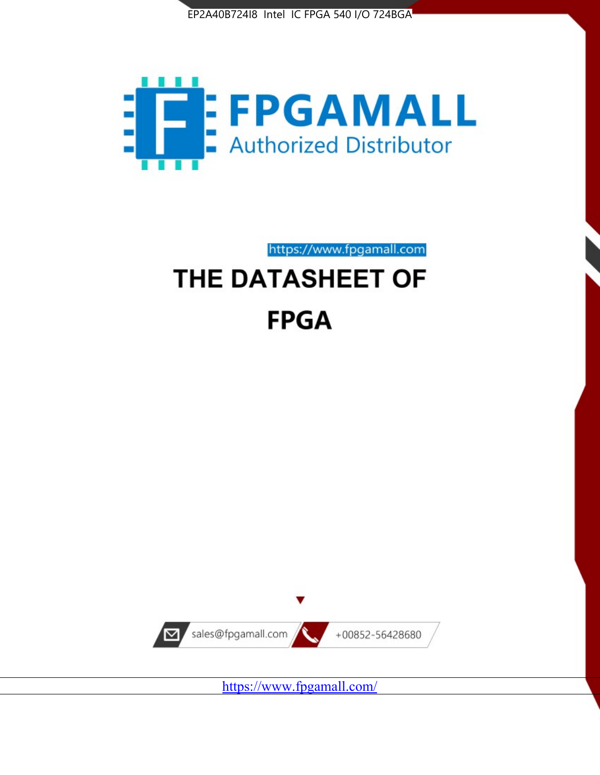



https://www.fpgamall.com THE DATASHEET OF

# **FPGA**



<https://www.fpgamall.com/>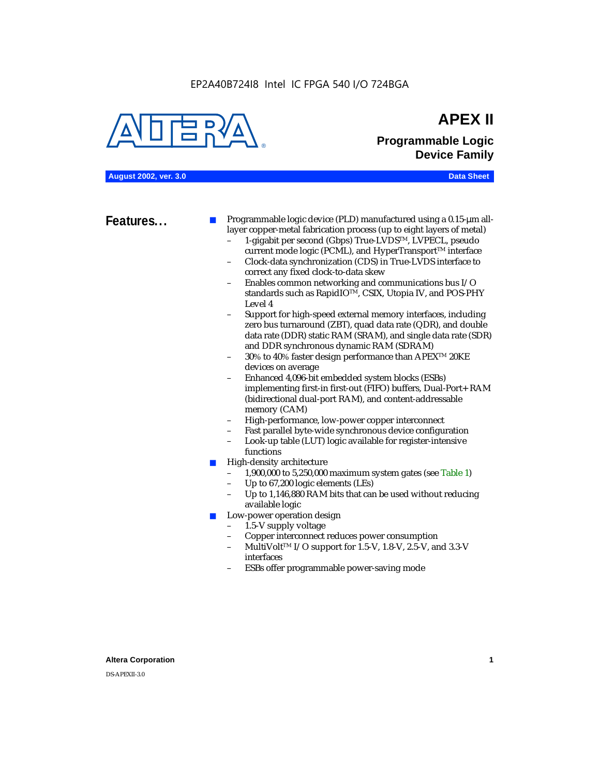EP2A40B724I8 Intel IC FPGA 540 I/O 724BGA



## **APEX II Programmable Logic Device Family**

**August 2002, ver. 3.0 Data Sheet**

**Features...** ■ Programmable logic device (PLD) manufactured using a 0.15-µm alllayer copper-metal fabrication process (up to eight layers of metal)

- 1-gigabit per second (Gbps) True-LVDSTM, LVPECL, pseudo current mode logic (PCML), and HyperTransport<sup>™</sup> interface
- Clock-data synchronization (CDS) in True-LVDS interface to correct any fixed clock-to-data skew
- Enables common networking and communications bus I/O standards such as RapidIOTM, CSIX, Utopia IV, and POS-PHY Level 4
- Support for high-speed external memory interfaces, including zero bus turnaround (ZBT), quad data rate (QDR), and double data rate (DDR) static RAM (SRAM), and single data rate (SDR) and DDR synchronous dynamic RAM (SDRAM)
- 30% to 40% faster design performance than APEX<sup>™</sup> 20KE devices on average
- Enhanced 4,096-bit embedded system blocks (ESBs) implementing first-in first-out (FIFO) buffers, Dual-Port+ RAM (bidirectional dual-port RAM), and content-addressable memory (CAM)
- High-performance, low-power copper interconnect
- Fast parallel byte-wide synchronous device configuration
- Look-up table (LUT) logic available for register-intensive functions
- High-density architecture
	- 1,900,000 to 5,250,000 maximum system gates (see Table 1)
	- Up to 67,200 logic elements (LEs)
	- Up to 1,146,880 RAM bits that can be used without reducing available logic
- Low-power operation design
	- 1.5-V supply voltage
	- Copper interconnect reduces power consumption
	- MultiVolt<sup>™</sup> I/O support for 1.5-V, 1.8-V, 2.5-V, and 3.3-V interfaces
	- ESBs offer programmable power-saving mode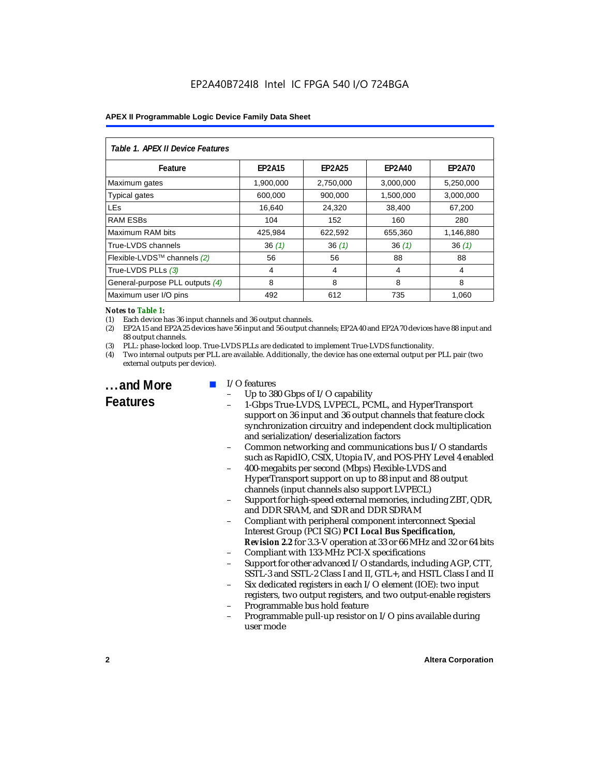| Table 1. APEX II Device Features |               |               |               |               |  |  |
|----------------------------------|---------------|---------------|---------------|---------------|--|--|
| Feature                          | <b>EP2A15</b> | <b>EP2A25</b> | <b>EP2A40</b> | <b>EP2A70</b> |  |  |
| Maximum gates                    | 1,900,000     | 2,750,000     | 3,000,000     | 5,250,000     |  |  |
| <b>Typical gates</b>             | 600,000       | 900,000       | 1,500,000     | 3,000,000     |  |  |
| <b>LEs</b>                       | 16,640        | 24,320        | 38,400        | 67,200        |  |  |
| <b>RAM ESBs</b>                  | 104           | 152           | 160           | 280           |  |  |
| Maximum RAM bits                 | 425,984       | 622,592       | 655,360       | 1,146,880     |  |  |
| True-LVDS channels               | 36(1)         | 36(1)         | 36(1)         | 36(1)         |  |  |
| Flexible-LVDS™ channels (2)      | 56            | 56            | 88            | 88            |  |  |
| True-LVDS PLLs (3)               | 4             | 4             | 4             | 4             |  |  |
| General-purpose PLL outputs (4)  | 8             | 8             | 8             | 8             |  |  |
| Maximum user I/O pins            | 492           | 612           | 735           | 1.060         |  |  |

#### *Notes to Table 1:*

(1) Each device has 36 input channels and 36 output channels.

(2) EP2A15 and EP2A25 devices have 56 input and 56 output channels; EP2A40 and EP2A70 devices have 88 input and 88 output channels.

(3) PLL: phase-locked loop. True-LVDS PLLs are dedicated to implement True-LVDS functionality.

(4) Two internal outputs per PLL are available. Additionally, the device has one external output per PLL pair (two external outputs per device).

**...and More Features**

#### I/O features

- Up to 380 Gbps of I/O capability
- 1-Gbps True-LVDS, LVPECL, PCML, and HyperTransport support on 36 input and 36 output channels that feature clock synchronization circuitry and independent clock multiplication and serialization/deserialization factors
- Common networking and communications bus I/O standards such as RapidIO, CSIX, Utopia IV, and POS-PHY Level 4 enabled
- 400-megabits per second (Mbps) Flexible-LVDS and HyperTransport support on up to 88 input and 88 output channels (input channels also support LVPECL)
- Support for high-speed external memories, including ZBT, QDR, and DDR SRAM, and SDR and DDR SDRAM
- Compliant with peripheral component interconnect Special Interest Group (PCI SIG) *PCI Local Bus Specification, Revision 2.2* for 3.3-V operation at 33 or 66 MHz and 32 or 64 bits
- Compliant with 133-MHz PCI-X specifications
- Support for other advanced I/O standards, including AGP, CTT, SSTL-3 and SSTL-2 Class I and II, GTL+, and HSTL Class I and II
- Six dedicated registers in each I/O element (IOE): two input registers, two output registers, and two output-enable registers
- Programmable bus hold feature
- Programmable pull-up resistor on I/O pins available during user mode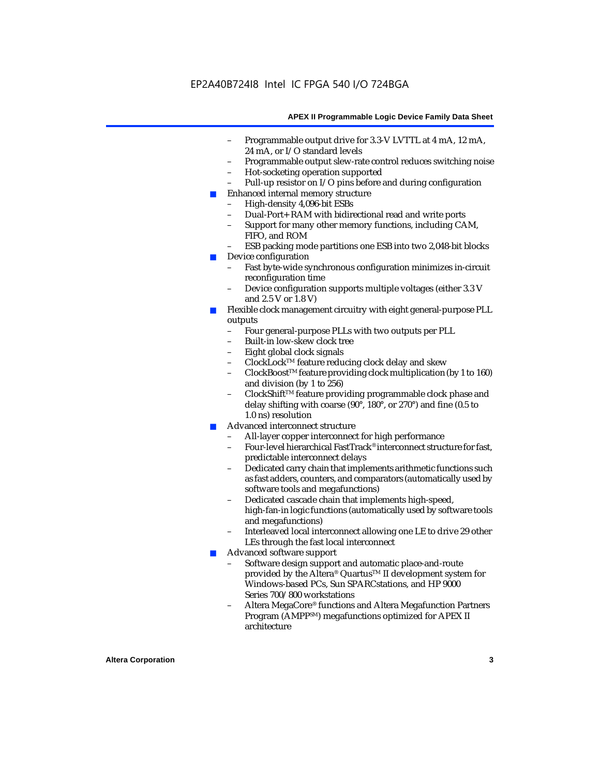- Programmable output drive for 3.3-V LVTTL at 4 mA, 12 mA, 24 mA, or I/O standard levels
- Programmable output slew-rate control reduces switching noise
- Hot-socketing operation supported
- Pull-up resistor on I/O pins before and during configuration
- Enhanced internal memory structure
	- High-density 4,096-bit ESBs
	- Dual-Port+ RAM with bidirectional read and write ports
	- Support for many other memory functions, including CAM, FIFO, and ROM
	- ESB packing mode partitions one ESB into two 2,048-bit blocks
- Device configuration
	- Fast byte-wide synchronous configuration minimizes in-circuit reconfiguration time
	- Device configuration supports multiple voltages (either 3.3 V and 2.5 V or 1.8 V)
- Flexible clock management circuitry with eight general-purpose PLL outputs
	- Four general-purpose PLLs with two outputs per PLL
	- Built-in low-skew clock tree
	- Eight global clock signals
	- ClockLockTM feature reducing clock delay and skew
	- ClockBoostTM feature providing clock multiplication (by 1 to 160) and division (by 1 to 256)
	- ClockShift™ feature providing programmable clock phase and delay shifting with coarse (90°, 180°, or 270°) and fine (0.5 to 1.0 ns) resolution
- Advanced interconnect structure
	- All-layer copper interconnect for high performance
	- Four-level hierarchical FastTrack® interconnect structure for fast, predictable interconnect delays
	- Dedicated carry chain that implements arithmetic functions such as fast adders, counters, and comparators (automatically used by software tools and megafunctions)
	- Dedicated cascade chain that implements high-speed, high-fan-in logic functions (automatically used by software tools and megafunctions)
	- Interleaved local interconnect allowing one LE to drive 29 other LEs through the fast local interconnect
- Advanced software support
	- Software design support and automatic place-and-route provided by the Altera® Quartus<sup>™</sup> II development system for Windows-based PCs, Sun SPARCstations, and HP 9000 Series 700/800 workstations
	- Altera MegaCore® functions and Altera Megafunction Partners Program (AMPPSM) megafunctions optimized for APEX II architecture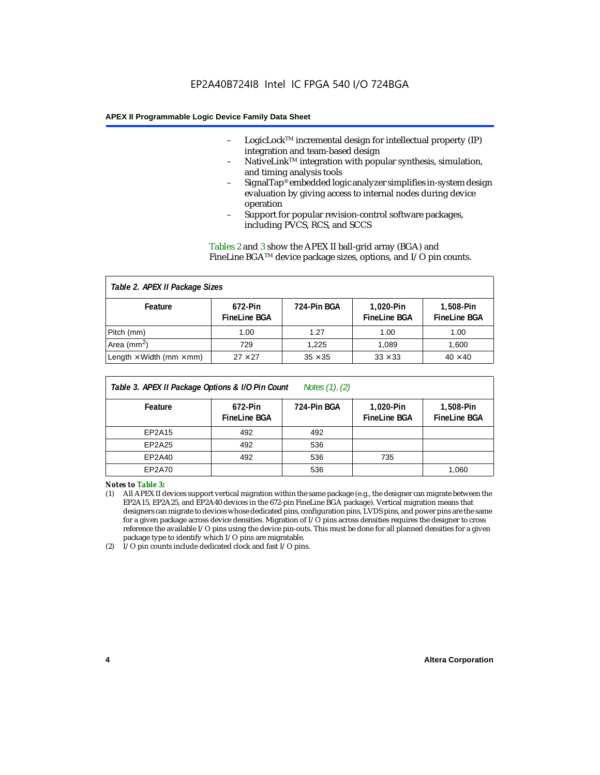- LogicLock<sup>TM</sup> incremental design for intellectual property  $(IP)$ integration and team-based design
- NativeLink™ integration with popular synthesis, simulation, and timing analysis tools
- SignalTap® embedded logic analyzer simplifies in-system design evaluation by giving access to internal nodes during device operation
- Support for popular revision-control software packages, including PVCS, RCS, and SCCS

Tables 2 and 3 show the APEX II ball-grid array (BGA) and FineLine BGATM device package sizes, options, and I/O pin counts.

#### *Table 2. APEX II Package Sizes* **Feature 672-Pin FineLine BGA 724-Pin BGA 1,020-Pin FineLine BGA 1,508-Pin FineLine BGA** Pitch (mm)  $\begin{array}{|c|c|c|c|c|c|c|c|} \hline \text{Pitch (mm)} & \text{1.00} & \text{1.00} & \text{1.00} \ \hline \end{array}$ Area (mm<sup>2</sup>) | 729 | 1,225 | 1,089 | 1,600 Length  $\times$  Width (mm  $\times$  mm)  $\begin{array}{|l|} \hline \end{array}$  27  $\times$  27  $\begin{array}{|l|} \hline \end{array}$  35  $\times$  35  $\begin{array}{|l|} \hline \end{array}$  33  $\times$  33  $\begin{array}{|l|} \hline \end{array}$  40  $\times$  40

| Table 3. APEX II Package Options & I/O Pin Count<br>Notes $(1)$ , $(2)$ |                                |             |                                  |                                  |  |
|-------------------------------------------------------------------------|--------------------------------|-------------|----------------------------------|----------------------------------|--|
| Feature                                                                 | 672-Pin<br><b>FineLine BGA</b> | 724-Pin BGA | 1,020-Pin<br><b>FineLine BGA</b> | 1,508-Pin<br><b>FineLine BGA</b> |  |
| EP2A15                                                                  | 492                            | 492         |                                  |                                  |  |
| EP2A25                                                                  | 492                            | 536         |                                  |                                  |  |
| EP2A40                                                                  | 492                            | 536         | 735                              |                                  |  |
| EP2A70                                                                  |                                | 536         |                                  | 1,060                            |  |

*Notes to Table 3:*

(1) All APEX II devices support vertical migration within the same package (e.g., the designer can migrate between the EP2A15, EP2A25, and EP2A40 devices in the 672-pin FineLine BGA package). Vertical migration means that designers can migrate to devices whose dedicated pins, configuration pins, LVDS pins, and power pins are the same for a given package across device densities. Migration of I/O pins across densities requires the designer to cross reference the available I/O pins using the device pin-outs. This must be done for all planned densities for a given package type to identify which I/O pins are migratable.

(2) I/O pin counts include dedicated clock and fast I/O pins.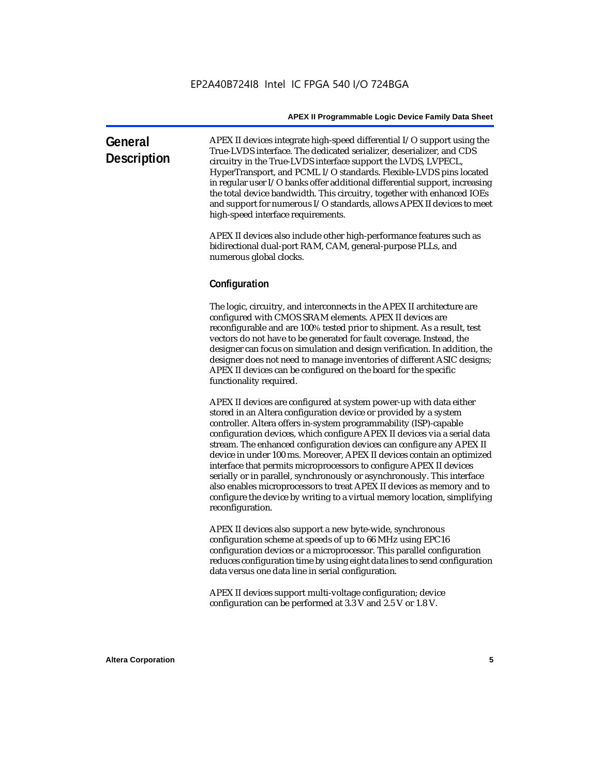| General<br><b>Description</b> | APEX II devices integrate high-speed differential I/O support using the<br>True-LVDS interface. The dedicated serializer, deserializer, and CDS<br>circuitry in the True-LVDS interface support the LVDS, LVPECL,<br>HyperTransport, and PCML I/O standards. Flexible-LVDS pins located<br>in regular user $I/O$ banks offer additional differential support, increasing |
|-------------------------------|--------------------------------------------------------------------------------------------------------------------------------------------------------------------------------------------------------------------------------------------------------------------------------------------------------------------------------------------------------------------------|
|                               | the total device bandwidth. This circuitry, together with enhanced IOEs<br>and support for numerous I/O standards, allows APEX II devices to meet<br>high-speed interface requirements.                                                                                                                                                                                  |

APEX II devices also include other high-performance features such as bidirectional dual-port RAM, CAM, general-purpose PLLs, and numerous global clocks.

#### **Configuration**

The logic, circuitry, and interconnects in the APEX II architecture are configured with CMOS SRAM elements. APEX II devices are reconfigurable and are 100% tested prior to shipment. As a result, test vectors do not have to be generated for fault coverage. Instead, the designer can focus on simulation and design verification. In addition, the designer does not need to manage inventories of different ASIC designs; APEX II devices can be configured on the board for the specific functionality required.

APEX II devices are configured at system power-up with data either stored in an Altera configuration device or provided by a system controller. Altera offers in-system programmability (ISP)-capable configuration devices, which configure APEX II devices via a serial data stream. The enhanced configuration devices can configure any APEX II device in under 100 ms. Moreover, APEX II devices contain an optimized interface that permits microprocessors to configure APEX II devices serially or in parallel, synchronously or asynchronously. This interface also enables microprocessors to treat APEX II devices as memory and to configure the device by writing to a virtual memory location, simplifying reconfiguration.

APEX II devices also support a new byte-wide, synchronous configuration scheme at speeds of up to 66 MHz using EPC16 configuration devices or a microprocessor. This parallel configuration reduces configuration time by using eight data lines to send configuration data versus one data line in serial configuration.

APEX II devices support multi-voltage configuration; device configuration can be performed at 3.3 V and 2.5 V or 1.8 V.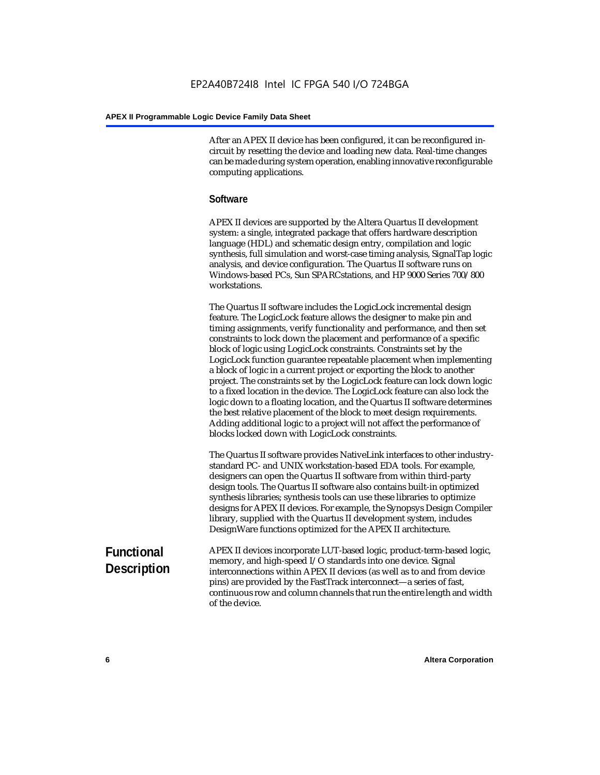After an APEX II device has been configured, it can be reconfigured incircuit by resetting the device and loading new data. Real-time changes can be made during system operation, enabling innovative reconfigurable computing applications.

#### **Software**

APEX II devices are supported by the Altera Quartus II development system: a single, integrated package that offers hardware description language (HDL) and schematic design entry, compilation and logic synthesis, full simulation and worst-case timing analysis, SignalTap logic analysis, and device configuration. The Quartus II software runs on Windows-based PCs, Sun SPARCstations, and HP 9000 Series 700/800 workstations.

The Quartus II software includes the LogicLock incremental design feature. The LogicLock feature allows the designer to make pin and timing assignments, verify functionality and performance, and then set constraints to lock down the placement and performance of a specific block of logic using LogicLock constraints. Constraints set by the LogicLock function guarantee repeatable placement when implementing a block of logic in a current project or exporting the block to another project. The constraints set by the LogicLock feature can lock down logic to a fixed location in the device. The LogicLock feature can also lock the logic down to a floating location, and the Quartus II software determines the best relative placement of the block to meet design requirements. Adding additional logic to a project will not affect the performance of blocks locked down with LogicLock constraints.

The Quartus II software provides NativeLink interfaces to other industrystandard PC- and UNIX workstation-based EDA tools. For example, designers can open the Quartus II software from within third-party design tools. The Quartus II software also contains built-in optimized synthesis libraries; synthesis tools can use these libraries to optimize designs for APEX II devices. For example, the Synopsys Design Compiler library, supplied with the Quartus II development system, includes DesignWare functions optimized for the APEX II architecture.

#### **Functional Description** APEX II devices incorporate LUT-based logic, product-term-based logic, memory, and high-speed I/O standards into one device. Signal interconnections within APEX II devices (as well as to and from device pins) are provided by the FastTrack interconnect—a series of fast, continuous row and column channels that run the entire length and width of the device.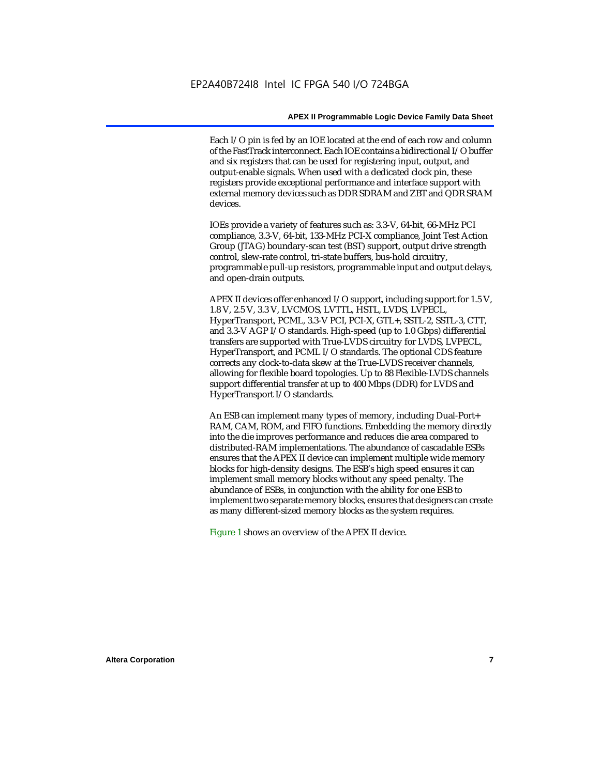Each I/O pin is fed by an IOE located at the end of each row and column of the FastTrack interconnect. Each IOE contains a bidirectional I/O buffer and six registers that can be used for registering input, output, and output-enable signals. When used with a dedicated clock pin, these registers provide exceptional performance and interface support with external memory devices such as DDR SDRAM and ZBT and QDR SRAM devices.

IOEs provide a variety of features such as: 3.3-V, 64-bit, 66-MHz PCI compliance, 3.3-V, 64-bit, 133-MHz PCI-X compliance, Joint Test Action Group (JTAG) boundary-scan test (BST) support, output drive strength control, slew-rate control, tri-state buffers, bus-hold circuitry, programmable pull-up resistors, programmable input and output delays, and open-drain outputs.

APEX II devices offer enhanced I/O support, including support for 1.5 V, 1.8 V, 2.5 V, 3.3 V, LVCMOS, LVTTL, HSTL, LVDS, LVPECL, HyperTransport, PCML, 3.3-V PCI, PCI-X, GTL+, SSTL-2, SSTL-3, CTT, and 3.3-V AGP I/O standards. High-speed (up to 1.0 Gbps) differential transfers are supported with True-LVDS circuitry for LVDS, LVPECL, HyperTransport, and PCML I/O standards. The optional CDS feature corrects any clock-to-data skew at the True-LVDS receiver channels, allowing for flexible board topologies. Up to 88 Flexible-LVDS channels support differential transfer at up to 400 Mbps (DDR) for LVDS and HyperTransport I/O standards.

An ESB can implement many types of memory, including Dual-Port+ RAM, CAM, ROM, and FIFO functions. Embedding the memory directly into the die improves performance and reduces die area compared to distributed-RAM implementations. The abundance of cascadable ESBs ensures that the APEX II device can implement multiple wide memory blocks for high-density designs. The ESB's high speed ensures it can implement small memory blocks without any speed penalty. The abundance of ESBs, in conjunction with the ability for one ESB to implement two separate memory blocks, ensures that designers can create as many different-sized memory blocks as the system requires.

Figure 1 shows an overview of the APEX II device.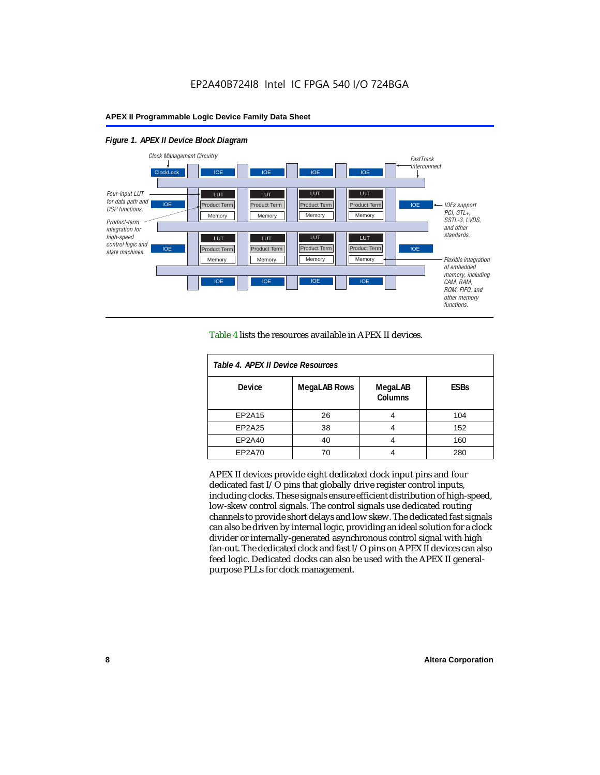#### *Figure 1. APEX II Device Block Diagram*



Table 4 lists the resources available in APEX II devices.

| Table 4. APEX II Device Resources |                     |                           |             |  |  |  |
|-----------------------------------|---------------------|---------------------------|-------------|--|--|--|
| <b>Device</b>                     | <b>MegaLAB Rows</b> | MegaLAB<br><b>Columns</b> | <b>ESBs</b> |  |  |  |
| EP2A15                            | 26                  | 4                         | 104         |  |  |  |
| EP2A25                            | 38                  |                           | 152         |  |  |  |
| EP2A40                            | 40                  |                           | 160         |  |  |  |
| EP2A70                            | 70                  | 4                         | 280         |  |  |  |

APEX II devices provide eight dedicated clock input pins and four dedicated fast I/O pins that globally drive register control inputs, including clocks. These signals ensure efficient distribution of high-speed, low-skew control signals. The control signals use dedicated routing channels to provide short delays and low skew. The dedicated fast signals can also be driven by internal logic, providing an ideal solution for a clock divider or internally-generated asynchronous control signal with high fan-out. The dedicated clock and fast I/O pins on APEX II devices can also feed logic. Dedicated clocks can also be used with the APEX II generalpurpose PLLs for clock management.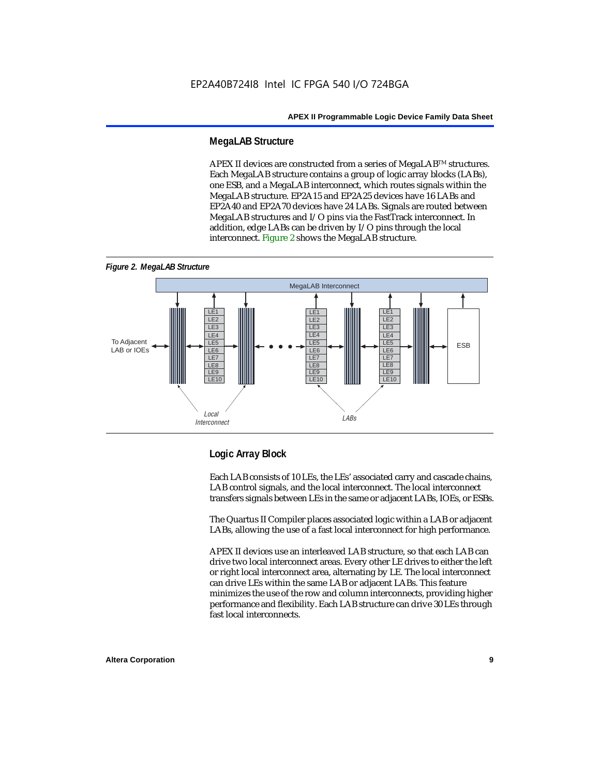#### **MegaLAB Structure**

APEX II devices are constructed from a series of MegaLAB<sup>TM</sup> structures. Each MegaLAB structure contains a group of logic array blocks (LABs), one ESB, and a MegaLAB interconnect, which routes signals within the MegaLAB structure. EP2A15 and EP2A25 devices have 16 LABs and EP2A40 and EP2A70 devices have 24 LABs. Signals are routed between MegaLAB structures and I/O pins via the FastTrack interconnect. In addition, edge LABs can be driven by I/O pins through the local interconnect. Figure 2 shows the MegaLAB structure.





#### **Logic Array Block**

Each LAB consists of 10 LEs, the LEs' associated carry and cascade chains, LAB control signals, and the local interconnect. The local interconnect transfers signals between LEs in the same or adjacent LABs, IOEs, or ESBs.

The Quartus II Compiler places associated logic within a LAB or adjacent LABs, allowing the use of a fast local interconnect for high performance.

APEX II devices use an interleaved LAB structure, so that each LAB can drive two local interconnect areas. Every other LE drives to either the left or right local interconnect area, alternating by LE. The local interconnect can drive LEs within the same LAB or adjacent LABs. This feature minimizes the use of the row and column interconnects, providing higher performance and flexibility. Each LAB structure can drive 30 LEs through fast local interconnects.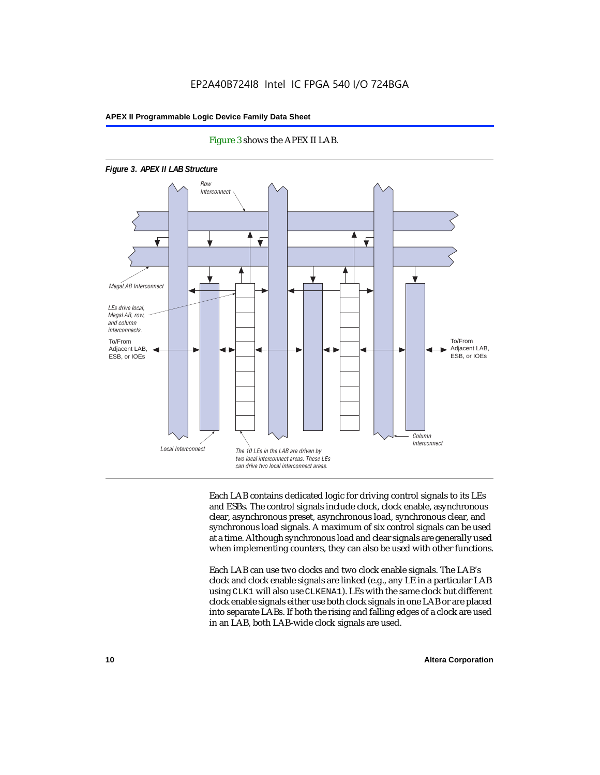

#### Figure 3 shows the APEX II LAB.

Each LAB contains dedicated logic for driving control signals to its LEs and ESBs. The control signals include clock, clock enable, asynchronous clear, asynchronous preset, asynchronous load, synchronous clear, and synchronous load signals. A maximum of six control signals can be used at a time. Although synchronous load and clear signals are generally used when implementing counters, they can also be used with other functions.

Each LAB can use two clocks and two clock enable signals. The LAB's clock and clock enable signals are linked (e.g., any LE in a particular LAB using CLK1 will also use CLKENA1). LEs with the same clock but different clock enable signals either use both clock signals in one LAB or are placed into separate LABs. If both the rising and falling edges of a clock are used in an LAB, both LAB-wide clock signals are used.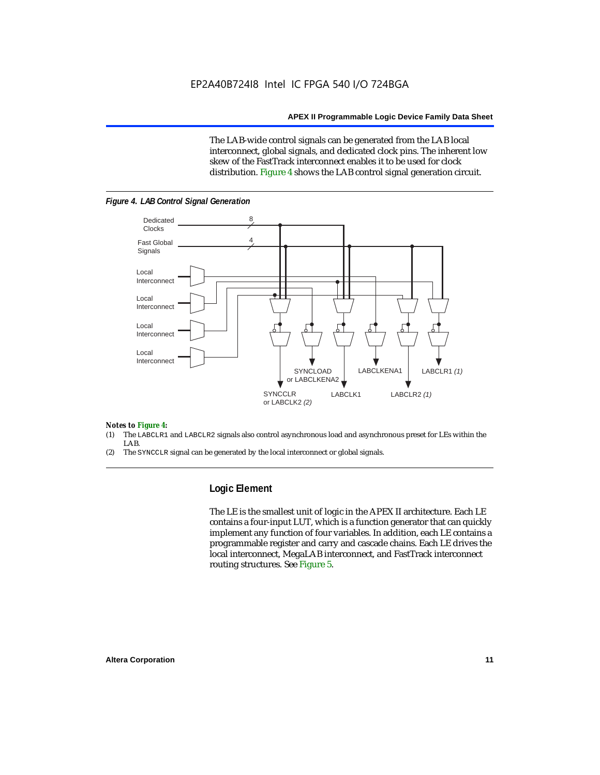The LAB-wide control signals can be generated from the LAB local interconnect, global signals, and dedicated clock pins. The inherent low skew of the FastTrack interconnect enables it to be used for clock distribution. Figure 4 shows the LAB control signal generation circuit.



#### *Figure 4. LAB Control Signal Generation*

#### *Notes to Figure 4:*

- (1) The LABCLR1 and LABCLR2 signals also control asynchronous load and asynchronous preset for LEs within the LAB.
- (2) The SYNCCLR signal can be generated by the local interconnect or global signals.

#### **Logic Element**

The LE is the smallest unit of logic in the APEX II architecture. Each LE contains a four-input LUT, which is a function generator that can quickly implement any function of four variables. In addition, each LE contains a programmable register and carry and cascade chains. Each LE drives the local interconnect, MegaLAB interconnect, and FastTrack interconnect routing structures. See Figure 5.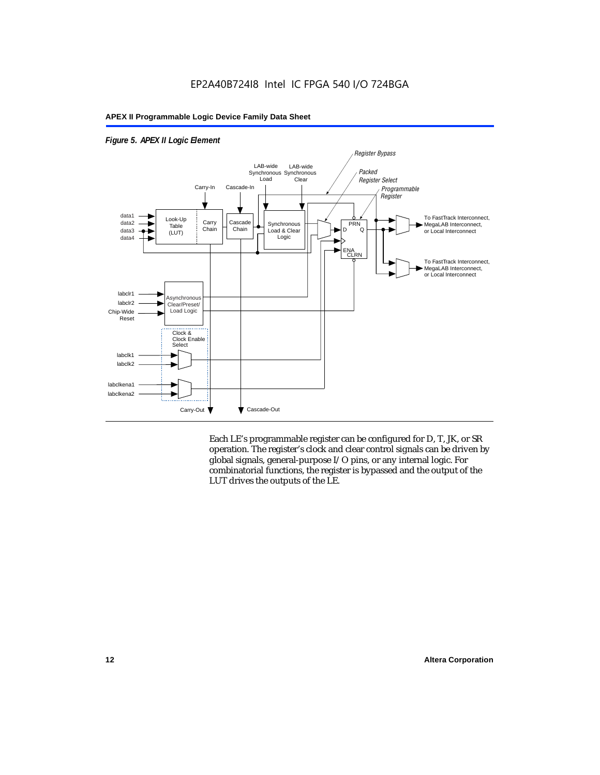

*Figure 5. APEX II Logic Element*

Each LE's programmable register can be configured for D, T, JK, or SR operation. The register's clock and clear control signals can be driven by global signals, general-purpose I/O pins, or any internal logic. For combinatorial functions, the register is bypassed and the output of the LUT drives the outputs of the LE.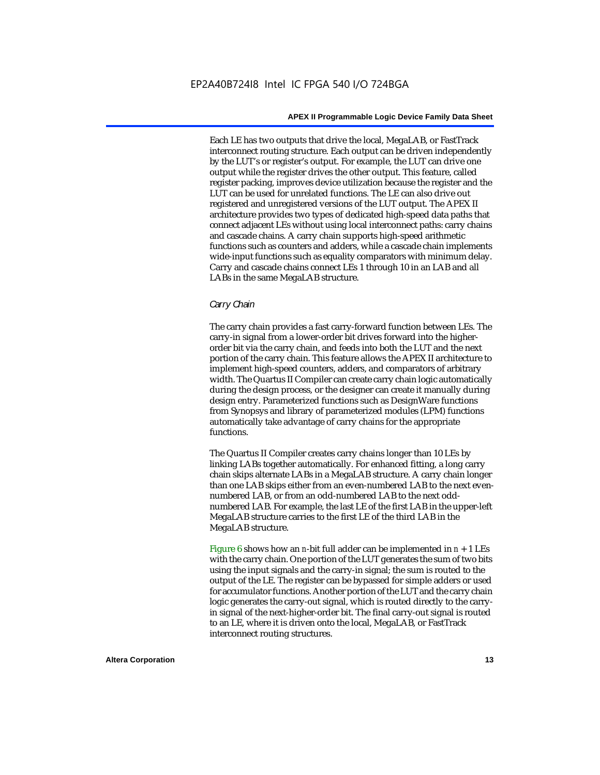Each LE has two outputs that drive the local, MegaLAB, or FastTrack interconnect routing structure. Each output can be driven independently by the LUT's or register's output. For example, the LUT can drive one output while the register drives the other output. This feature, called register packing, improves device utilization because the register and the LUT can be used for unrelated functions. The LE can also drive out registered and unregistered versions of the LUT output. The APEX II architecture provides two types of dedicated high-speed data paths that connect adjacent LEs without using local interconnect paths: carry chains and cascade chains. A carry chain supports high-speed arithmetic functions such as counters and adders, while a cascade chain implements wide-input functions such as equality comparators with minimum delay. Carry and cascade chains connect LEs 1 through 10 in an LAB and all LABs in the same MegaLAB structure.

#### *Carry Chain*

The carry chain provides a fast carry-forward function between LEs. The carry-in signal from a lower-order bit drives forward into the higherorder bit via the carry chain, and feeds into both the LUT and the next portion of the carry chain. This feature allows the APEX II architecture to implement high-speed counters, adders, and comparators of arbitrary width. The Quartus II Compiler can create carry chain logic automatically during the design process, or the designer can create it manually during design entry. Parameterized functions such as DesignWare functions from Synopsys and library of parameterized modules (LPM) functions automatically take advantage of carry chains for the appropriate functions.

The Quartus II Compiler creates carry chains longer than 10 LEs by linking LABs together automatically. For enhanced fitting, a long carry chain skips alternate LABs in a MegaLAB structure. A carry chain longer than one LAB skips either from an even-numbered LAB to the next evennumbered LAB, or from an odd-numbered LAB to the next oddnumbered LAB. For example, the last LE of the first LAB in the upper-left MegaLAB structure carries to the first LE of the third LAB in the MegaLAB structure.

Figure 6 shows how an *n*-bit full adder can be implemented in *n* + 1 LEs with the carry chain. One portion of the LUT generates the sum of two bits using the input signals and the carry-in signal; the sum is routed to the output of the LE. The register can be bypassed for simple adders or used for accumulator functions. Another portion of the LUT and the carry chain logic generates the carry-out signal, which is routed directly to the carryin signal of the next-higher-order bit. The final carry-out signal is routed to an LE, where it is driven onto the local, MegaLAB, or FastTrack interconnect routing structures.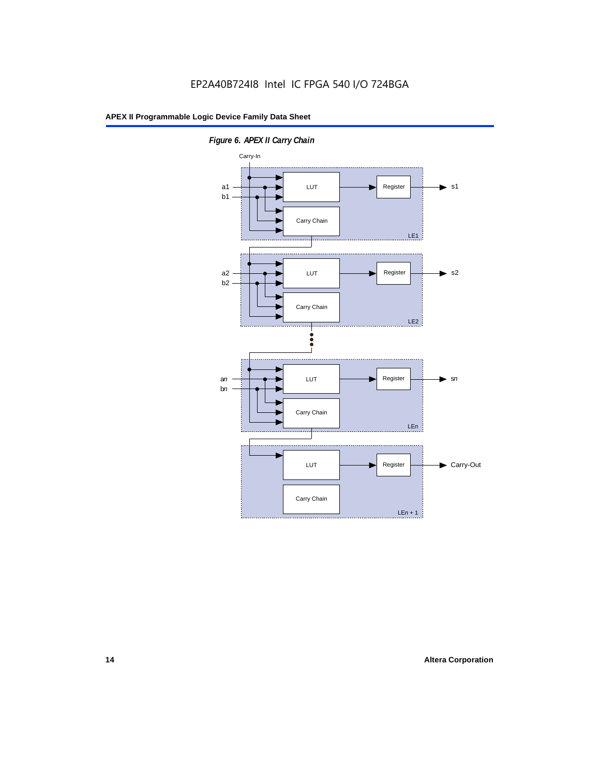

*Figure 6. APEX II Carry Chain*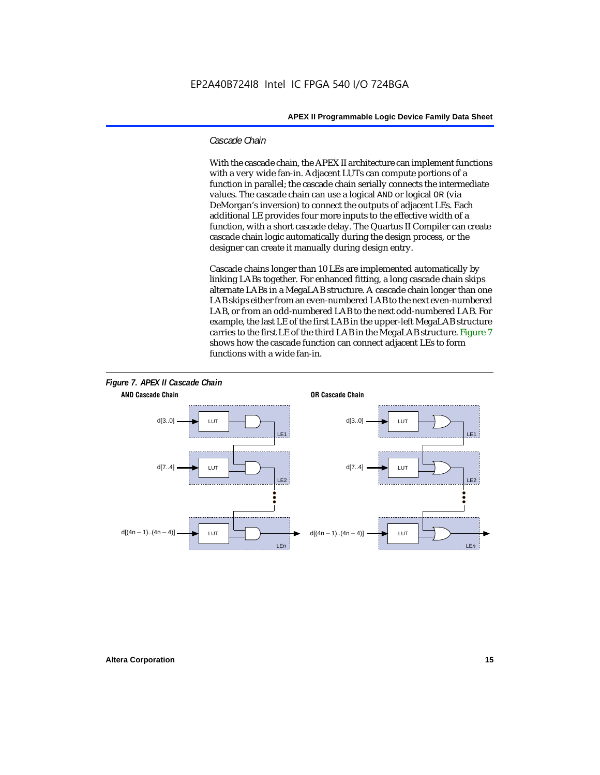#### *Cascade Chain*

With the cascade chain, the APEX II architecture can implement functions with a very wide fan-in. Adjacent LUTs can compute portions of a function in parallel; the cascade chain serially connects the intermediate values. The cascade chain can use a logical AND or logical OR (via DeMorgan's inversion) to connect the outputs of adjacent LEs. Each additional LE provides four more inputs to the effective width of a function, with a short cascade delay. The Quartus II Compiler can create cascade chain logic automatically during the design process, or the designer can create it manually during design entry.

Cascade chains longer than 10 LEs are implemented automatically by linking LABs together. For enhanced fitting, a long cascade chain skips alternate LABs in a MegaLAB structure. A cascade chain longer than one LAB skips either from an even-numbered LAB to the next even-numbered LAB, or from an odd-numbered LAB to the next odd-numbered LAB. For example, the last LE of the first LAB in the upper-left MegaLAB structure carries to the first LE of the third LAB in the MegaLAB structure. Figure 7 shows how the cascade function can connect adjacent LEs to form functions with a wide fan-in.



## **Altera Corporation 15**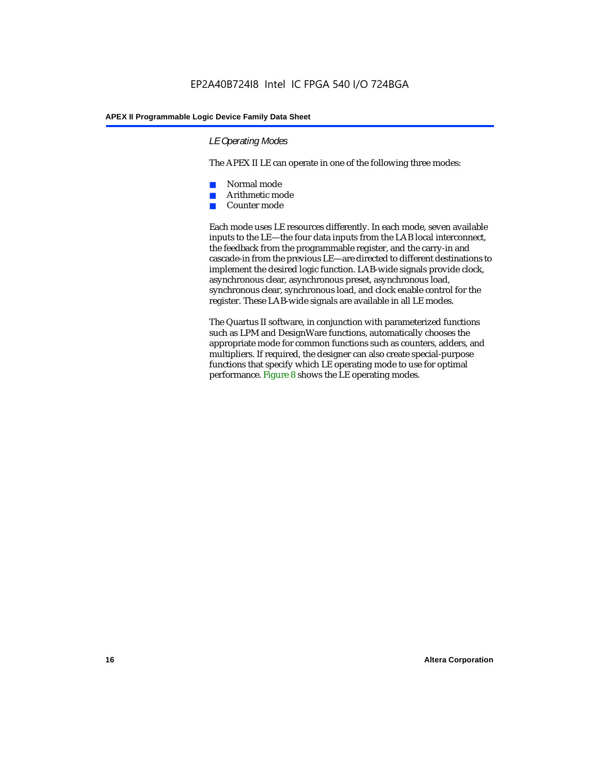#### *LE Operating Modes*

The APEX II LE can operate in one of the following three modes:

- Normal mode
- Arithmetic mode
- Counter mode

Each mode uses LE resources differently. In each mode, seven available inputs to the LE—the four data inputs from the LAB local interconnect, the feedback from the programmable register, and the carry-in and cascade-in from the previous LE—are directed to different destinations to implement the desired logic function. LAB-wide signals provide clock, asynchronous clear, asynchronous preset, asynchronous load, synchronous clear, synchronous load, and clock enable control for the register. These LAB-wide signals are available in all LE modes.

The Quartus II software, in conjunction with parameterized functions such as LPM and DesignWare functions, automatically chooses the appropriate mode for common functions such as counters, adders, and multipliers. If required, the designer can also create special-purpose functions that specify which LE operating mode to use for optimal performance. Figure 8 shows the LE operating modes.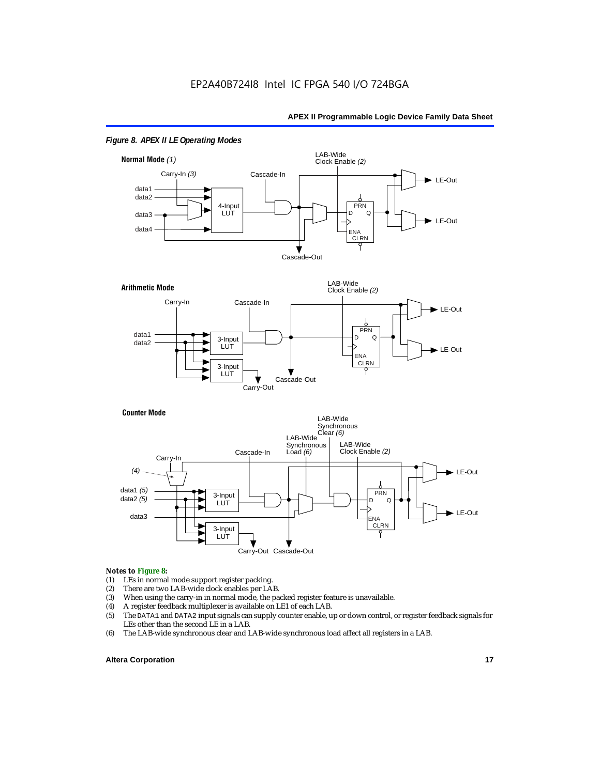

#### *Figure 8. APEX II LE Operating Modes*



#### *Notes to Figure 8:*

- (1) LEs in normal mode support register packing.<br>(2) There are two LAB-wide clock enables per LA
- (2) There are two LAB-wide clock enables per LAB.<br>(3) When using the carry-in in normal mode, the pa
- (3) When using the carry-in in normal mode, the packed register feature is unavailable.<br>(4) A register feedback multiplexer is available on LE1 of each LAB.
- 
- (4) A register feedback multiplexer is available on LE1 of each LAB.<br>(5) The DATA1 and DATA2 input signals can supply counter enable, u (5) The DATA1 and DATA2 input signals can supply counter enable, up or down control, or register feedback signals for LEs other than the second LE in a LAB.
- (6) The LAB-wide synchronous clear and LAB-wide synchronous load affect all registers in a LAB.

#### **Altera Corporation 17 17**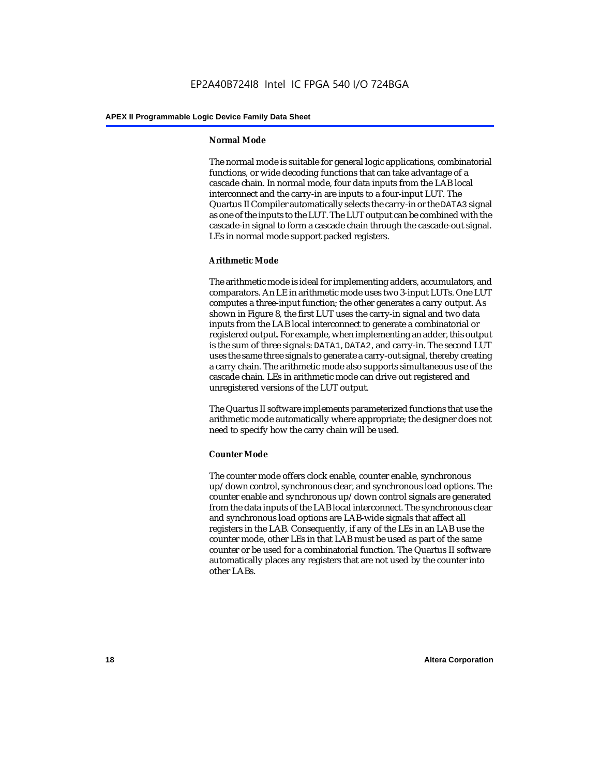#### **Normal Mode**

The normal mode is suitable for general logic applications, combinatorial functions, or wide decoding functions that can take advantage of a cascade chain. In normal mode, four data inputs from the LAB local interconnect and the carry-in are inputs to a four-input LUT. The Quartus II Compiler automatically selects the carry-in or the DATA3 signal as one of the inputs to the LUT. The LUT output can be combined with the cascade-in signal to form a cascade chain through the cascade-out signal. LEs in normal mode support packed registers.

#### **Arithmetic Mode**

The arithmetic mode is ideal for implementing adders, accumulators, and comparators. An LE in arithmetic mode uses two 3-input LUTs. One LUT computes a three-input function; the other generates a carry output. As shown in Figure 8, the first LUT uses the carry-in signal and two data inputs from the LAB local interconnect to generate a combinatorial or registered output. For example, when implementing an adder, this output is the sum of three signals: DATA1, DATA2, and carry-in. The second LUT uses the same three signals to generate a carry-out signal, thereby creating a carry chain. The arithmetic mode also supports simultaneous use of the cascade chain. LEs in arithmetic mode can drive out registered and unregistered versions of the LUT output.

The Quartus II software implements parameterized functions that use the arithmetic mode automatically where appropriate; the designer does not need to specify how the carry chain will be used.

#### **Counter Mode**

The counter mode offers clock enable, counter enable, synchronous up/down control, synchronous clear, and synchronous load options. The counter enable and synchronous up/down control signals are generated from the data inputs of the LAB local interconnect. The synchronous clear and synchronous load options are LAB-wide signals that affect all registers in the LAB. Consequently, if any of the LEs in an LAB use the counter mode, other LEs in that LAB must be used as part of the same counter or be used for a combinatorial function. The Quartus II software automatically places any registers that are not used by the counter into other LABs.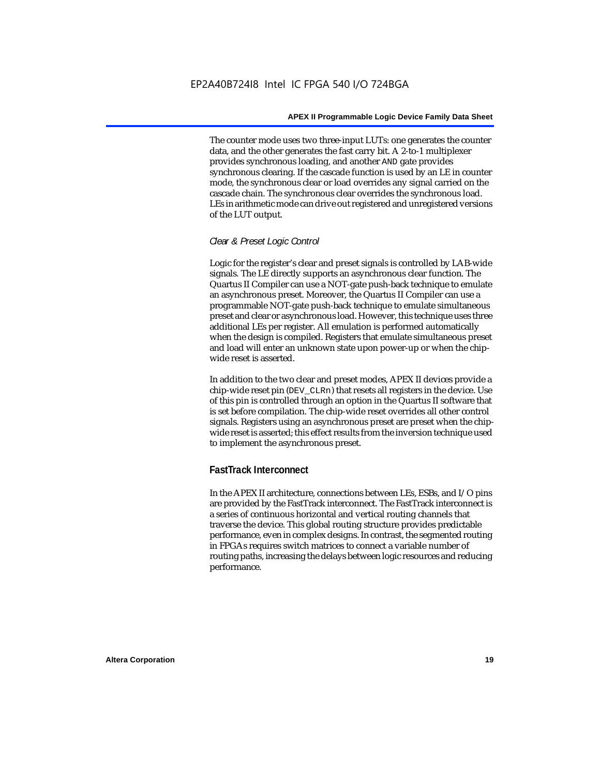The counter mode uses two three-input LUTs: one generates the counter data, and the other generates the fast carry bit. A 2-to-1 multiplexer provides synchronous loading, and another AND gate provides synchronous clearing. If the cascade function is used by an LE in counter mode, the synchronous clear or load overrides any signal carried on the cascade chain. The synchronous clear overrides the synchronous load. LEs in arithmetic mode can drive out registered and unregistered versions of the LUT output.

#### *Clear & Preset Logic Control*

Logic for the register's clear and preset signals is controlled by LAB-wide signals. The LE directly supports an asynchronous clear function. The Quartus II Compiler can use a NOT-gate push-back technique to emulate an asynchronous preset. Moreover, the Quartus II Compiler can use a programmable NOT-gate push-back technique to emulate simultaneous preset and clear or asynchronous load. However, this technique uses three additional LEs per register. All emulation is performed automatically when the design is compiled. Registers that emulate simultaneous preset and load will enter an unknown state upon power-up or when the chipwide reset is asserted.

In addition to the two clear and preset modes, APEX II devices provide a chip-wide reset pin (DEV\_CLRn) that resets all registers in the device. Use of this pin is controlled through an option in the Quartus II software that is set before compilation. The chip-wide reset overrides all other control signals. Registers using an asynchronous preset are preset when the chipwide reset is asserted; this effect results from the inversion technique used to implement the asynchronous preset.

### **FastTrack Interconnect**

In the APEX II architecture, connections between LEs, ESBs, and I/O pins are provided by the FastTrack interconnect. The FastTrack interconnect is a series of continuous horizontal and vertical routing channels that traverse the device. This global routing structure provides predictable performance, even in complex designs. In contrast, the segmented routing in FPGAs requires switch matrices to connect a variable number of routing paths, increasing the delays between logic resources and reducing performance.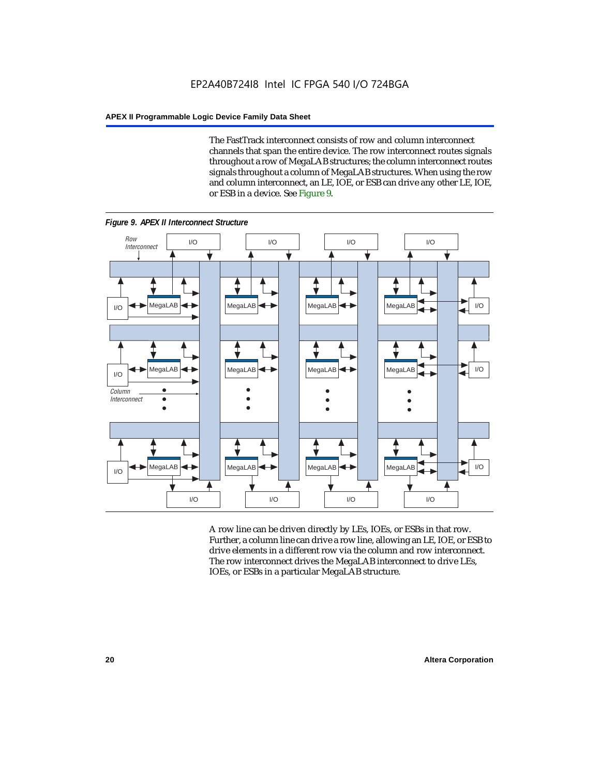The FastTrack interconnect consists of row and column interconnect channels that span the entire device. The row interconnect routes signals throughout a row of MegaLAB structures; the column interconnect routes signals throughout a column of MegaLAB structures. When using the row and column interconnect, an LE, IOE, or ESB can drive any other LE, IOE, or ESB in a device. See Figure 9.



*Figure 9. APEX II Interconnect Structure*

A row line can be driven directly by LEs, IOEs, or ESBs in that row. Further, a column line can drive a row line, allowing an LE, IOE, or ESB to drive elements in a different row via the column and row interconnect. The row interconnect drives the MegaLAB interconnect to drive LEs, IOEs, or ESBs in a particular MegaLAB structure.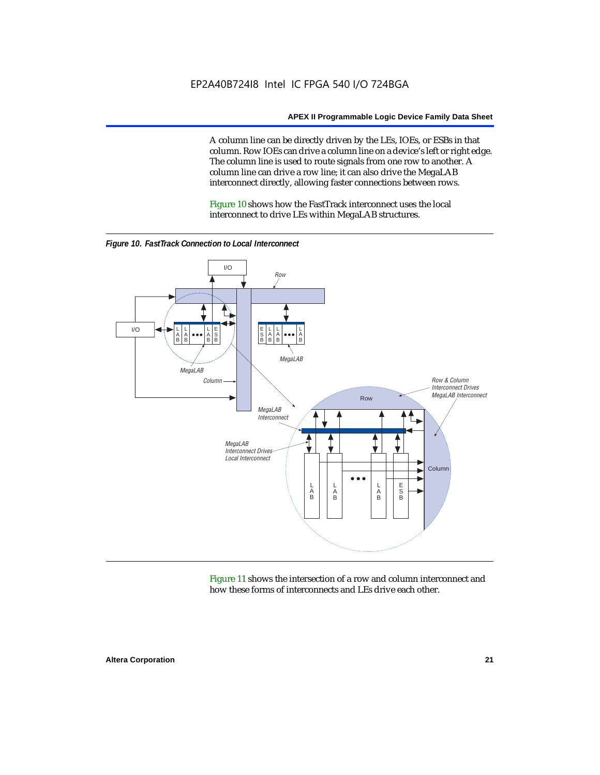A column line can be directly driven by the LEs, IOEs, or ESBs in that column. Row IOEs can drive a column line on a device's left or right edge. The column line is used to route signals from one row to another. A column line can drive a row line; it can also drive the MegaLAB interconnect directly, allowing faster connections between rows.

Figure 10 shows how the FastTrack interconnect uses the local interconnect to drive LEs within MegaLAB structures.



*Figure 10. FastTrack Connection to Local Interconnect*

Figure 11 shows the intersection of a row and column interconnect and how these forms of interconnects and LEs drive each other.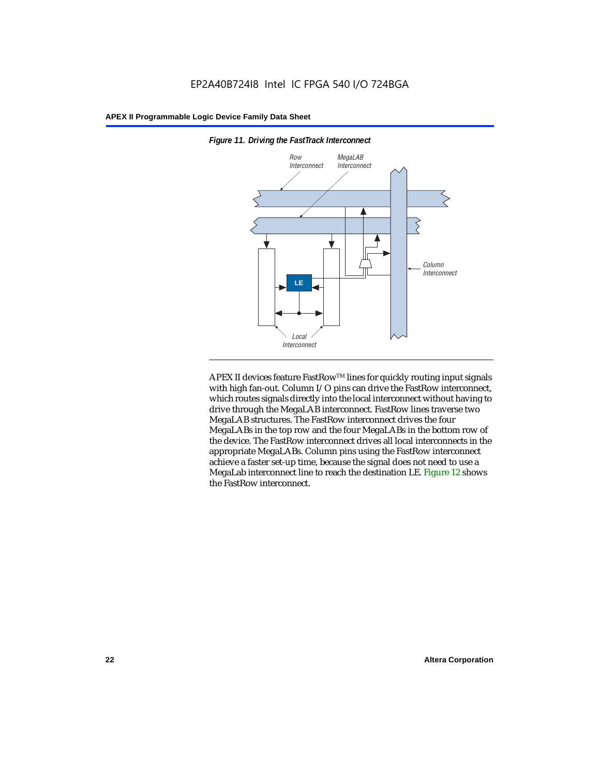

*Figure 11. Driving the FastTrack Interconnect*

APEX II devices feature FastRow™ lines for quickly routing input signals with high fan-out. Column I/O pins can drive the FastRow interconnect, which routes signals directly into the local interconnect without having to drive through the MegaLAB interconnect. FastRow lines traverse two MegaLAB structures. The FastRow interconnect drives the four MegaLABs in the top row and the four MegaLABs in the bottom row of the device. The FastRow interconnect drives all local interconnects in the appropriate MegaLABs. Column pins using the FastRow interconnect achieve a faster set-up time, because the signal does not need to use a MegaLab interconnect line to reach the destination LE. Figure 12 shows the FastRow interconnect.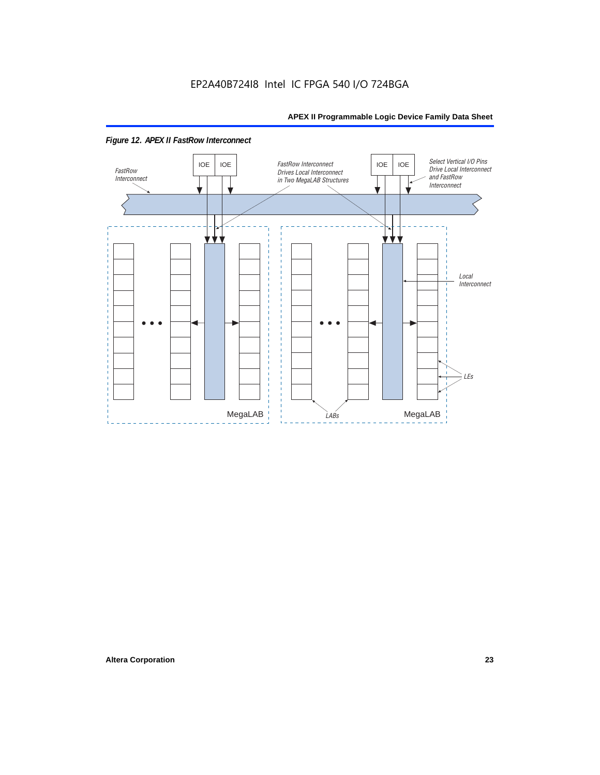

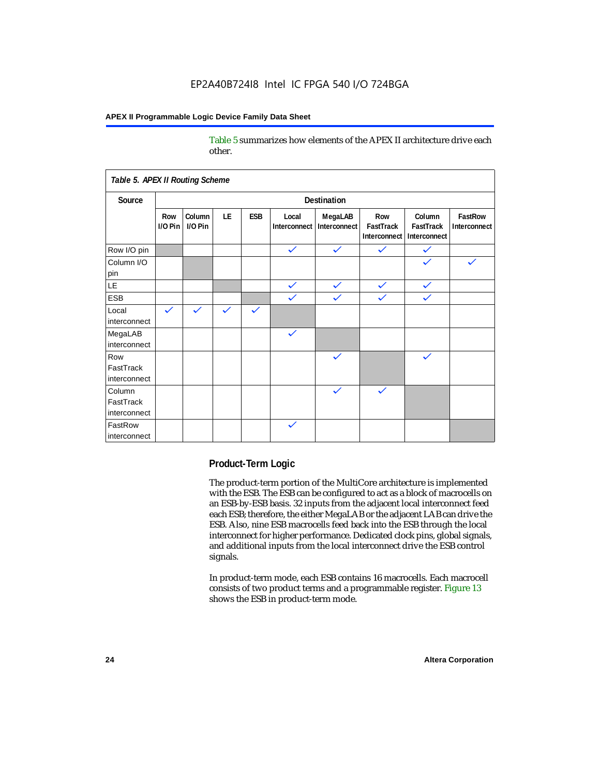Table 5 summarizes how elements of the APEX II architecture drive each other.

| Table 5. APEX II Routing Scheme     |                    |                   |              |              |                       |                         |                                  |                                     |                         |
|-------------------------------------|--------------------|-------------------|--------------|--------------|-----------------------|-------------------------|----------------------------------|-------------------------------------|-------------------------|
| Source                              | <b>Destination</b> |                   |              |              |                       |                         |                                  |                                     |                         |
|                                     | Row<br>I/O Pin     | Column<br>I/O Pin | LE           | <b>ESB</b>   | Local<br>Interconnect | MegaLAB<br>Interconnect | Row<br>FastTrack<br>Interconnect | Column<br>FastTrack<br>Interconnect | FastRow<br>Interconnect |
| Row I/O pin                         |                    |                   |              |              | $\checkmark$          | $\checkmark$            | $\checkmark$                     | $\checkmark$                        |                         |
| Column I/O<br>pin                   |                    |                   |              |              |                       |                         |                                  |                                     |                         |
| LE                                  |                    |                   |              |              | $\checkmark$          | $\checkmark$            | $\checkmark$                     | $\checkmark$                        |                         |
| <b>ESB</b>                          |                    |                   |              |              | $\checkmark$          | $\checkmark$            | $\checkmark$                     | $\checkmark$                        |                         |
| Local<br>interconnect               | $\checkmark$       | $\checkmark$      | $\checkmark$ | $\checkmark$ |                       |                         |                                  |                                     |                         |
| MegaLAB<br>interconnect             |                    |                   |              |              | $\checkmark$          |                         |                                  |                                     |                         |
| Row<br>FastTrack<br>interconnect    |                    |                   |              |              |                       | $\checkmark$            |                                  | $\checkmark$                        |                         |
| Column<br>FastTrack<br>interconnect |                    |                   |              |              |                       | $\checkmark$            | $\checkmark$                     |                                     |                         |
| FastRow<br>interconnect             |                    |                   |              |              | $\checkmark$          |                         |                                  |                                     |                         |

#### **Product-Term Logic**

The product-term portion of the MultiCore architecture is implemented with the ESB. The ESB can be configured to act as a block of macrocells on an ESB-by-ESB basis. 32 inputs from the adjacent local interconnect feed each ESB; therefore, the either MegaLAB or the adjacent LAB can drive the ESB. Also, nine ESB macrocells feed back into the ESB through the local interconnect for higher performance. Dedicated clock pins, global signals, and additional inputs from the local interconnect drive the ESB control signals.

In product-term mode, each ESB contains 16 macrocells. Each macrocell consists of two product terms and a programmable register. Figure 13 shows the ESB in product-term mode.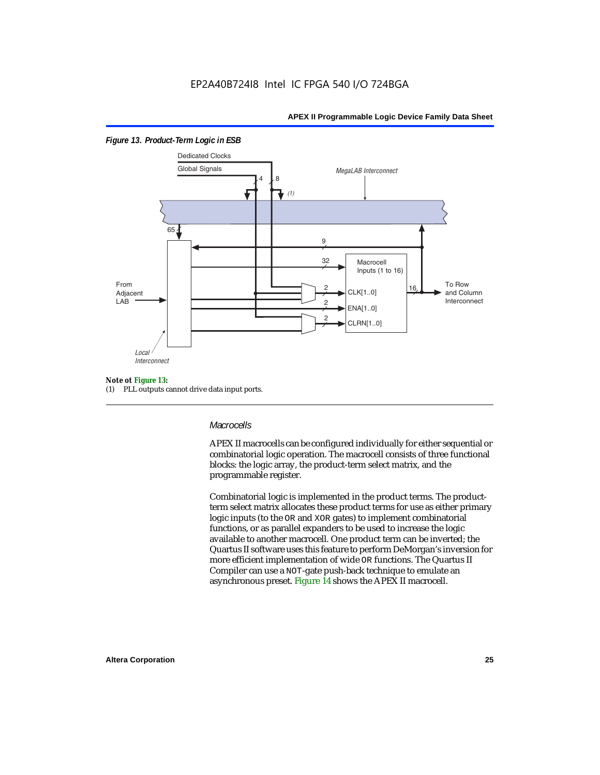

#### *Figure 13. Product-Term Logic in ESB*

#### *Note ot Figure 13:*

(1) PLL outputs cannot drive data input ports.

#### *Macrocells*

APEX II macrocells can be configured individually for either sequential or combinatorial logic operation. The macrocell consists of three functional blocks: the logic array, the product-term select matrix, and the programmable register.

Combinatorial logic is implemented in the product terms. The productterm select matrix allocates these product terms for use as either primary logic inputs (to the OR and XOR gates) to implement combinatorial functions, or as parallel expanders to be used to increase the logic available to another macrocell. One product term can be inverted; the Quartus II software uses this feature to perform DeMorgan's inversion for more efficient implementation of wide OR functions. The Quartus II Compiler can use a NOT-gate push-back technique to emulate an asynchronous preset. Figure 14 shows the APEX II macrocell.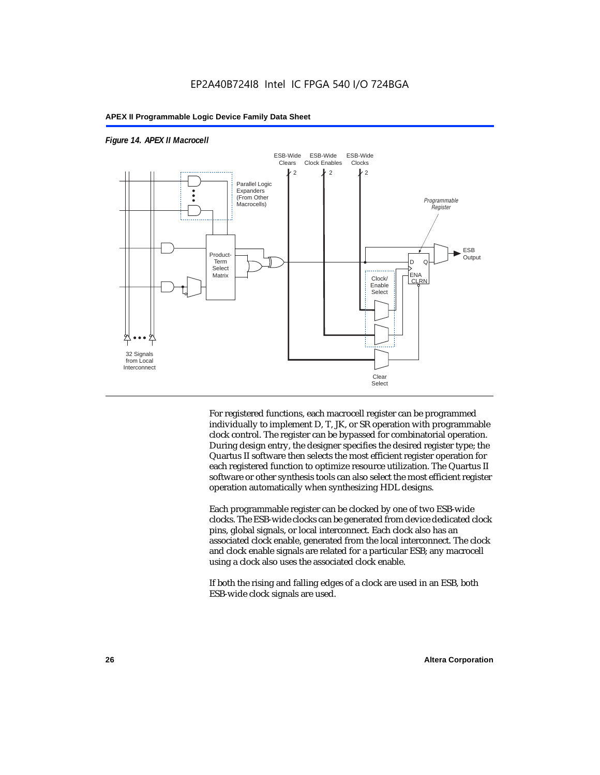



For registered functions, each macrocell register can be programmed individually to implement D, T, JK, or SR operation with programmable clock control. The register can be bypassed for combinatorial operation. During design entry, the designer specifies the desired register type; the Quartus II software then selects the most efficient register operation for each registered function to optimize resource utilization. The Quartus II software or other synthesis tools can also select the most efficient register operation automatically when synthesizing HDL designs.

Each programmable register can be clocked by one of two ESB-wide clocks. The ESB-wide clocks can be generated from device dedicated clock pins, global signals, or local interconnect. Each clock also has an associated clock enable, generated from the local interconnect. The clock and clock enable signals are related for a particular ESB; any macrocell using a clock also uses the associated clock enable.

If both the rising and falling edges of a clock are used in an ESB, both ESB-wide clock signals are used.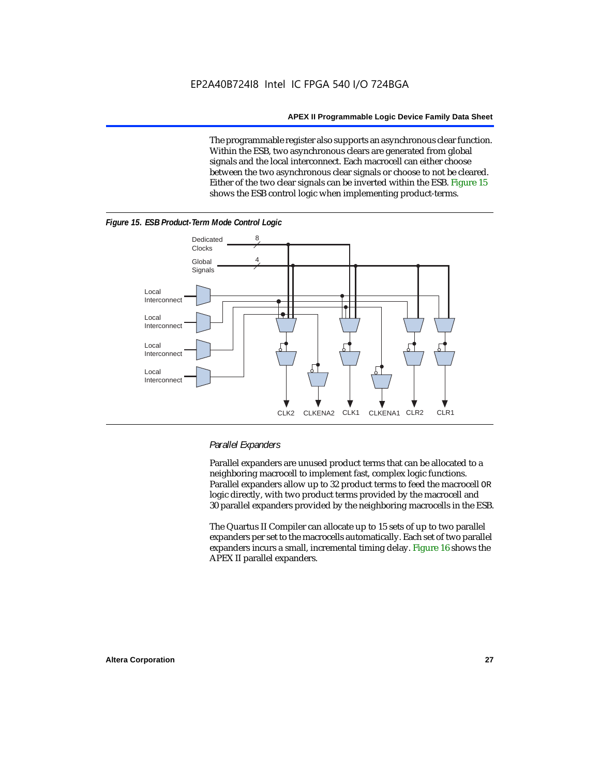The programmable register also supports an asynchronous clear function. Within the ESB, two asynchronous clears are generated from global signals and the local interconnect. Each macrocell can either choose between the two asynchronous clear signals or choose to not be cleared. Either of the two clear signals can be inverted within the ESB. Figure 15 shows the ESB control logic when implementing product-terms.



#### *Figure 15. ESB Product-Term Mode Control Logic*

#### *Parallel Expanders*

Parallel expanders are unused product terms that can be allocated to a neighboring macrocell to implement fast, complex logic functions. Parallel expanders allow up to 32 product terms to feed the macrocell OR logic directly, with two product terms provided by the macrocell and 30 parallel expanders provided by the neighboring macrocells in the ESB.

The Quartus II Compiler can allocate up to 15 sets of up to two parallel expanders per set to the macrocells automatically. Each set of two parallel expanders incurs a small, incremental timing delay. Figure 16 shows the APEX II parallel expanders.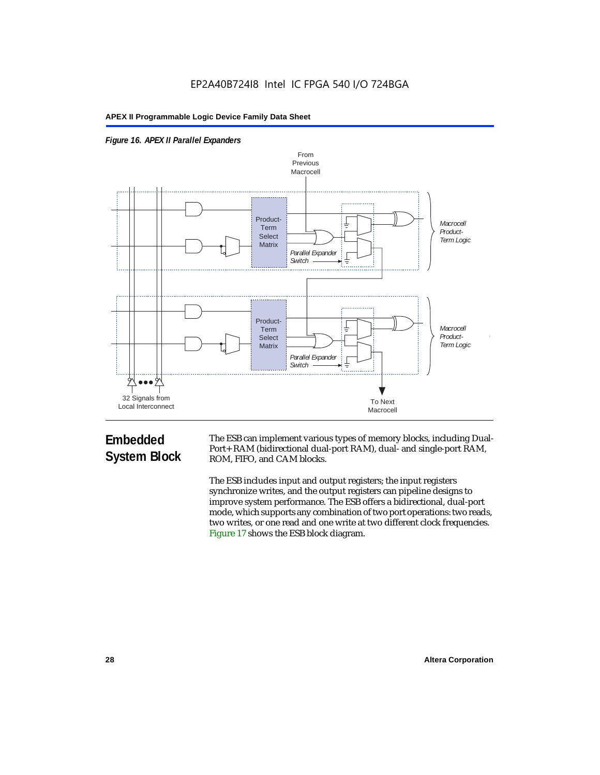



## **Embedded System Block**

The ESB can implement various types of memory blocks, including Dual-Port+ RAM (bidirectional dual-port RAM), dual- and single-port RAM, ROM, FIFO, and CAM blocks.

The ESB includes input and output registers; the input registers synchronize writes, and the output registers can pipeline designs to improve system performance. The ESB offers a bidirectional, dual-port mode, which supports any combination of two port operations: two reads, two writes, or one read and one write at two different clock frequencies. Figure 17 shows the ESB block diagram.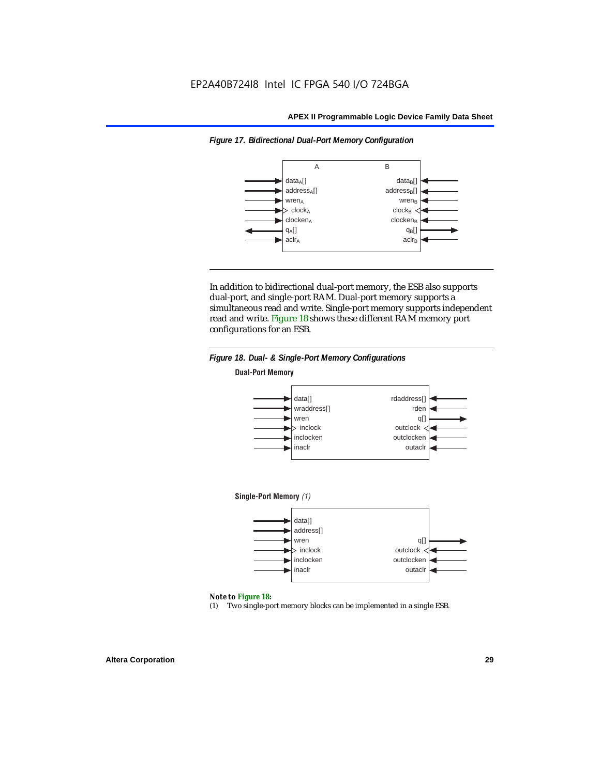

*Figure 17. Bidirectional Dual-Port Memory Configuration*

In addition to bidirectional dual-port memory, the ESB also supports dual-port, and single-port RAM. Dual-port memory supports a simultaneous read and write. Single-port memory supports independent read and write. Figure 18 shows these different RAM memory port configurations for an ESB.



#### *Note to Figure 18:*

(1) Two single-port memory blocks can be implemented in a single ESB.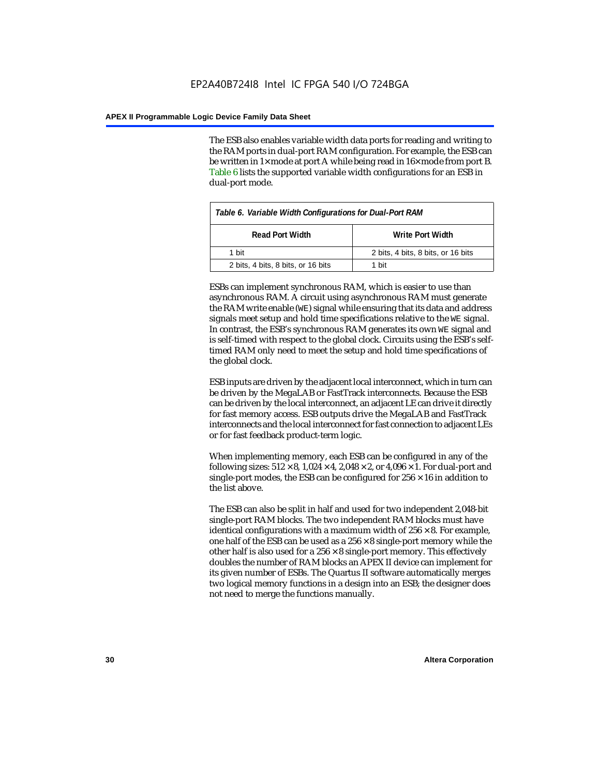The ESB also enables variable width data ports for reading and writing to the RAM ports in dual-port RAM configuration. For example, the ESB can be written in 1× mode at port A while being read in 16× mode from port B. Table 6 lists the supported variable width configurations for an ESB in dual-port mode.

| Table 6. Variable Width Configurations for Dual-Port RAM |                                    |  |  |  |
|----------------------------------------------------------|------------------------------------|--|--|--|
| <b>Read Port Width</b>                                   | Write Port Width                   |  |  |  |
| 1 hit                                                    | 2 bits, 4 bits, 8 bits, or 16 bits |  |  |  |
| 2 bits, 4 bits, 8 bits, or 16 bits                       | 1 hit                              |  |  |  |

ESBs can implement synchronous RAM, which is easier to use than asynchronous RAM. A circuit using asynchronous RAM must generate the RAM write enable (WE) signal while ensuring that its data and address signals meet setup and hold time specifications relative to the WE signal. In contrast, the ESB's synchronous RAM generates its own WE signal and is self-timed with respect to the global clock. Circuits using the ESB's selftimed RAM only need to meet the setup and hold time specifications of the global clock.

ESB inputs are driven by the adjacent local interconnect, which in turn can be driven by the MegaLAB or FastTrack interconnects. Because the ESB can be driven by the local interconnect, an adjacent LE can drive it directly for fast memory access. ESB outputs drive the MegaLAB and FastTrack interconnects and the local interconnect for fast connection to adjacent LEs or for fast feedback product-term logic.

When implementing memory, each ESB can be configured in any of the following sizes:  $512 \times 8$ ,  $1,024 \times 4$ ,  $2,048 \times 2$ , or  $4,096 \times 1$ . For dual-port and single-port modes, the ESB can be configured for  $256 \times 16$  in addition to the list above.

The ESB can also be split in half and used for two independent 2,048-bit single-port RAM blocks. The two independent RAM blocks must have identical configurations with a maximum width of  $256 \times 8$ . For example, one half of the ESB can be used as a  $256 \times 8$  single-port memory while the other half is also used for a  $256 \times 8$  single-port memory. This effectively doubles the number of RAM blocks an APEX II device can implement for its given number of ESBs. The Quartus II software automatically merges two logical memory functions in a design into an ESB; the designer does not need to merge the functions manually.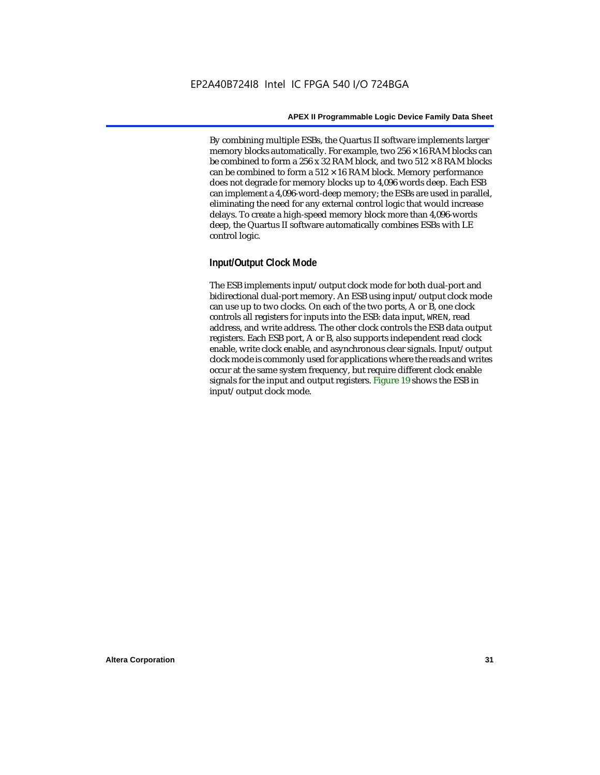By combining multiple ESBs, the Quartus II software implements larger memory blocks automatically. For example, two  $256 \times 16$  RAM blocks can be combined to form a 256 x 32 RAM block, and two  $512 \times 8$  RAM blocks can be combined to form a  $512 \times 16$  RAM block. Memory performance does not degrade for memory blocks up to 4,096 words deep. Each ESB can implement a 4,096-word-deep memory; the ESBs are used in parallel, eliminating the need for any external control logic that would increase delays. To create a high-speed memory block more than 4,096-words deep, the Quartus II software automatically combines ESBs with LE control logic.

#### **Input/Output Clock Mode**

The ESB implements input/output clock mode for both dual-port and bidirectional dual-port memory. An ESB using input/output clock mode can use up to two clocks. On each of the two ports, A or B, one clock controls all registers for inputs into the ESB: data input, WREN, read address, and write address. The other clock controls the ESB data output registers. Each ESB port, A or B, also supports independent read clock enable, write clock enable, and asynchronous clear signals. Input/output clock mode is commonly used for applications where the reads and writes occur at the same system frequency, but require different clock enable signals for the input and output registers. Figure 19 shows the ESB in input/output clock mode.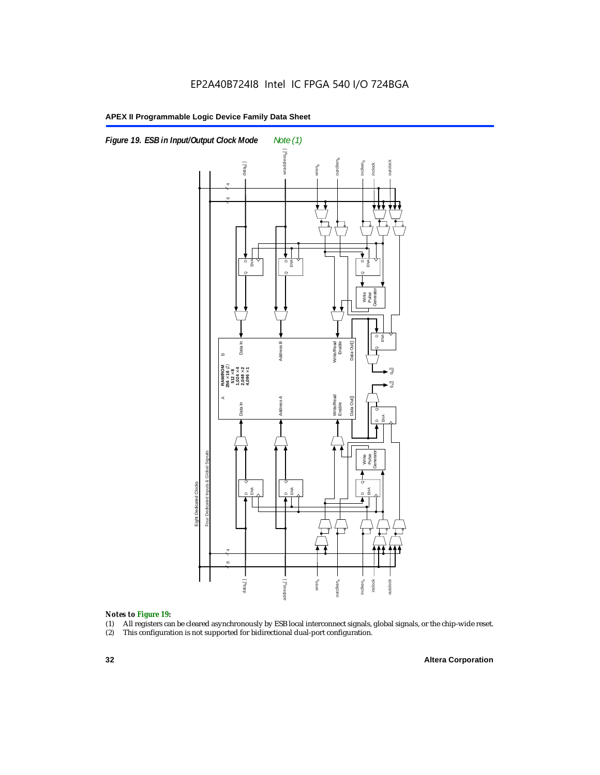

#### *Notes to Figure 19:*

- (1) All registers can be cleared asynchronously by ESB local interconnect signals, global signals, or the chip-wide reset.
-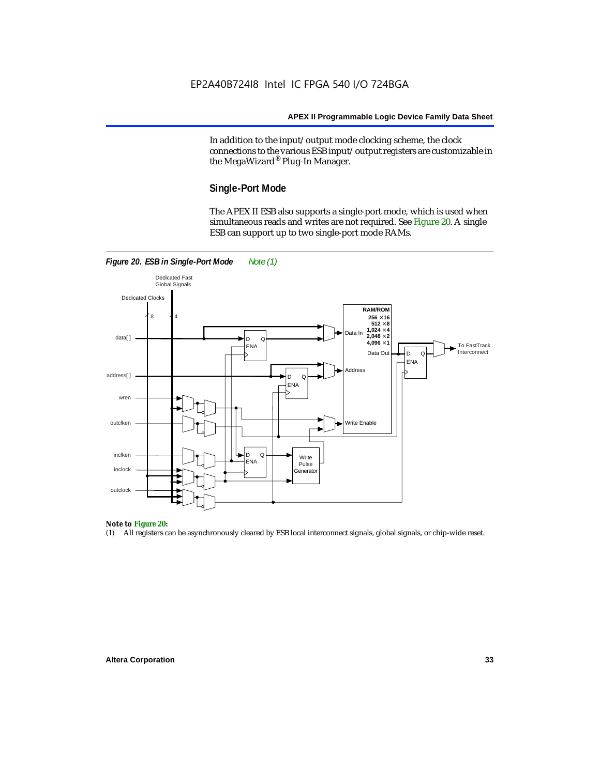In addition to the input/output mode clocking scheme, the clock connections to the various ESB input/output registers are customizable in the MegaWizard® Plug-In Manager.

#### **Single-Port Mode**

The APEX II ESB also supports a single-port mode, which is used when simultaneous reads and writes are not required. See Figure 20. A single ESB can support up to two single-port mode RAMs.



#### *Note to Figure 20:*

(1) All registers can be asynchronously cleared by ESB local interconnect signals, global signals, or chip-wide reset.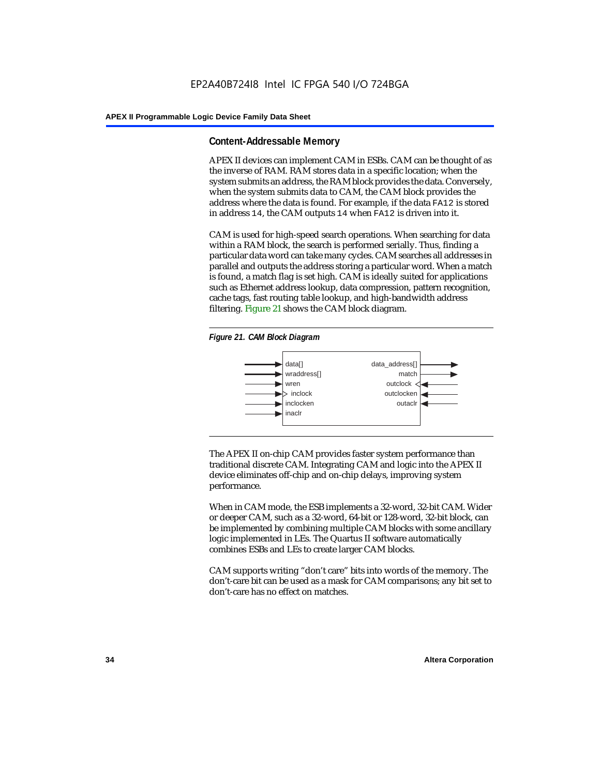#### **Content-Addressable Memory**

APEX II devices can implement CAM in ESBs. CAM can be thought of as the inverse of RAM. RAM stores data in a specific location; when the system submits an address, the RAM block provides the data. Conversely, when the system submits data to CAM, the CAM block provides the address where the data is found. For example, if the data FA12 is stored in address 14, the CAM outputs 14 when FA12 is driven into it.

CAM is used for high-speed search operations. When searching for data within a RAM block, the search is performed serially. Thus, finding a particular data word can take many cycles. CAM searches all addresses in parallel and outputs the address storing a particular word. When a match is found, a match flag is set high. CAM is ideally suited for applications such as Ethernet address lookup, data compression, pattern recognition, cache tags, fast routing table lookup, and high-bandwidth address filtering. Figure 21 shows the CAM block diagram.





The APEX II on-chip CAM provides faster system performance than traditional discrete CAM. Integrating CAM and logic into the APEX II device eliminates off-chip and on-chip delays, improving system performance.

When in CAM mode, the ESB implements a 32-word, 32-bit CAM. Wider or deeper CAM, such as a 32-word, 64-bit or 128-word, 32-bit block, can be implemented by combining multiple CAM blocks with some ancillary logic implemented in LEs. The Quartus II software automatically combines ESBs and LEs to create larger CAM blocks.

CAM supports writing "don't care" bits into words of the memory. The don't-care bit can be used as a mask for CAM comparisons; any bit set to don't-care has no effect on matches.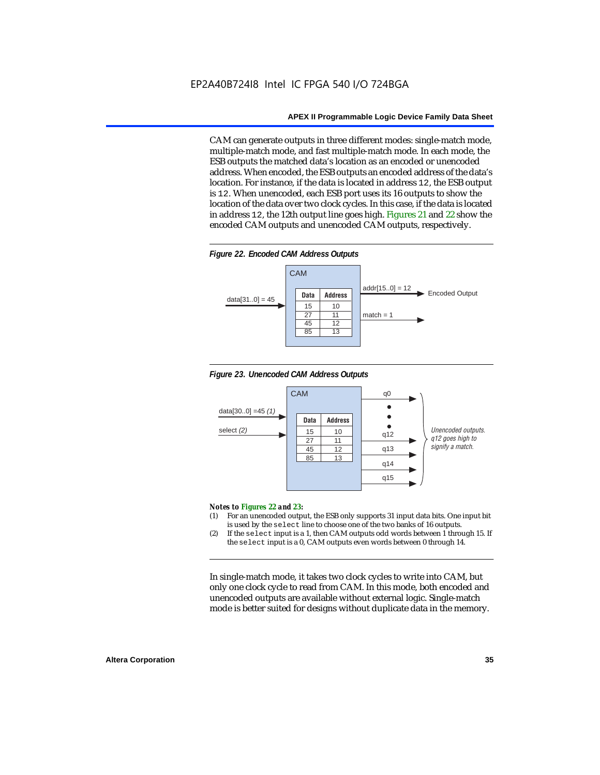CAM can generate outputs in three different modes: single-match mode, multiple-match mode, and fast multiple-match mode. In each mode, the ESB outputs the matched data's location as an encoded or unencoded address. When encoded, the ESB outputs an encoded address of the data's location. For instance, if the data is located in address 12, the ESB output is 12. When unencoded, each ESB port uses its 16 outputs to show the location of the data over two clock cycles. In this case, if the data is located in address 12, the 12th output line goes high. Figures 21 and 22 show the encoded CAM outputs and unencoded CAM outputs, respectively.









#### *Notes to Figures 22 and 23:*

- (1) For an unencoded output, the ESB only supports 31 input data bits. One input bit is used by the select line to choose one of the two banks of 16 outputs.
- (2) If the select input is a 1, then CAM outputs odd words between 1 through 15. If the select input is a 0, CAM outputs even words between 0 through 14.

In single-match mode, it takes two clock cycles to write into CAM, but only one clock cycle to read from CAM. In this mode, both encoded and unencoded outputs are available without external logic. Single-match mode is better suited for designs without duplicate data in the memory.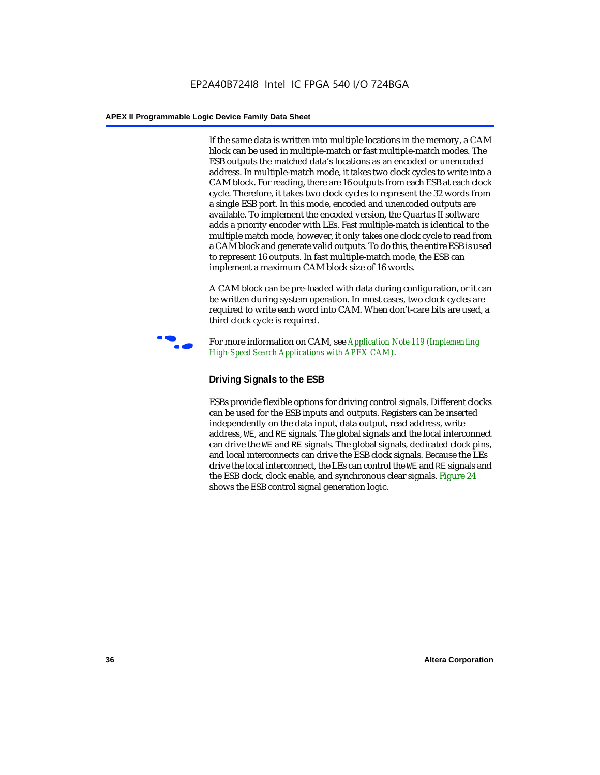If the same data is written into multiple locations in the memory, a CAM block can be used in multiple-match or fast multiple-match modes. The ESB outputs the matched data's locations as an encoded or unencoded address. In multiple-match mode, it takes two clock cycles to write into a CAM block. For reading, there are 16 outputs from each ESB at each clock cycle. Therefore, it takes two clock cycles to represent the 32 words from a single ESB port. In this mode, encoded and unencoded outputs are available. To implement the encoded version, the Quartus II software adds a priority encoder with LEs. Fast multiple-match is identical to the multiple match mode, however, it only takes one clock cycle to read from a CAM block and generate valid outputs. To do this, the entire ESB is used to represent 16 outputs. In fast multiple-match mode, the ESB can implement a maximum CAM block size of 16 words.

A CAM block can be pre-loaded with data during configuration, or it can be written during system operation. In most cases, two clock cycles are required to write each word into CAM. When don't-care bits are used, a third clock cycle is required.



f For more information on CAM, see *Application Note 119 (Implementing High-Speed Search Applications with APEX CAM)*.

# **Driving Signals to the ESB**

ESBs provide flexible options for driving control signals. Different clocks can be used for the ESB inputs and outputs. Registers can be inserted independently on the data input, data output, read address, write address, WE, and RE signals. The global signals and the local interconnect can drive the WE and RE signals. The global signals, dedicated clock pins, and local interconnects can drive the ESB clock signals. Because the LEs drive the local interconnect, the LEs can control the WE and RE signals and the ESB clock, clock enable, and synchronous clear signals. Figure 24 shows the ESB control signal generation logic.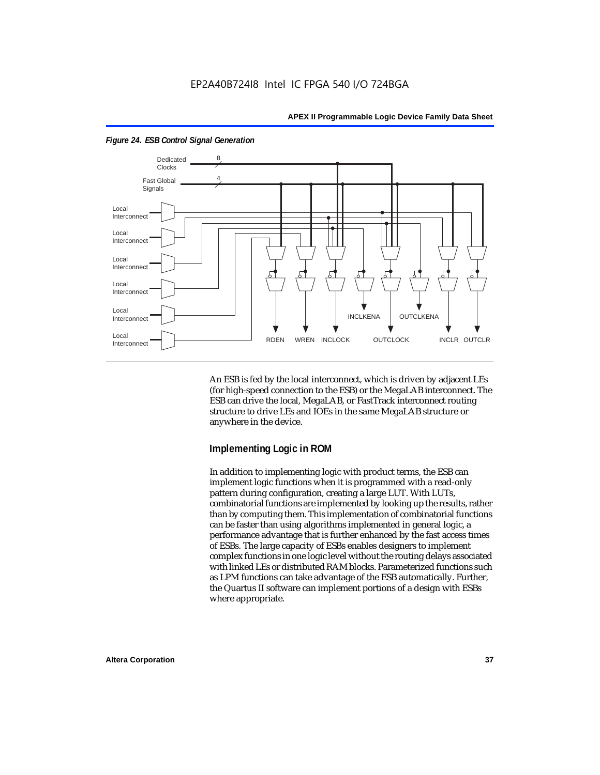

*Figure 24. ESB Control Signal Generation*

An ESB is fed by the local interconnect, which is driven by adjacent LEs (for high-speed connection to the ESB) or the MegaLAB interconnect. The ESB can drive the local, MegaLAB, or FastTrack interconnect routing structure to drive LEs and IOEs in the same MegaLAB structure or anywhere in the device.

#### **Implementing Logic in ROM**

In addition to implementing logic with product terms, the ESB can implement logic functions when it is programmed with a read-only pattern during configuration, creating a large LUT. With LUTs, combinatorial functions are implemented by looking up the results, rather than by computing them. This implementation of combinatorial functions can be faster than using algorithms implemented in general logic, a performance advantage that is further enhanced by the fast access times of ESBs. The large capacity of ESBs enables designers to implement complex functions in one logic level without the routing delays associated with linked LEs or distributed RAM blocks. Parameterized functions such as LPM functions can take advantage of the ESB automatically. Further, the Quartus II software can implement portions of a design with ESBs where appropriate.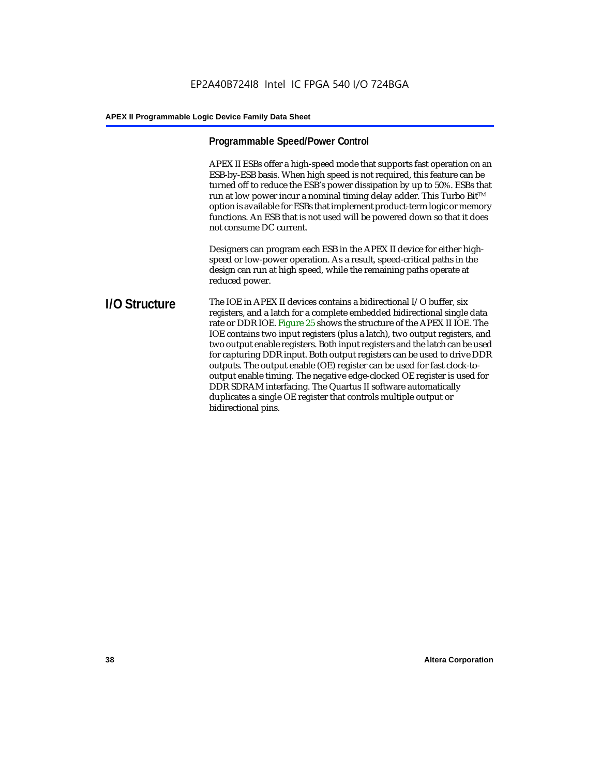# **Programmable Speed/Power Control**

APEX II ESBs offer a high-speed mode that supports fast operation on an ESB-by-ESB basis. When high speed is not required, this feature can be turned off to reduce the ESB's power dissipation by up to 50%. ESBs that run at low power incur a nominal timing delay adder. This Turbo Bit $TM$ option is available for ESBs that implement product-term logic or memory functions. An ESB that is not used will be powered down so that it does not consume DC current.

Designers can program each ESB in the APEX II device for either highspeed or low-power operation. As a result, speed-critical paths in the design can run at high speed, while the remaining paths operate at reduced power.

**I/O Structure** The IOE in APEX II devices contains a bidirectional I/O buffer, six registers, and a latch for a complete embedded bidirectional single data rate or DDR IOE. Figure 25 shows the structure of the APEX II IOE. The IOE contains two input registers (plus a latch), two output registers, and two output enable registers. Both input registers and the latch can be used for capturing DDR input. Both output registers can be used to drive DDR outputs. The output enable (OE) register can be used for fast clock-tooutput enable timing. The negative edge-clocked OE register is used for DDR SDRAM interfacing. The Quartus II software automatically duplicates a single OE register that controls multiple output or bidirectional pins.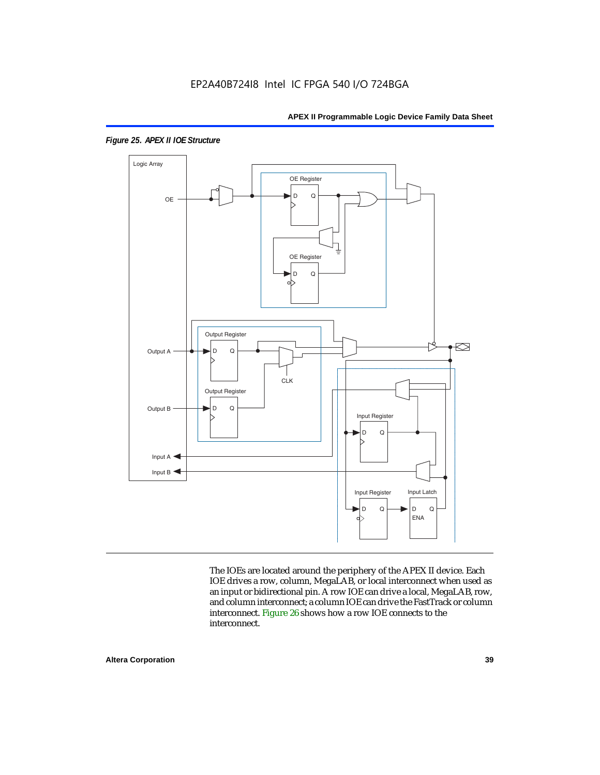

*Figure 25. APEX II IOE Structure*

The IOEs are located around the periphery of the APEX II device. Each IOE drives a row, column, MegaLAB, or local interconnect when used as an input or bidirectional pin. A row IOE can drive a local, MegaLAB, row, and column interconnect; a column IOE can drive the FastTrack or column interconnect. Figure 26 shows how a row IOE connects to the interconnect.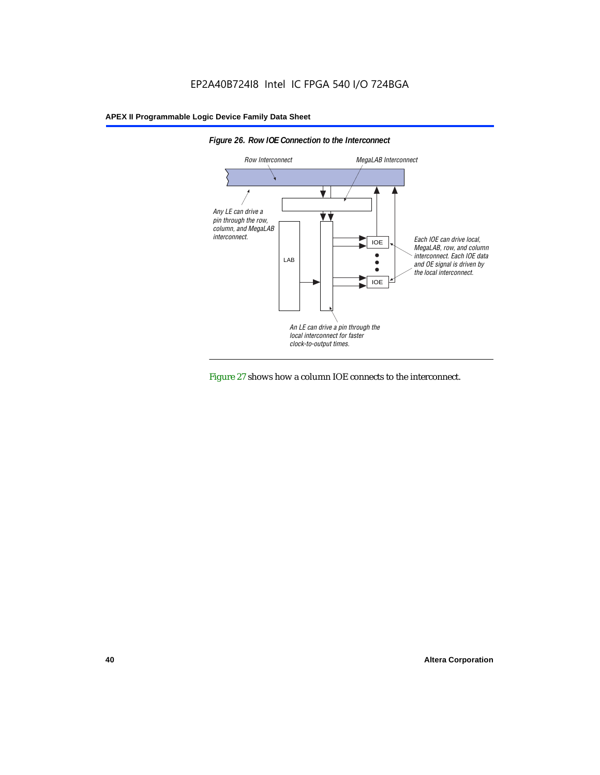



Figure 27 shows how a column IOE connects to the interconnect.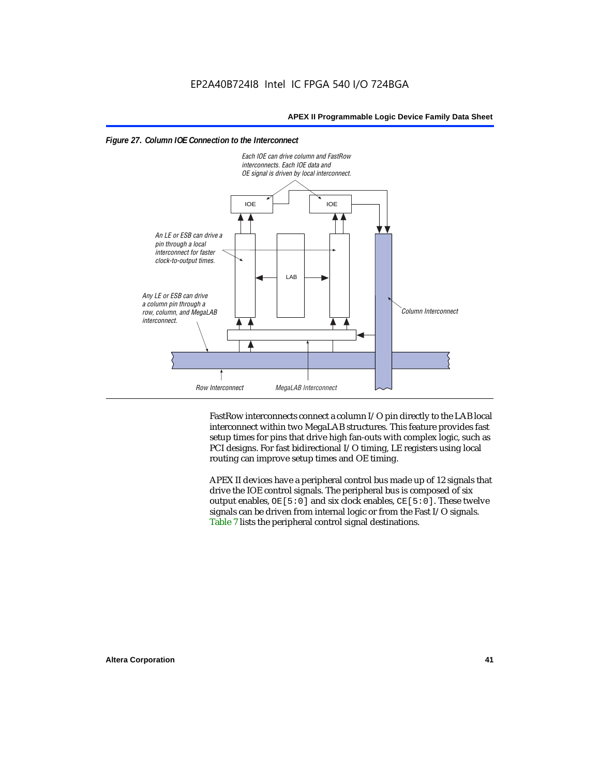



FastRow interconnects connect a column I/O pin directly to the LAB local interconnect within two MegaLAB structures. This feature provides fast setup times for pins that drive high fan-outs with complex logic, such as PCI designs. For fast bidirectional I/O timing, LE registers using local routing can improve setup times and OE timing.

APEX II devices have a peripheral control bus made up of 12 signals that drive the IOE control signals. The peripheral bus is composed of six output enables,  $OE[5:0]$  and six clock enables,  $CE[5:0]$ . These twelve signals can be driven from internal logic or from the Fast I/O signals. Table 7 lists the peripheral control signal destinations.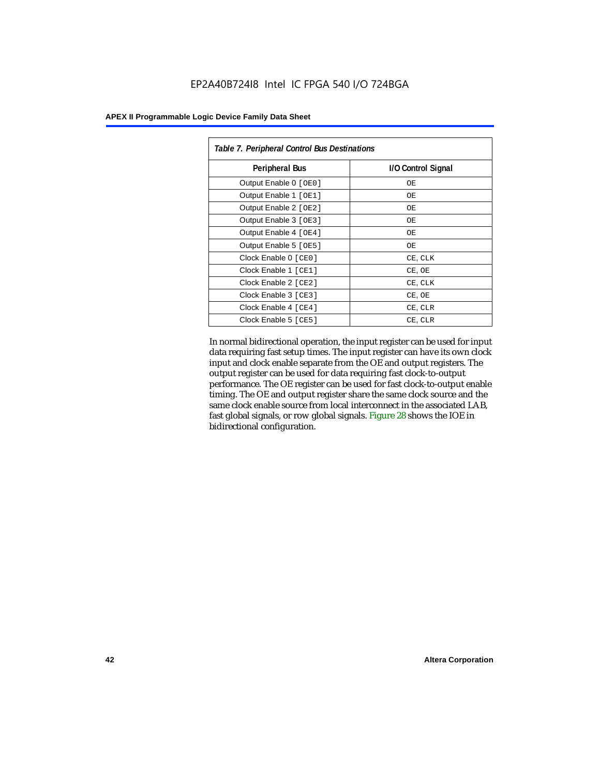| <b>APEX II Programmable Logic Device Family Data Sheet</b> |  |  |  |
|------------------------------------------------------------|--|--|--|
|------------------------------------------------------------|--|--|--|

| Table 7. Peripheral Control Bus Destinations |                    |  |  |  |  |
|----------------------------------------------|--------------------|--|--|--|--|
| <b>Peripheral Bus</b>                        | I/O Control Signal |  |  |  |  |
| Output Enable 0 [OE0]                        | OЕ                 |  |  |  |  |
| Output Enable 1 [OE1]                        | ОE                 |  |  |  |  |
| Output Enable 2 [OE2]                        | OЕ                 |  |  |  |  |
| Output Enable 3 [OE3]                        | OЕ                 |  |  |  |  |
| Output Enable 4 [OE4]                        | OE                 |  |  |  |  |
| Output Enable 5 [OE5]                        | OЕ                 |  |  |  |  |
| Clock Enable 0 [ CEO ]                       | CE, CLK            |  |  |  |  |
| Clock Enable 1 [CE1]                         | CE, OE             |  |  |  |  |
| Clock Enable 2 [ CE2 ]                       | CE, CLK            |  |  |  |  |
| Clock Enable 3 [CE3]                         | CE, OE             |  |  |  |  |
| Clock Enable 4 [CE4]                         | CE, CLR            |  |  |  |  |
| Clock Enable 5 [ CE5 ]                       | CE, CLR            |  |  |  |  |

In normal bidirectional operation, the input register can be used for input data requiring fast setup times. The input register can have its own clock input and clock enable separate from the OE and output registers. The output register can be used for data requiring fast clock-to-output performance. The OE register can be used for fast clock-to-output enable timing. The OE and output register share the same clock source and the same clock enable source from local interconnect in the associated LAB, fast global signals, or row global signals. Figure 28 shows the IOE in bidirectional configuration.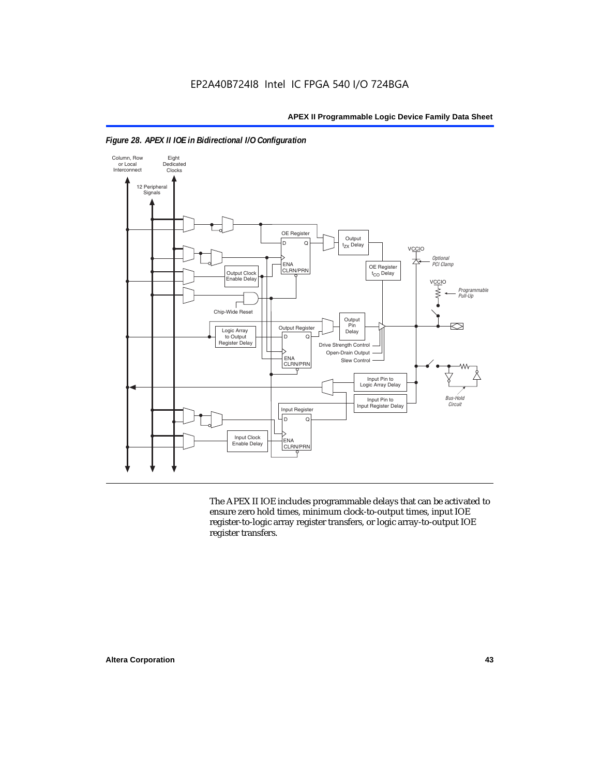



The APEX II IOE includes programmable delays that can be activated to ensure zero hold times, minimum clock-to-output times, input IOE register-to-logic array register transfers, or logic array-to-output IOE register transfers.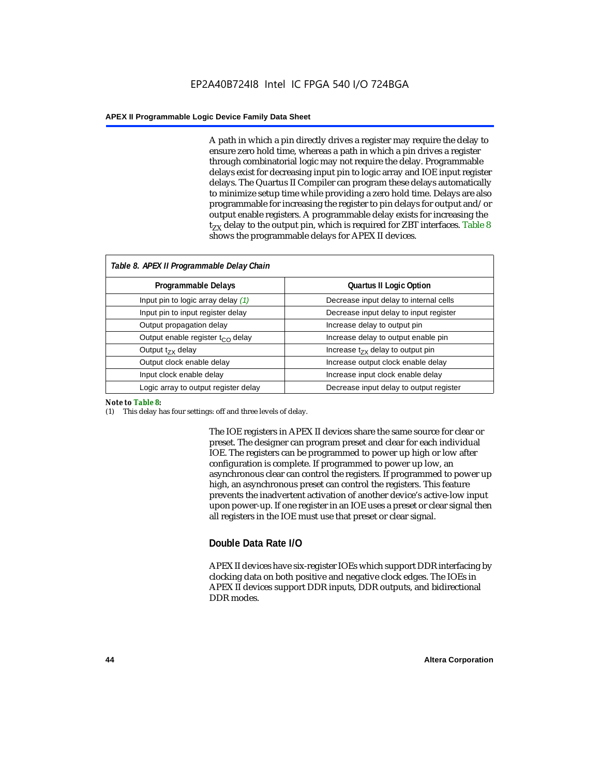A path in which a pin directly drives a register may require the delay to ensure zero hold time, whereas a path in which a pin drives a register through combinatorial logic may not require the delay. Programmable delays exist for decreasing input pin to logic array and IOE input register delays. The Quartus II Compiler can program these delays automatically to minimize setup time while providing a zero hold time. Delays are also programmable for increasing the register to pin delays for output and/or output enable registers. A programmable delay exists for increasing the  $t_{ZX}$  delay to the output pin, which is required for ZBT interfaces. Table 8 shows the programmable delays for APEX II devices.

| Table 8. APEX II Programmable Delay Chain |                                         |
|-------------------------------------------|-----------------------------------------|
| Programmable Delays                       | <b>Quartus II Logic Option</b>          |
| Input pin to logic array delay $(1)$      | Decrease input delay to internal cells  |
| Input pin to input register delay         | Decrease input delay to input register  |
| Output propagation delay                  | Increase delay to output pin            |
| Output enable register $t_{\rm CO}$ delay | Increase delay to output enable pin     |
| Output $t_{\rm rx}$ delay                 | Increase $t_{zx}$ delay to output pin   |
| Output clock enable delay                 | Increase output clock enable delay      |
| Input clock enable delay                  | Increase input clock enable delay       |
| Logic array to output register delay      | Decrease input delay to output register |

#### *Note to Table 8:*

(1) This delay has four settings: off and three levels of delay.

The IOE registers in APEX II devices share the same source for clear or preset. The designer can program preset and clear for each individual IOE. The registers can be programmed to power up high or low after configuration is complete. If programmed to power up low, an asynchronous clear can control the registers. If programmed to power up high, an asynchronous preset can control the registers. This feature prevents the inadvertent activation of another device's active-low input upon power-up. If one register in an IOE uses a preset or clear signal then all registers in the IOE must use that preset or clear signal.

#### **Double Data Rate I/O**

APEX II devices have six-register IOEs which support DDR interfacing by clocking data on both positive and negative clock edges. The IOEs in APEX II devices support DDR inputs, DDR outputs, and bidirectional DDR modes.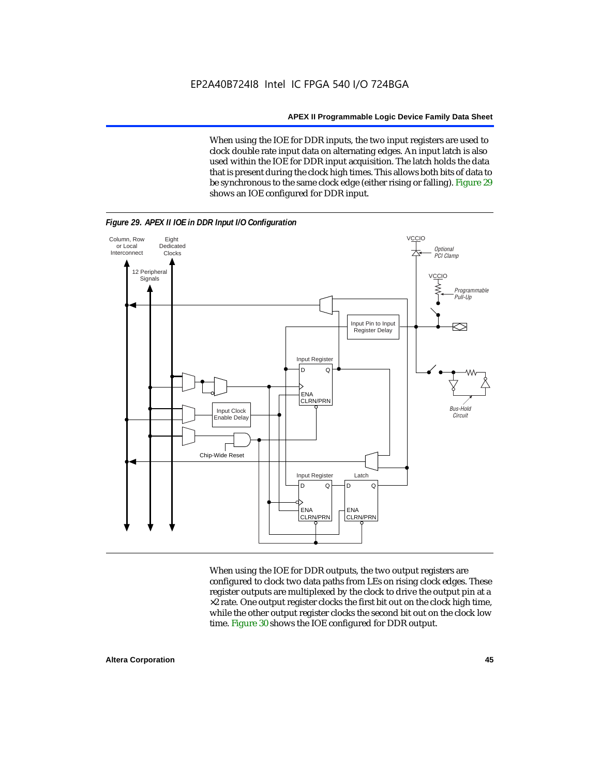When using the IOE for DDR inputs, the two input registers are used to clock double rate input data on alternating edges. An input latch is also used within the IOE for DDR input acquisition. The latch holds the data that is present during the clock high times. This allows both bits of data to be synchronous to the same clock edge (either rising or falling). Figure 29 shows an IOE configured for DDR input.



When using the IOE for DDR outputs, the two output registers are configured to clock two data paths from LEs on rising clock edges. These register outputs are multiplexed by the clock to drive the output pin at a  $\times 2$  rate. One output register clocks the first bit out on the clock high time, while the other output register clocks the second bit out on the clock low time. Figure 30 shows the IOE configured for DDR output.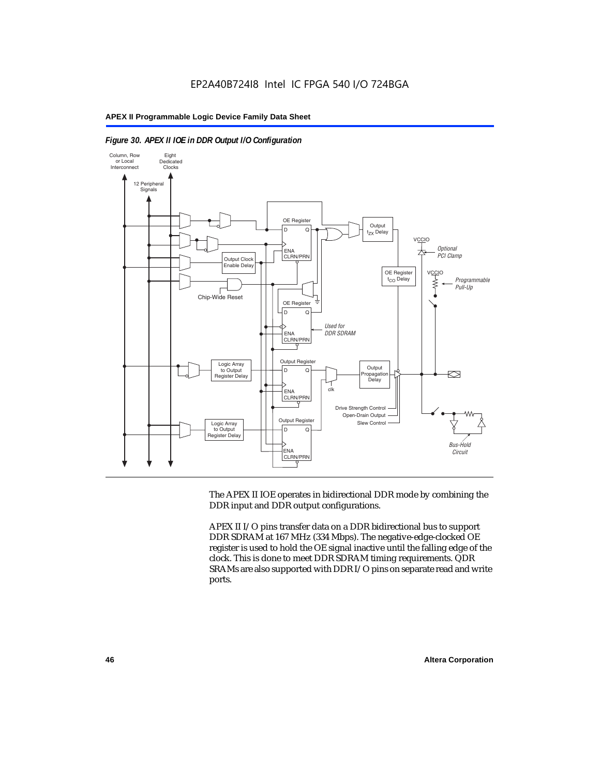



The APEX II IOE operates in bidirectional DDR mode by combining the DDR input and DDR output configurations.

APEX II I/O pins transfer data on a DDR bidirectional bus to support DDR SDRAM at 167 MHz (334 Mbps). The negative-edge-clocked OE register is used to hold the OE signal inactive until the falling edge of the clock. This is done to meet DDR SDRAM timing requirements. QDR SRAMs are also supported with DDR I/O pins on separate read and write ports.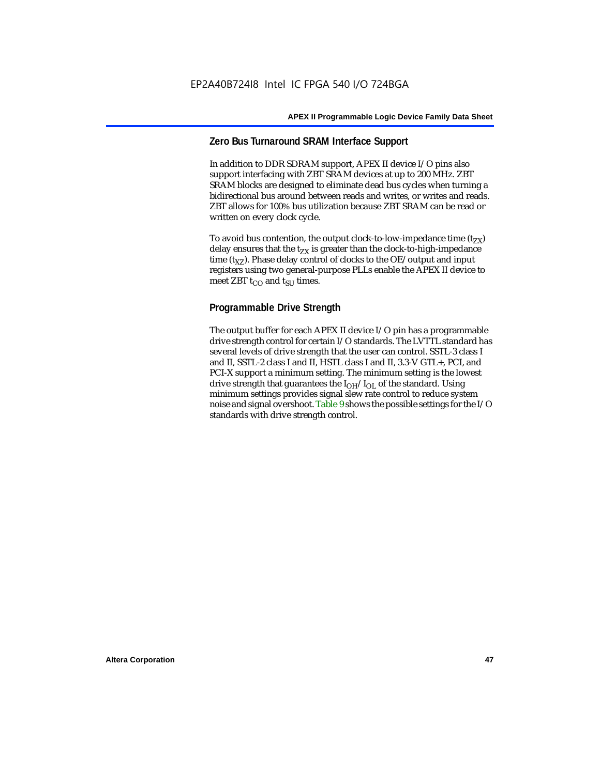### **Zero Bus Turnaround SRAM Interface Support**

In addition to DDR SDRAM support, APEX II device I/O pins also support interfacing with ZBT SRAM devices at up to 200 MHz. ZBT SRAM blocks are designed to eliminate dead bus cycles when turning a bidirectional bus around between reads and writes, or writes and reads. ZBT allows for 100% bus utilization because ZBT SRAM can be read or written on every clock cycle.

To avoid bus contention, the output clock-to-low-impedance time  $(t_{ZX})$ delay ensures that the  $t_{ZX}$  is greater than the clock-to-high-impedance time  $(t_{\text{YZ}})$ . Phase delay control of clocks to the OE/output and input registers using two general-purpose PLLs enable the APEX II device to meet ZBT  $t_{CO}$  and  $t_{SUI}$  times.

# **Programmable Drive Strength**

The output buffer for each APEX II device I/O pin has a programmable drive strength control for certain I/O standards. The LVTTL standard has several levels of drive strength that the user can control. SSTL-3 class I and II, SSTL-2 class I and II, HSTL class I and II, 3.3-V GTL+, PCI, and PCI-X support a minimum setting. The minimum setting is the lowest drive strength that guarantees the  $I<sub>OH</sub>/I<sub>OL</sub>$  of the standard. Using minimum settings provides signal slew rate control to reduce system noise and signal overshoot. Table 9 shows the possible settings for the I/O standards with drive strength control.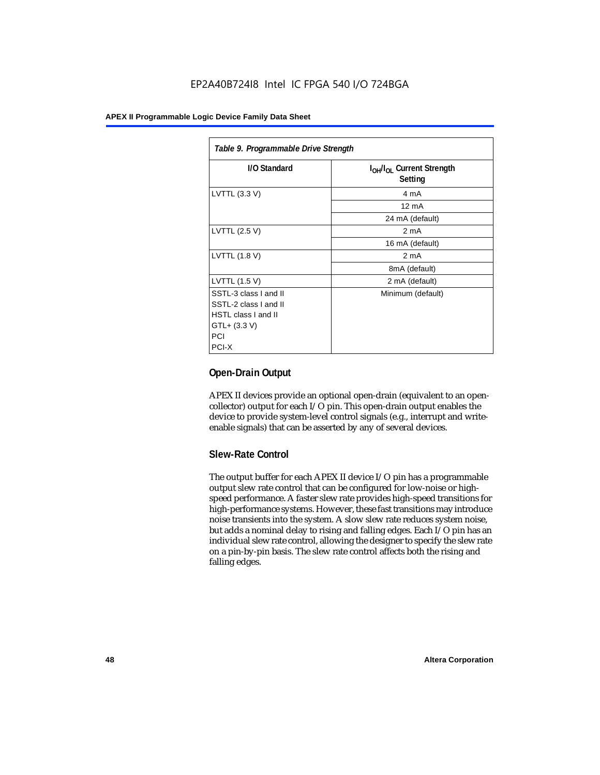| Table 9. Programmable Drive Strength |                                                              |  |  |  |  |
|--------------------------------------|--------------------------------------------------------------|--|--|--|--|
| I/O Standard                         | I <sub>OH</sub> /I <sub>OL</sub> Current Strength<br>Setting |  |  |  |  |
| LVTTL (3.3 V)                        | 4 mA                                                         |  |  |  |  |
|                                      | $12 \text{ mA}$                                              |  |  |  |  |
|                                      | 24 mA (default)                                              |  |  |  |  |
| LVTTL (2.5 V)                        | 2 <sub>m</sub> A                                             |  |  |  |  |
|                                      | 16 mA (default)                                              |  |  |  |  |
| LVTTL (1.8 V)                        | 2 mA                                                         |  |  |  |  |
|                                      | 8mA (default)                                                |  |  |  |  |
| LVTTL (1.5 V)                        | 2 mA (default)                                               |  |  |  |  |
| SSTL-3 class I and II                | Minimum (default)                                            |  |  |  |  |
| SSTL-2 class I and II                |                                                              |  |  |  |  |
| HSTL class I and II                  |                                                              |  |  |  |  |
| GTL+ (3.3 V)                         |                                                              |  |  |  |  |
| PCI                                  |                                                              |  |  |  |  |
| PCI-X                                |                                                              |  |  |  |  |

# **Open-Drain Output**

APEX II devices provide an optional open-drain (equivalent to an opencollector) output for each I/O pin. This open-drain output enables the device to provide system-level control signals (e.g., interrupt and writeenable signals) that can be asserted by any of several devices.

# **Slew-Rate Control**

The output buffer for each APEX II device I/O pin has a programmable output slew rate control that can be configured for low-noise or highspeed performance. A faster slew rate provides high-speed transitions for high-performance systems. However, these fast transitions may introduce noise transients into the system. A slow slew rate reduces system noise, but adds a nominal delay to rising and falling edges. Each I/O pin has an individual slew rate control, allowing the designer to specify the slew rate on a pin-by-pin basis. The slew rate control affects both the rising and falling edges.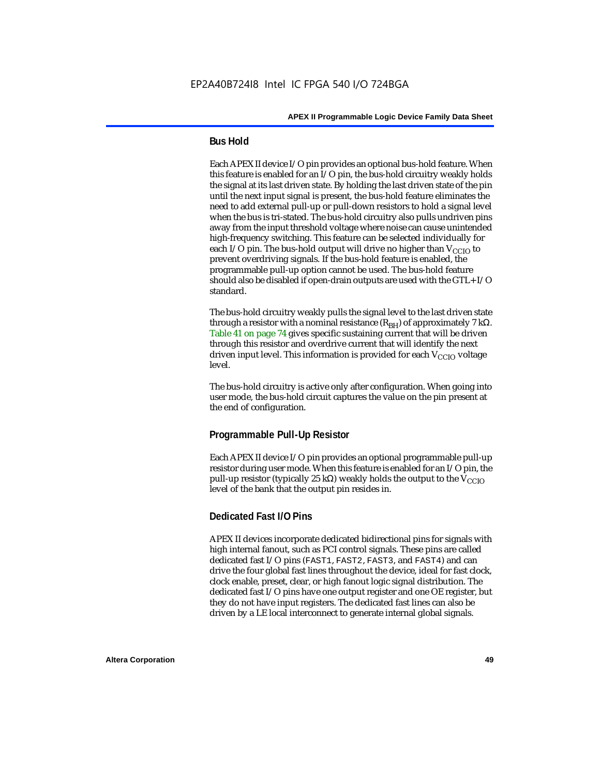### **Bus Hold**

Each APEX II device I/O pin provides an optional bus-hold feature. When this feature is enabled for an I/O pin, the bus-hold circuitry weakly holds the signal at its last driven state. By holding the last driven state of the pin until the next input signal is present, the bus-hold feature eliminates the need to add external pull-up or pull-down resistors to hold a signal level when the bus is tri-stated. The bus-hold circuitry also pulls undriven pins away from the input threshold voltage where noise can cause unintended high-frequency switching. This feature can be selected individually for each I/O pin. The bus-hold output will drive no higher than  $V_{CCIO}$  to prevent overdriving signals. If the bus-hold feature is enabled, the programmable pull-up option cannot be used. The bus-hold feature should also be disabled if open-drain outputs are used with the GTL+ I/O standard.

The bus-hold circuitry weakly pulls the signal level to the last driven state through a resistor with a nominal resistance  $(R_{BH})$  of approximately 7 kΩ. Table 41 on page 74 gives specific sustaining current that will be driven through this resistor and overdrive current that will identify the next driven input level. This information is provided for each  $V_{CCIO}$  voltage level.

The bus-hold circuitry is active only after configuration. When going into user mode, the bus-hold circuit captures the value on the pin present at the end of configuration.

# **Programmable Pull-Up Resistor**

Each APEX II device I/O pin provides an optional programmable pull-up resistor during user mode. When this feature is enabled for an I/O pin, the pull-up resistor (typically 25 kΩ) weakly holds the output to the  $V_{CCIO}$ level of the bank that the output pin resides in.

#### **Dedicated Fast I/O Pins**

APEX II devices incorporate dedicated bidirectional pins for signals with high internal fanout, such as PCI control signals. These pins are called dedicated fast I/O pins (FAST1, FAST2, FAST3, and FAST4) and can drive the four global fast lines throughout the device, ideal for fast clock, clock enable, preset, clear, or high fanout logic signal distribution. The dedicated fast I/O pins have one output register and one OE register, but they do not have input registers. The dedicated fast lines can also be driven by a LE local interconnect to generate internal global signals.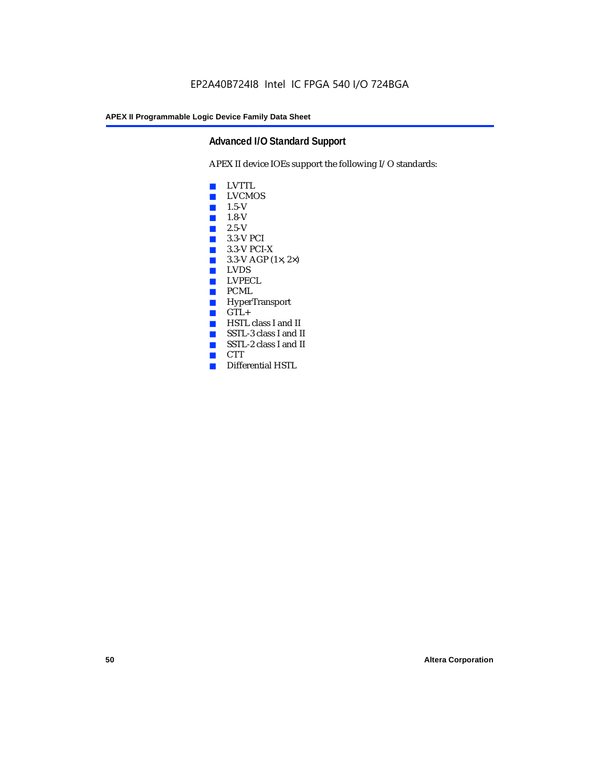# **Advanced I/O Standard Support**

APEX II device IOEs support the following I/O standards:

- LVTTL
- LVCMOS
- 1.5-V
- 1.8-V
- 2.5-V
- 3.3-V PCI
- 3.3-V PCI-X
- $\blacksquare$  3.3-V AGP (1 $\times$ , 2 $\times$ )
- LVDS<br>■ LVPE
- LVPECL
- PCML
- HyperTransport
- GTL+<br>■ HSTL
- HSTL class I and II
- SSTL-3 class I and II
- SSTL-2 class I and II
- CTT
- Differential HSTL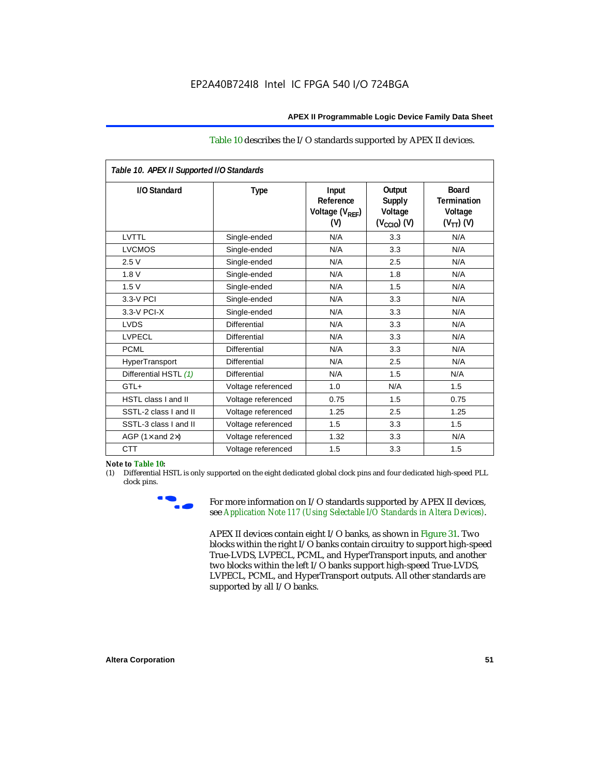| Table 10 describes the I/O standards supported by APEX II devices. |
|--------------------------------------------------------------------|
|--------------------------------------------------------------------|

| Table 10. APEX II Supported I/O Standards |                    |                                                  |                                                               |                                                                   |  |  |
|-------------------------------------------|--------------------|--------------------------------------------------|---------------------------------------------------------------|-------------------------------------------------------------------|--|--|
| I/O Standard                              | <b>Type</b>        | Input<br>Reference<br>Voltage $(V_{RFF})$<br>(V) | Output<br><b>Supply</b><br>Voltage<br>$(V_{\text{CCIO}})$ (V) | <b>Board</b><br><b>Termination</b><br>Voltage<br>$(V_{TT})$ $(V)$ |  |  |
| LVTTL                                     | Single-ended       | N/A                                              | 3.3                                                           | N/A                                                               |  |  |
| <b>LVCMOS</b>                             | Single-ended       | N/A                                              | 3.3                                                           | N/A                                                               |  |  |
| 2.5V                                      | Single-ended       | N/A                                              | 2.5                                                           | N/A                                                               |  |  |
| 1.8V                                      | Single-ended       | N/A                                              | 1.8                                                           | N/A                                                               |  |  |
| 1.5V                                      | Single-ended       | N/A                                              | 1.5                                                           | N/A                                                               |  |  |
| 3.3-V PCI                                 | Single-ended       | N/A                                              | 3.3                                                           | N/A                                                               |  |  |
| $3.3-V$ PCI-X                             | Single-ended       | N/A                                              | 3.3                                                           | N/A                                                               |  |  |
| <b>LVDS</b>                               | Differential       | N/A                                              | 3.3                                                           | N/A                                                               |  |  |
| <b>LVPECL</b>                             | Differential       | N/A                                              | 3.3                                                           | N/A                                                               |  |  |
| <b>PCML</b>                               | Differential       | N/A                                              | 3.3                                                           | N/A                                                               |  |  |
| HyperTransport                            | Differential       | N/A                                              | 2.5                                                           | N/A                                                               |  |  |
| Differential HSTL (1)                     | Differential       | N/A                                              | 1.5                                                           | N/A                                                               |  |  |
| GTL+                                      | Voltage referenced | 1.0                                              | N/A                                                           | 1.5                                                               |  |  |
| <b>HSTL class I and II</b>                | Voltage referenced | 0.75                                             | 1.5                                                           | 0.75                                                              |  |  |
| SSTL-2 class I and II                     | Voltage referenced | 1.25                                             | 2.5                                                           | 1.25                                                              |  |  |
| SSTL-3 class I and II                     | Voltage referenced | 1.5                                              | 3.3                                                           | 1.5                                                               |  |  |
| AGP (1 $\times$ and 2 $\times$ )          | Voltage referenced | 1.32                                             | 3.3                                                           | N/A                                                               |  |  |
| <b>CTT</b>                                | Voltage referenced | 1.5                                              | 3.3                                                           | 1.5                                                               |  |  |

#### *Note to Table 10:*

(1) Differential HSTL is only supported on the eight dedicated global clock pins and four dedicated high-speed PLL clock pins.



For more information on I/O standards supported by APEX II devices, see *Application Note 117 (Using Selectable I/O Standards in Altera Devices)*.

APEX II devices contain eight I/O banks, as shown in Figure 31. Two blocks within the right I/O banks contain circuitry to support high-speed True-LVDS, LVPECL, PCML, and HyperTransport inputs, and another two blocks within the left I/O banks support high-speed True-LVDS, LVPECL, PCML, and HyperTransport outputs. All other standards are supported by all I/O banks.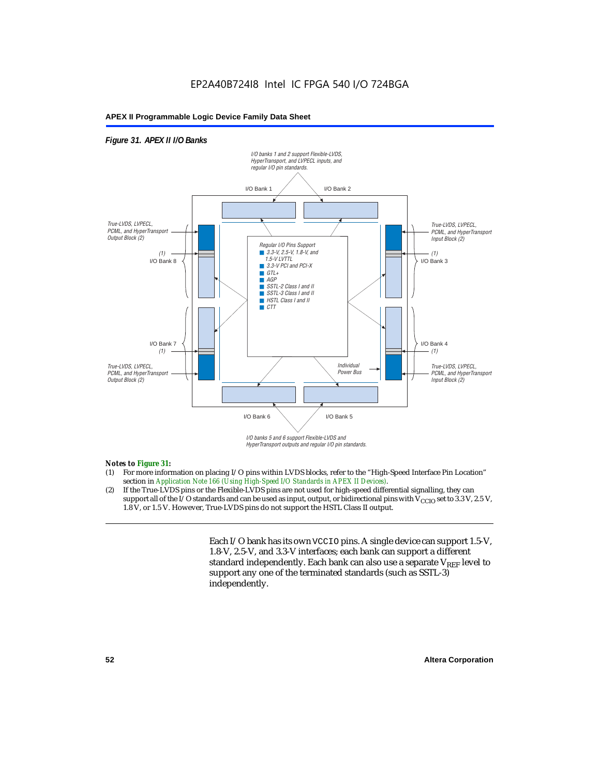#### *Figure 31. APEX II I/O Banks*



HyperTransport outputs and regular I/O pin standards.

#### *Notes to Figure 31:*

- (1) For more information on placing I/O pins within LVDS blocks, refer to the "High-Speed Interface Pin Location" section in *Application Note 166 (Using High-Speed I/O Standards in APEX II Devices)*.
- (2) If the True-LVDS pins or the Flexible-LVDS pins are not used for high-speed differential signalling, they can support all of the I/O standards and can be used as input, output, or bidirectional pins with  $V_{CCIO}$  set to 3.3 V, 2.5 V, 1.8 V, or 1.5 V. However, True-LVDS pins do not support the HSTL Class II output.

Each I/O bank has its own VCCIO pins. A single device can support 1.5-V, 1.8-V, 2.5-V, and 3.3-V interfaces; each bank can support a different standard independently. Each bank can also use a separate  $V_{REF}$  level to support any one of the terminated standards (such as SSTL-3) independently.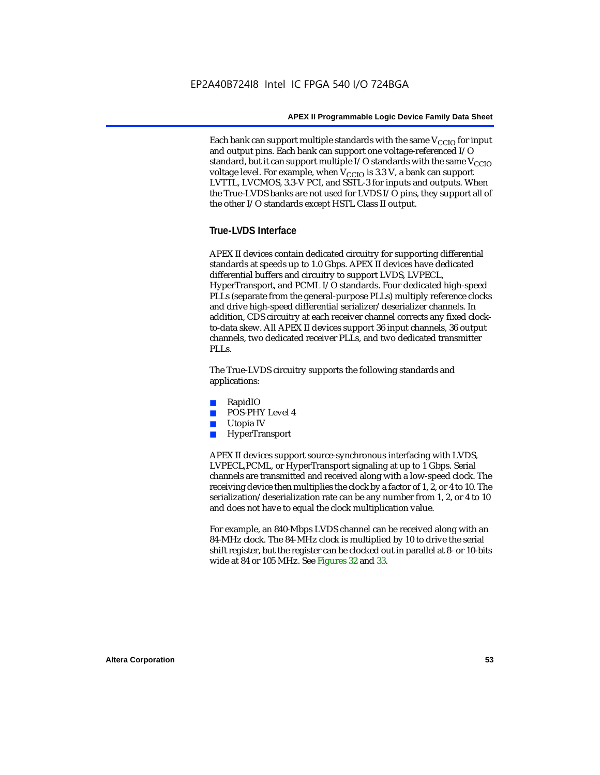Each bank can support multiple standards with the same  $V_{\text{CCIO}}$  for input and output pins. Each bank can support one voltage-referenced I/O standard, but it can support multiple I/O standards with the same  $V_{CCIO}$ voltage level. For example, when  $V_{CCIO}$  is 3.3 V, a bank can support LVTTL, LVCMOS, 3.3-V PCI, and SSTL-3 for inputs and outputs. When the True-LVDS banks are not used for LVDS I/O pins, they support all of the other I/O standards except HSTL Class II output.

# **True-LVDS Interface**

APEX II devices contain dedicated circuitry for supporting differential standards at speeds up to 1.0 Gbps. APEX II devices have dedicated differential buffers and circuitry to support LVDS, LVPECL, HyperTransport, and PCML I/O standards. Four dedicated high-speed PLLs (separate from the general-purpose PLLs) multiply reference clocks and drive high-speed differential serializer/deserializer channels. In addition, CDS circuitry at each receiver channel corrects any fixed clockto-data skew. All APEX II devices support 36 input channels, 36 output channels, two dedicated receiver PLLs, and two dedicated transmitter PLL<sub>s</sub>.

The True-LVDS circuitry supports the following standards and applications:

- RapidIO
- POS-PHY Level 4
- Utopia IV
- **HyperTransport**

APEX II devices support source-synchronous interfacing with LVDS, LVPECL,PCML, or HyperTransport signaling at up to 1 Gbps. Serial channels are transmitted and received along with a low-speed clock. The receiving device then multiplies the clock by a factor of 1, 2, or 4 to 10. The serialization/deserialization rate can be any number from 1, 2, or 4 to 10 and does not have to equal the clock multiplication value.

For example, an 840-Mbps LVDS channel can be received along with an 84-MHz clock. The 84-MHz clock is multiplied by 10 to drive the serial shift register, but the register can be clocked out in parallel at 8- or 10-bits wide at 84 or 105 MHz. See Figures 32 and 33.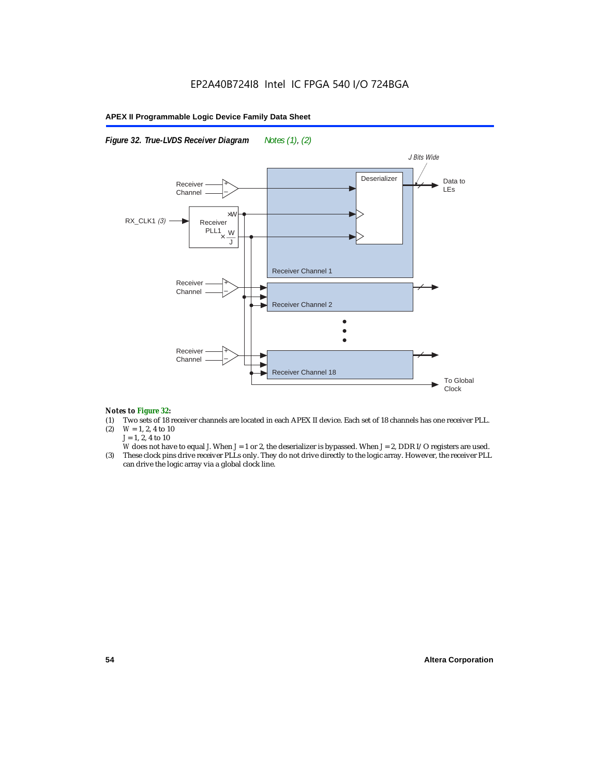#### *Figure 32. True-LVDS Receiver Diagram Notes (1), (2)*



#### *Notes to Figure 32:*

- (1) Two sets of 18 receiver channels are located in each APEX II device. Each set of 18 channels has one receiver PLL.<br>(2)  $W = 1, 2, 4$  to 10
- $W = 1, 2, 4$  to 10 *J* = 1, 2, 4 to 10
- *W* does not have to equal *J*. When *J* = 1 or 2, the deserializer is bypassed. When *J* = 2, DDR I/O registers are used.
- (3) These clock pins drive receiver PLLs only. They do not drive directly to the logic array. However, the receiver PLL can drive the logic array via a global clock line.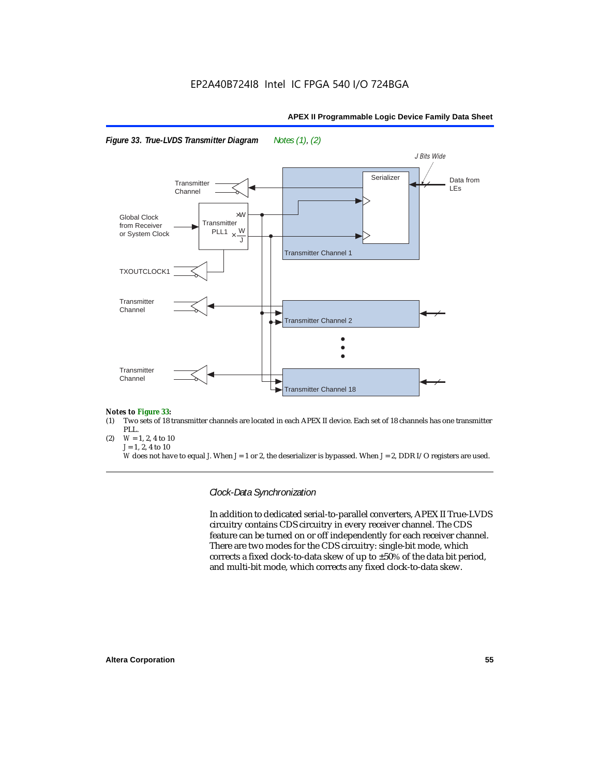





#### *Notes to Figure 33:*

- (1) Two sets of 18 transmitter channels are located in each APEX II device. Each set of 18 channels has one transmitter PLL.
- (2)  $W = 1, 2, 4$  to 10 *J* = 1, 2, 4 to 10

*W* does not have to equal *J*. When *J* = 1 or 2, the deserializer is bypassed. When *J* = 2, DDR I/O registers are used.

*Clock-Data Synchronization*

In addition to dedicated serial-to-parallel converters, APEX II True-LVDS circuitry contains CDS circuitry in every receiver channel. The CDS feature can be turned on or off independently for each receiver channel. There are two modes for the CDS circuitry: single-bit mode, which corrects a fixed clock-to-data skew of up to ±50% of the data bit period, and multi-bit mode, which corrects any fixed clock-to-data skew.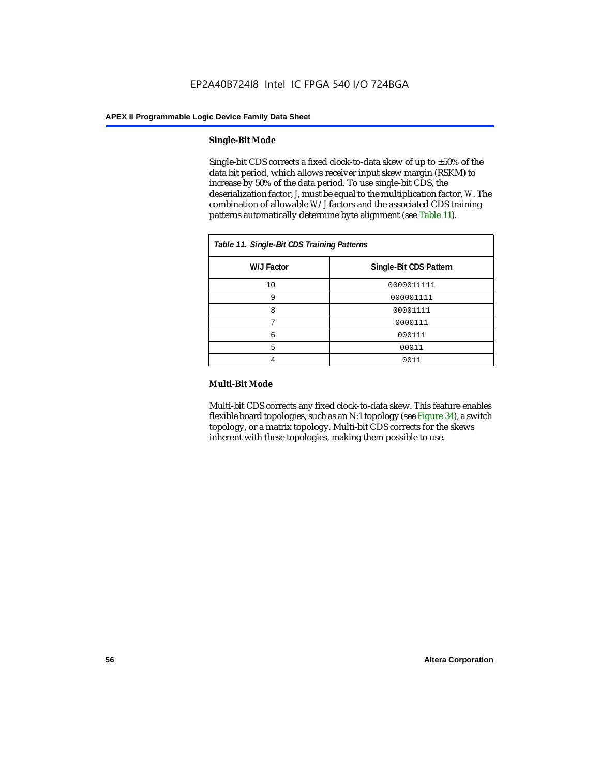#### **Single-Bit Mode**

Single-bit CDS corrects a fixed clock-to-data skew of up to  $\pm 50\%$  of the data bit period, which allows receiver input skew margin (RSKM) to increase by 50% of the data period. To use single-bit CDS, the deserialization factor, *J*, must be equal to the multiplication factor, *W*. The combination of allowable *W*/*J* factors and the associated CDS training patterns automatically determine byte alignment (see Table 11).

| Table 11. Single-Bit CDS Training Patterns |                        |  |  |  |  |
|--------------------------------------------|------------------------|--|--|--|--|
| W/J Factor                                 | Single-Bit CDS Pattern |  |  |  |  |
| 10                                         | 0000011111             |  |  |  |  |
| 9                                          | 000001111              |  |  |  |  |
| 8                                          | 00001111               |  |  |  |  |
|                                            | 0000111                |  |  |  |  |
| 6                                          | 000111                 |  |  |  |  |
| 5                                          | 00011                  |  |  |  |  |
|                                            | 0011                   |  |  |  |  |

#### **Multi-Bit Mode**

Multi-bit CDS corrects any fixed clock-to-data skew. This feature enables flexible board topologies, such as an N:1 topology (see Figure 34), a switch topology, or a matrix topology. Multi-bit CDS corrects for the skews inherent with these topologies, making them possible to use.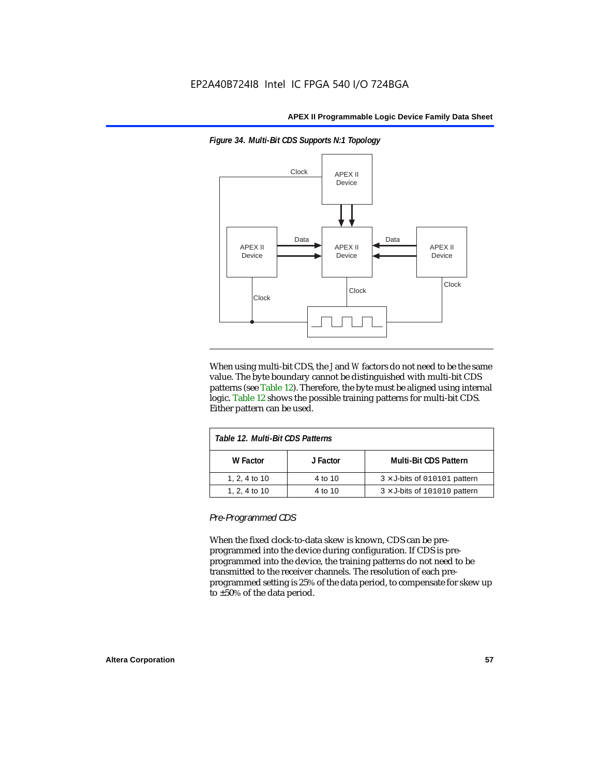

*Figure 34. Multi-Bit CDS Supports N:1 Topology*

When using multi-bit CDS, the *J* and *W* factors do not need to be the same value. The byte boundary cannot be distinguished with multi-bit CDS patterns (see Table 12). Therefore, the byte must be aligned using internal logic. Table 12 shows the possible training patterns for multi-bit CDS. Either pattern can be used.

| Table 12. Multi-Bit CDS Patterns |          |                                     |  |
|----------------------------------|----------|-------------------------------------|--|
| W Factor                         | J Factor | <b>Multi-Bit CDS Pattern</b>        |  |
| 1, 2, 4 to 10                    | 4 to 10  | $3 \times$ J-bits of 010101 pattern |  |
| 1, 2, 4 to 10                    | 4 to 10  | $3 \times$ J-bits of 101010 pattern |  |

*Pre-Programmed CDS*

When the fixed clock-to-data skew is known, CDS can be preprogrammed into the device during configuration. If CDS is preprogrammed into the device, the training patterns do not need to be transmitted to the receiver channels. The resolution of each preprogrammed setting is 25% of the data period, to compensate for skew up to ±50% of the data period.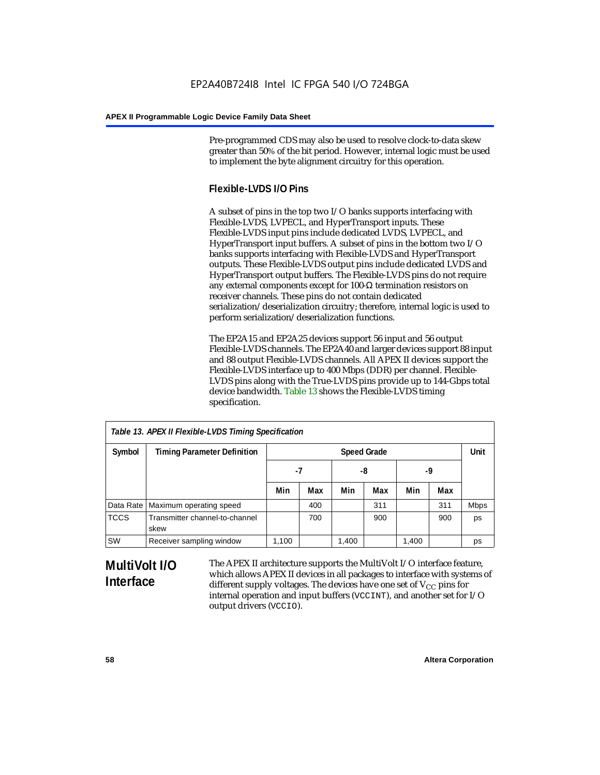Pre-programmed CDS may also be used to resolve clock-to-data skew greater than 50% of the bit period. However, internal logic must be used to implement the byte alignment circuitry for this operation.

# **Flexible-LVDS I/O Pins**

A subset of pins in the top two I/O banks supports interfacing with Flexible-LVDS, LVPECL, and HyperTransport inputs. These Flexible-LVDS input pins include dedicated LVDS, LVPECL, and HyperTransport input buffers. A subset of pins in the bottom two I/O banks supports interfacing with Flexible-LVDS and HyperTransport outputs. These Flexible-LVDS output pins include dedicated LVDS and HyperTransport output buffers. The Flexible-LVDS pins do not require any external components except for 100-Ω termination resistors on receiver channels. These pins do not contain dedicated serialization/deserialization circuitry; therefore, internal logic is used to perform serialization/deserialization functions.

The EP2A15 and EP2A25 devices support 56 input and 56 output Flexible-LVDS channels. The EP2A40 and larger devices support 88 input and 88 output Flexible-LVDS channels. All APEX II devices support the Flexible-LVDS interface up to 400 Mbps (DDR) per channel. Flexible-LVDS pins along with the True-LVDS pins provide up to 144-Gbps total device bandwidth. Table 13 shows the Flexible-LVDS timing specification.

| Table 13. APEX II Flexible-LVDS Timing Specification |                                        |       |                    |       |     |       |      |             |
|------------------------------------------------------|----------------------------------------|-------|--------------------|-------|-----|-------|------|-------------|
| Symbol                                               | <b>Timing Parameter Definition</b>     |       | <b>Speed Grade</b> |       |     |       | Unit |             |
|                                                      |                                        | -7    |                    | -8    |     | -9    |      |             |
|                                                      |                                        | Min   | Max                | Min   | Max | Min   | Max  |             |
| Data Rate                                            | Maximum operating speed                |       | 400                |       | 311 |       | 311  | <b>Mbps</b> |
| <b>TCCS</b>                                          | Transmitter channel-to-channel<br>skew |       | 700                |       | 900 |       | 900  | ps          |
| SW                                                   | Receiver sampling window               | 1,100 |                    | 1,400 |     | 1,400 |      | ps          |

# **MultiVolt I/O Interface**

The APEX II architecture supports the MultiVolt I/O interface feature, which allows APEX II devices in all packages to interface with systems of different supply voltages. The devices have one set of  $V_{CC}$  pins for internal operation and input buffers (VCCINT), and another set for I/O output drivers (VCCIO).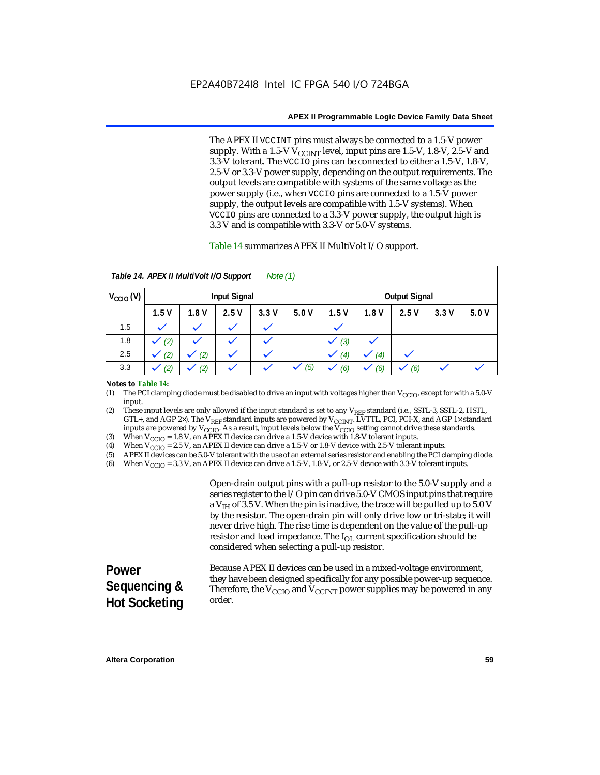The APEX II VCCINT pins must always be connected to a 1.5-V power supply. With a 1.5-V  $V_{\text{CCINT}}$  level, input pins are 1.5-V, 1.8-V, 2.5-V and 3.3-V tolerant. The VCCIO pins can be connected to either a 1.5-V, 1.8-V, 2.5-V or 3.3-V power supply, depending on the output requirements. The output levels are compatible with systems of the same voltage as the power supply (i.e., when VCCIO pins are connected to a 1.5-V power supply, the output levels are compatible with 1.5-V systems). When VCCIO pins are connected to a 3.3-V power supply, the output high is 3.3 V and is compatible with 3.3-V or 5.0-V systems.

#### Table 14 summarizes APEX II MultiVolt I/O support.

|                      |      | Table 14. APEX II MultiVolt I/O Support |                     | Note $(1)$ |      |      |      |                      |      |      |
|----------------------|------|-----------------------------------------|---------------------|------------|------|------|------|----------------------|------|------|
| $V_{\text{CCIO}}(V)$ |      |                                         | <b>Input Signal</b> |            |      |      |      | <b>Output Signal</b> |      |      |
|                      | 1.5V | 1.8V                                    | 2.5V                | 3.3V       | 5.0V | 1.5V | 1.8V | 2.5V                 | 3.3V | 5.0V |
| 1.5                  |      |                                         |                     |            |      |      |      |                      |      |      |
| 1.8                  | (2)  |                                         |                     |            |      | (3)  |      |                      |      |      |
| 2.5                  | (2)  | (2)                                     |                     | k.         |      | (4)  | (4)  |                      |      |      |
| 3.3                  | (2)  | (2)                                     |                     |            | (5)  | (6)  | (6)  | (6)                  |      |      |

#### *Notes to Table 14:*

(1) The PCI clamping diode must be disabled to drive an input with voltages higher than  $V_{\rm CClO}$ , except for with a 5.0-V input.

(2) These input levels are only allowed if the input standard is set to any V<sub>REF</sub> standard (i.e., SSTL-3, SSTL-2, HSTL, GTL+, and AGP 2×). The V<sub>REF</sub> standard inputs are powered by V<sub>CCINT</sub>. LVTTL, PCI, PCI-X, and AGP 1× standard inputs are powered by  $V_{\text{CCIO}}$ . As a result, input levels below the  $V_{\text{CCIO}}$  setting cannot drive these standards.

(3) When  $V_{\text{CCIO}} = 1.8$  V, an APEX II device can drive a 1.5-V device with 1.8-V tolerant inputs.<br>(4) When  $V_{\text{CCIO}} = 2.5$  V, an APEX II device can drive a 1.5-V or 1.8-V device with 2.5-V toleran

(4) When  $V_{\text{CCIO}} = 2.5$  V, an APEX II device can drive a 1.5-V or 1.8-V device with 2.5-V tolerant inputs.<br>(5) APEX II devices can be 5.0-V tolerant with the use of an external series resistor and enabling the PCI cl

(5) APEX II devices can be 5.0-V tolerant with the use of an external series resistor and enabling the PCI clamping diode.

(6) When  $V_{\text{CCIO}} = 3.3$  V, an APEX II device can drive a 1.5-V, 1.8-V, or 2.5-V device with 3.3-V tolerant inputs.

Open-drain output pins with a pull-up resistor to the 5.0-V supply and a series register to the I/O pin can drive 5.0-V CMOS input pins that require a  $V<sub>IH</sub>$  of 3.5 V. When the pin is inactive, the trace will be pulled up to 5.0 V by the resistor. The open-drain pin will only drive low or tri-state; it will never drive high. The rise time is dependent on the value of the pull-up resistor and load impedance. The  $I_{OL}$  current specification should be considered when selecting a pull-up resistor.

#### **Power Sequencing & Hot Socketing** Because APEX II devices can be used in a mixed-voltage environment, they have been designed specifically for any possible power-up sequence. Therefore, the  $V_{\text{CCIO}}$  and  $V_{\text{CCINT}}$  power supplies may be powered in any order.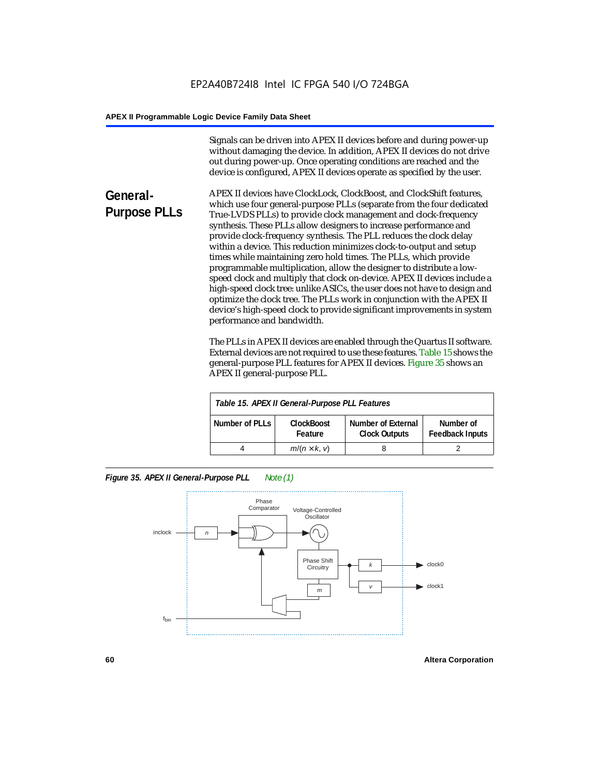Signals can be driven into APEX II devices before and during power-up without damaging the device. In addition, APEX II devices do not drive out during power-up. Once operating conditions are reached and the device is configured, APEX II devices operate as specified by the user.

**General-Purpose PLLs** APEX II devices have ClockLock, ClockBoost, and ClockShift features, which use four general-purpose PLLs (separate from the four dedicated True-LVDS PLLs) to provide clock management and clock-frequency synthesis. These PLLs allow designers to increase performance and provide clock-frequency synthesis. The PLL reduces the clock delay within a device. This reduction minimizes clock-to-output and setup times while maintaining zero hold times. The PLLs, which provide programmable multiplication, allow the designer to distribute a lowspeed clock and multiply that clock on-device. APEX II devices include a high-speed clock tree: unlike ASICs, the user does not have to design and optimize the clock tree. The PLLs work in conjunction with the APEX II device's high-speed clock to provide significant improvements in system performance and bandwidth.

> The PLLs in APEX II devices are enabled through the Quartus II software. External devices are not required to use these features. Table 15 shows the general-purpose PLL features for APEX II devices. Figure 35 shows an APEX II general-purpose PLL.

|                | Table 15. APEX II General-Purpose PLL Features |                                            |                                     |
|----------------|------------------------------------------------|--------------------------------------------|-------------------------------------|
| Number of PLLs | <b>ClockBoost</b><br>Feature                   | Number of External<br><b>Clock Outputs</b> | Number of<br><b>Feedback Inputs</b> |
|                | $m/(n \times k, v)$                            |                                            |                                     |

*Figure 35. APEX II General-Purpose PLL Note (1)*

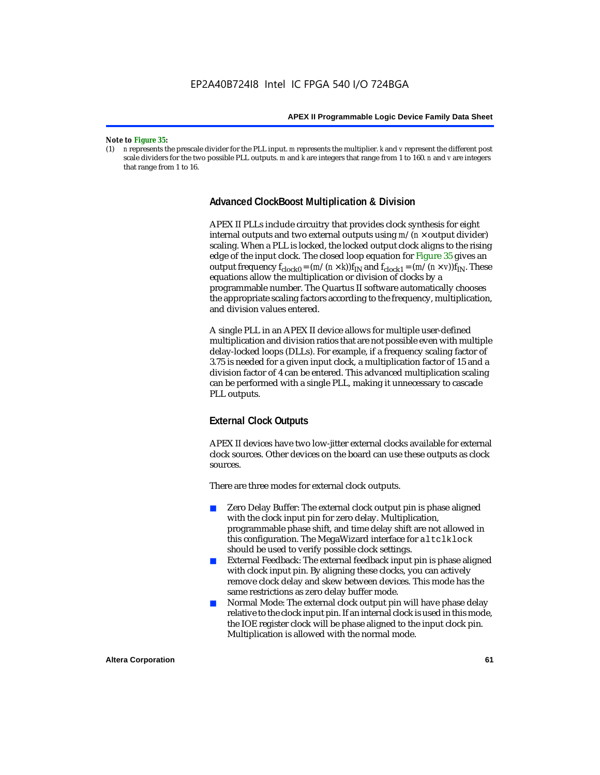#### *Note to Figure 35:*

(1) *n* represents the prescale divider for the PLL input. *m* represents the multiplier. *k* and *v* represent the different post scale dividers for the two possible PLL outputs. *m* and *k* are integers that range from 1 to 160. *n* and *v* are integers that range from 1 to 16.

#### **Advanced ClockBoost Multiplication & Division**

APEX II PLLs include circuitry that provides clock synthesis for eight internal outputs and two external outputs using  $m/(n \times$  output divider) scaling. When a PLL is locked, the locked output clock aligns to the rising edge of the input clock. The closed loop equation for Figure 35 gives an output frequency  $f_{clock0} = (m/(n \times k))f_{IN}$  and  $f_{clock1} = (m/(n \times v))f_{IN}$ . These equations allow the multiplication or division of clocks by a programmable number. The Quartus II software automatically chooses the appropriate scaling factors according to the frequency, multiplication, and division values entered.

A single PLL in an APEX II device allows for multiple user-defined multiplication and division ratios that are not possible even with multiple delay-locked loops (DLLs). For example, if a frequency scaling factor of 3.75 is needed for a given input clock, a multiplication factor of 15 and a division factor of 4 can be entered. This advanced multiplication scaling can be performed with a single PLL, making it unnecessary to cascade PLL outputs.

# **External Clock Outputs**

APEX II devices have two low-jitter external clocks available for external clock sources. Other devices on the board can use these outputs as clock sources.

There are three modes for external clock outputs.

- Zero Delay Buffer: The external clock output pin is phase aligned with the clock input pin for zero delay. Multiplication, programmable phase shift, and time delay shift are not allowed in this configuration. The MegaWizard interface for altclklock should be used to verify possible clock settings.
- External Feedback: The external feedback input pin is phase aligned with clock input pin. By aligning these clocks, you can actively remove clock delay and skew between devices. This mode has the same restrictions as zero delay buffer mode.
- Normal Mode: The external clock output pin will have phase delay relative to the clock input pin. If an internal clock is used in this mode, the IOE register clock will be phase aligned to the input clock pin. Multiplication is allowed with the normal mode.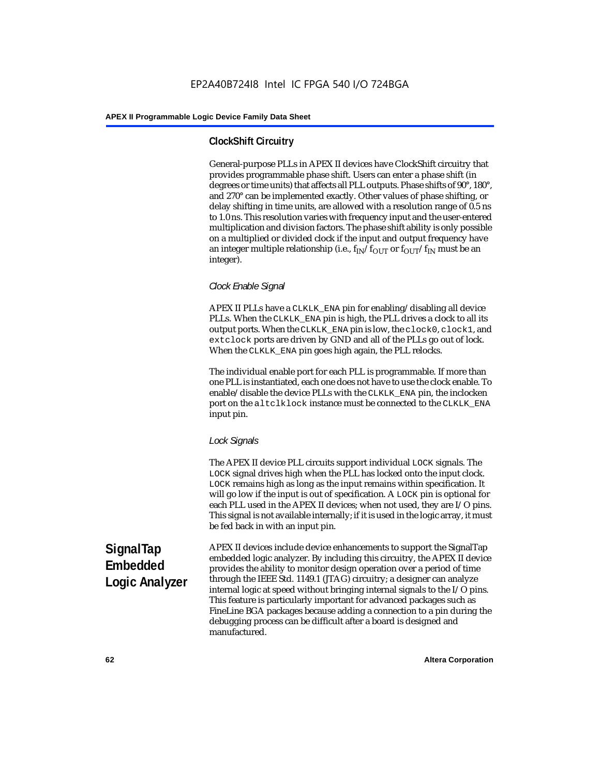# **ClockShift Circuitry**

General-purpose PLLs in APEX II devices have ClockShift circuitry that provides programmable phase shift. Users can enter a phase shift (in degrees or time units) that affects all PLL outputs. Phase shifts of 90°, 180°, and 270° can be implemented exactly. Other values of phase shifting, or delay shifting in time units, are allowed with a resolution range of 0.5 ns to 1.0 ns. This resolution varies with frequency input and the user-entered multiplication and division factors. The phase shift ability is only possible on a multiplied or divided clock if the input and output frequency have an integer multiple relationship (i.e.,  $f_{IN}/f_{OUT}$  or  $f_{OUT}/f_{IN}$  must be an integer).

#### *Clock Enable Signal*

APEX II PLLs have a CLKLK\_ENA pin for enabling/disabling all device PLLs. When the CLKLK\_ENA pin is high, the PLL drives a clock to all its output ports. When the CLKLK\_ENA pin is low, the clock0, clock1, and extclock ports are driven by GND and all of the PLLs go out of lock. When the CLKLK\_ENA pin goes high again, the PLL relocks.

The individual enable port for each PLL is programmable. If more than one PLL is instantiated, each one does not have to use the clock enable. To enable/disable the device PLLs with the CLKLK\_ENA pin, the inclocken port on the altclklock instance must be connected to the CLKLK\_ENA input pin.

#### *Lock Signals*

The APEX II device PLL circuits support individual LOCK signals. The LOCK signal drives high when the PLL has locked onto the input clock. LOCK remains high as long as the input remains within specification. It will go low if the input is out of specification. A LOCK pin is optional for each PLL used in the APEX II devices; when not used, they are I/O pins. This signal is not available internally; if it is used in the logic array, it must be fed back in with an input pin.

**SignalTap Embedded Logic Analyzer** APEX II devices include device enhancements to support the SignalTap embedded logic analyzer. By including this circuitry, the APEX II device provides the ability to monitor design operation over a period of time through the IEEE Std. 1149.1 (JTAG) circuitry; a designer can analyze internal logic at speed without bringing internal signals to the I/O pins. This feature is particularly important for advanced packages such as FineLine BGA packages because adding a connection to a pin during the debugging process can be difficult after a board is designed and manufactured.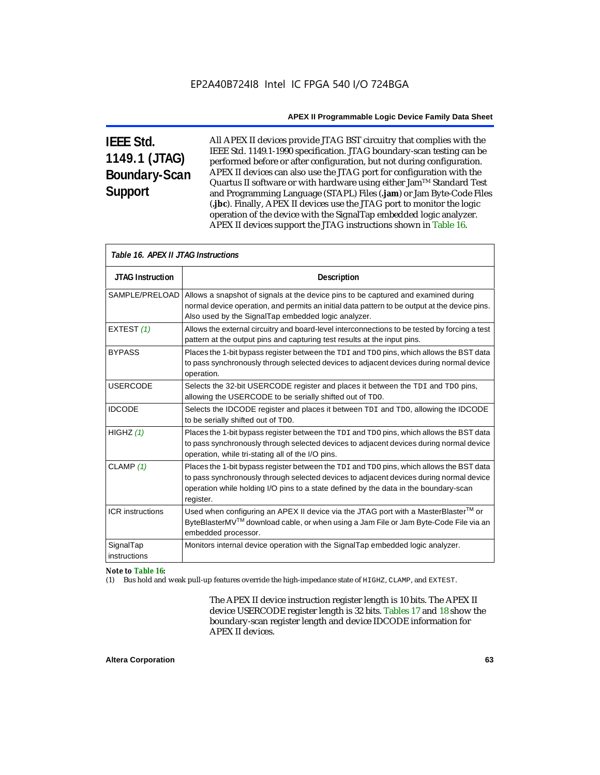# **IEEE Std. 1149.1 (JTAG) Boundary-Scan Support**

All APEX II devices provide JTAG BST circuitry that complies with the IEEE Std. 1149.1-1990 specification. JTAG boundary-scan testing can be performed before or after configuration, but not during configuration. APEX II devices can also use the JTAG port for configuration with the Quartus II software or with hardware using either Jam<sup>TM</sup> Standard Test and Programming Language (STAPL) Files (**.jam**) or Jam Byte-Code Files (**.jbc**). Finally, APEX II devices use the JTAG port to monitor the logic operation of the device with the SignalTap embedded logic analyzer. APEX II devices support the JTAG instructions shown in Table 16.

| Table 16. APEX II JTAG Instructions |                                                                                                                                                                                                                                                                                          |  |  |  |  |
|-------------------------------------|------------------------------------------------------------------------------------------------------------------------------------------------------------------------------------------------------------------------------------------------------------------------------------------|--|--|--|--|
| <b>JTAG Instruction</b>             | <b>Description</b>                                                                                                                                                                                                                                                                       |  |  |  |  |
| SAMPLE/PRELOAD                      | Allows a snapshot of signals at the device pins to be captured and examined during<br>normal device operation, and permits an initial data pattern to be output at the device pins.<br>Also used by the SignalTap embedded logic analyzer.                                               |  |  |  |  |
| EXTEST (1)                          | Allows the external circuitry and board-level interconnections to be tested by forcing a test<br>pattern at the output pins and capturing test results at the input pins.                                                                                                                |  |  |  |  |
| <b>BYPASS</b>                       | Places the 1-bit bypass register between the TDI and TDO pins, which allows the BST data<br>to pass synchronously through selected devices to adjacent devices during normal device<br>operation.                                                                                        |  |  |  |  |
| <b>USERCODE</b>                     | Selects the 32-bit USERCODE register and places it between the TDI and TDO pins,<br>allowing the USERCODE to be serially shifted out of TDO.                                                                                                                                             |  |  |  |  |
| <b>IDCODE</b>                       | Selects the IDCODE register and places it between TDI and TDO, allowing the IDCODE<br>to be serially shifted out of TDO.                                                                                                                                                                 |  |  |  |  |
| HIGHZ $(1)$                         | Places the 1-bit bypass register between the TDI and TDO pins, which allows the BST data<br>to pass synchronously through selected devices to adjacent devices during normal device<br>operation, while tri-stating all of the I/O pins.                                                 |  |  |  |  |
| CLAMP $(1)$                         | Places the 1-bit bypass register between the TDI and TDO pins, which allows the BST data<br>to pass synchronously through selected devices to adjacent devices during normal device<br>operation while holding I/O pins to a state defined by the data in the boundary-scan<br>register. |  |  |  |  |
| <b>ICR</b> instructions             | Used when configuring an APEX II device via the JTAG port with a MasterBlaster™ or<br>ByteBlasterMV™ download cable, or when using a Jam File or Jam Byte-Code File via an<br>embedded processor.                                                                                        |  |  |  |  |
| SignalTap<br>instructions           | Monitors internal device operation with the SignalTap embedded logic analyzer.                                                                                                                                                                                                           |  |  |  |  |

#### *Note to Table 16:*

(1) Bus hold and weak pull-up features override the high-impedance state of HIGHZ, CLAMP, and EXTEST.

The APEX II device instruction register length is 10 bits. The APEX II device USERCODE register length is 32 bits. Tables 17 and 18 show the boundary-scan register length and device IDCODE information for APEX II devices.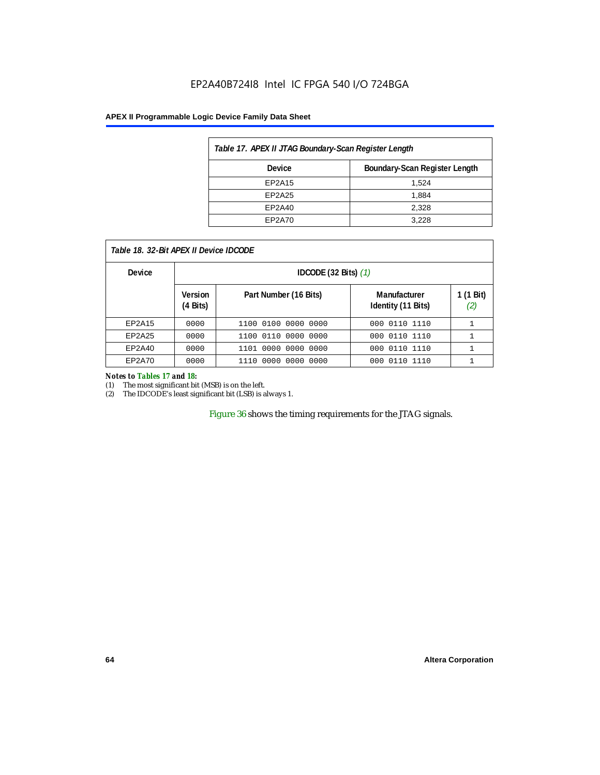# EP2A40B724I8 Intel IC FPGA 540 I/O 724BGA

#### **APEX II Programmable Logic Device Family Data Sheet**

| Table 17. APEX II JTAG Boundary-Scan Register Length |                               |  |  |  |
|------------------------------------------------------|-------------------------------|--|--|--|
| Device                                               | Boundary-Scan Register Length |  |  |  |
| EP2A15                                               | 1.524                         |  |  |  |
| EP2A25                                               | 1.884                         |  |  |  |
| EP2A40                                               | 2.328                         |  |  |  |
| EP2A70                                               | 3.228                         |  |  |  |

| Table 18, 32-Bit APEX II Device IDCODE |
|----------------------------------------|
|----------------------------------------|

| <b>Device</b> |                            | IDCODE $(32 \text{ Bits})$ $(1)$ |                                    |                  |  |  |  |
|---------------|----------------------------|----------------------------------|------------------------------------|------------------|--|--|--|
|               | <b>Version</b><br>(4 Bits) | Part Number (16 Bits)            | Manufacturer<br>Identity (11 Bits) | 1 (1 Bit)<br>(2) |  |  |  |
| EP2A15        | 0000                       | 0000 0000<br>1100 0100           | 000 0110 1110                      |                  |  |  |  |
| EP2A25        | 0000                       | 1100 0110 0000 0000              | 000 0110 1110                      |                  |  |  |  |
| EP2A40        | 0000                       | 1101 0000 0000 0000              | 000 0110 1110                      |                  |  |  |  |
| EP2A70        | 0000                       | 1110 0000<br>0000 0000           | 000 0110 1110                      | ┻                |  |  |  |

#### *Notes to Tables 17 and 18:*

(1) The most significant bit (MSB) is on the left.

(2) The IDCODE's least significant bit (LSB) is always 1.

Figure 36 shows the timing requirements for the JTAG signals.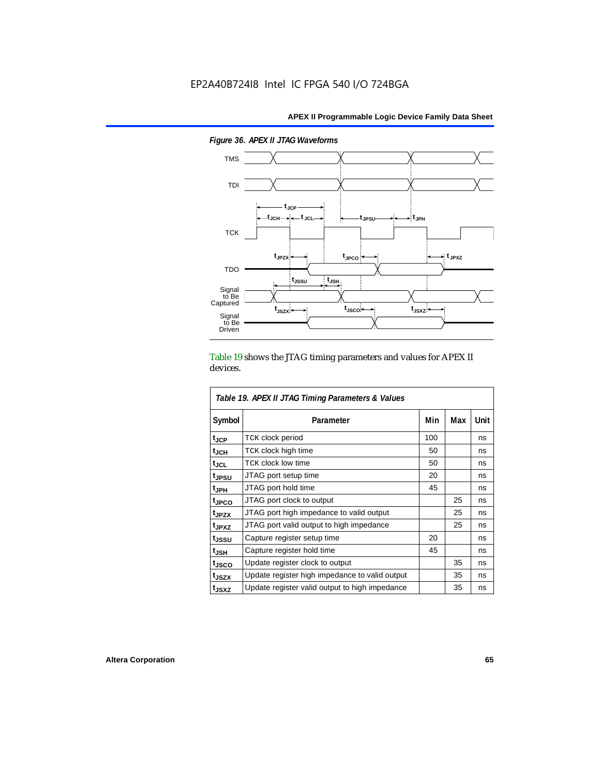

*Figure 36. APEX II JTAG Waveforms*

Table 19 shows the JTAG timing parameters and values for APEX II devices.

| Table 19. APEX II JTAG Timing Parameters & Values |                                                |     |     |      |  |  |
|---------------------------------------------------|------------------------------------------------|-----|-----|------|--|--|
| Symbol                                            | Parameter                                      | Min | Max | Unit |  |  |
| t <sub>JCP</sub>                                  | <b>TCK clock period</b>                        | 100 |     | ns   |  |  |
| $t_{\sf JCH}$                                     | TCK clock high time                            | 50  |     | ns   |  |  |
| tjcl                                              | TCK clock low time                             | 50  |     | ns   |  |  |
| t <sub>JPSU</sub>                                 | JTAG port setup time                           | 20  |     | ns   |  |  |
| t <sub>JPH</sub>                                  | JTAG port hold time                            | 45  |     | ns   |  |  |
| <sup>t</sup> JPCO                                 | JTAG port clock to output                      |     | 25  | ns   |  |  |
| t <sub>JPZX</sub>                                 | JTAG port high impedance to valid output       |     | 25  | ns   |  |  |
| t <sub>JPXZ</sub>                                 | JTAG port valid output to high impedance       |     | 25  | ns   |  |  |
| tjssu                                             | Capture register setup time                    | 20  |     | ns   |  |  |
| t <sub>JSH</sub>                                  | Capture register hold time                     | 45  |     | ns   |  |  |
| t <sub>JSCO</sub>                                 | Update register clock to output                |     | 35  | ns   |  |  |
| t <sub>JSZX</sub>                                 | Update register high impedance to valid output |     | 35  | ns   |  |  |
| t <sub>JSXZ</sub>                                 | Update register valid output to high impedance |     | 35  | ns   |  |  |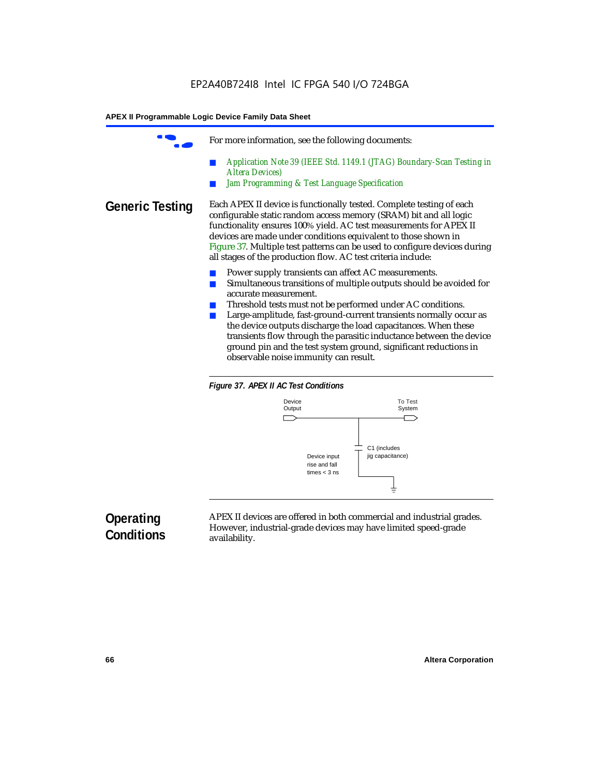|                        | For more information, see the following documents:                                                                                                                                                                                                                                                                                                                                                                                                                                                                                          |
|------------------------|---------------------------------------------------------------------------------------------------------------------------------------------------------------------------------------------------------------------------------------------------------------------------------------------------------------------------------------------------------------------------------------------------------------------------------------------------------------------------------------------------------------------------------------------|
|                        | Application Note 39 (IEEE Std. 1149.1 (JTAG) Boundary-Scan Testing in<br><b>Altera Devices</b> )<br>Jam Programming & Test Language Specification                                                                                                                                                                                                                                                                                                                                                                                           |
| <b>Generic Testing</b> | Each APEX II device is functionally tested. Complete testing of each<br>configurable static random access memory (SRAM) bit and all logic<br>functionality ensures 100% yield. AC test measurements for APEX II<br>devices are made under conditions equivalent to those shown in<br>Figure 37. Multiple test patterns can be used to configure devices during<br>all stages of the production flow. AC test criteria include:                                                                                                              |
|                        | Power supply transients can affect AC measurements.<br>Simultaneous transitions of multiple outputs should be avoided for<br>accurate measurement.<br>Threshold tests must not be performed under AC conditions.<br>Large-amplitude, fast-ground-current transients normally occur as<br>the device outputs discharge the load capacitances. When these<br>transients flow through the parasitic inductance between the device<br>ground pin and the test system ground, significant reductions in<br>observable noise immunity can result. |





# **Operating Conditions**

APEX II devices are offered in both commercial and industrial grades. However, industrial-grade devices may have limited speed-grade availability.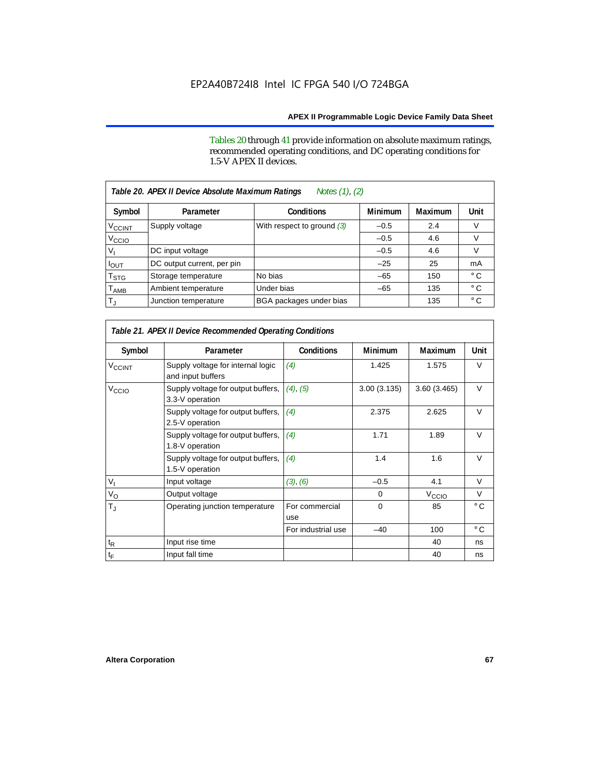Tables 20 through 41 provide information on absolute maximum ratings, recommended operating conditions, and DC operating conditions for 1.5-V APEX II devices.

| Table 20. APEX II Device Absolute Maximum Ratings<br>Notes (1), (2) |                            |                              |                |                |              |  |
|---------------------------------------------------------------------|----------------------------|------------------------------|----------------|----------------|--------------|--|
| Symbol                                                              | Parameter                  | <b>Conditions</b>            | <b>Minimum</b> | <b>Maximum</b> | Unit         |  |
| <b>V<sub>CCINT</sub></b>                                            | Supply voltage             | With respect to ground $(3)$ | $-0.5$         | 2.4            | V            |  |
| V <sub>CCIO</sub>                                                   |                            |                              | $-0.5$         | 4.6            | $\vee$       |  |
| v,                                                                  | DC input voltage           |                              | $-0.5$         | 4.6            | V            |  |
| <b>POUT</b>                                                         | DC output current, per pin |                              | $-25$          | 25             | mA           |  |
| T <sub>STG</sub>                                                    | Storage temperature        | No bias                      | $-65$          | 150            | $^{\circ}$ C |  |
| $\mathsf{T}_{\mathsf{AMB}}$                                         | Ambient temperature        | Under bias                   | $-65$          | 135            | $^{\circ}$ C |  |
| $T_{\rm J}$                                                         | Junction temperature       | BGA packages under bias      |                | 135            | $^{\circ}$ C |  |

| Table 21. APEX II Device Recommended Operating Conditions |                                                        |                       |                |                   |              |  |  |
|-----------------------------------------------------------|--------------------------------------------------------|-----------------------|----------------|-------------------|--------------|--|--|
| Symbol                                                    | Parameter                                              | <b>Conditions</b>     | <b>Minimum</b> | Maximum           | Unit         |  |  |
| <b>V<sub>CCINT</sub></b>                                  | Supply voltage for internal logic<br>and input buffers | (4)                   | 1.425          | 1.575             | $\vee$       |  |  |
| V <sub>CCIO</sub>                                         | Supply voltage for output buffers,<br>3.3-V operation  | (4), (5)              | 3.00(3.135)    | 3.60(3.465)       | $\vee$       |  |  |
|                                                           | Supply voltage for output buffers,<br>2.5-V operation  | (4)                   | 2.375          | 2.625             | $\vee$       |  |  |
|                                                           | Supply voltage for output buffers,<br>1.8-V operation  | (4)                   | 1.71           | 1.89              | $\vee$       |  |  |
|                                                           | Supply voltage for output buffers,<br>1.5-V operation  | (4)                   | 1.4            | 1.6               | $\vee$       |  |  |
| $V_{\text{I}}$                                            | Input voltage                                          | (3), (6)              | $-0.5$         | 4.1               | $\vee$       |  |  |
| $V_{\rm O}$                                               | Output voltage                                         |                       | 0              | V <sub>CCIO</sub> | $\vee$       |  |  |
| $T_{\rm J}$                                               | Operating junction temperature                         | For commercial<br>use | $\Omega$       | 85                | $^{\circ}$ C |  |  |
|                                                           |                                                        | For industrial use    | $-40$          | 100               | $^{\circ}$ C |  |  |
| $\mathfrak{t}_{\mathsf{R}}$                               | Input rise time                                        |                       |                | 40                | ns           |  |  |
| $t_{\mathsf{F}}$                                          | Input fall time                                        |                       |                | 40                | ns           |  |  |

Г

г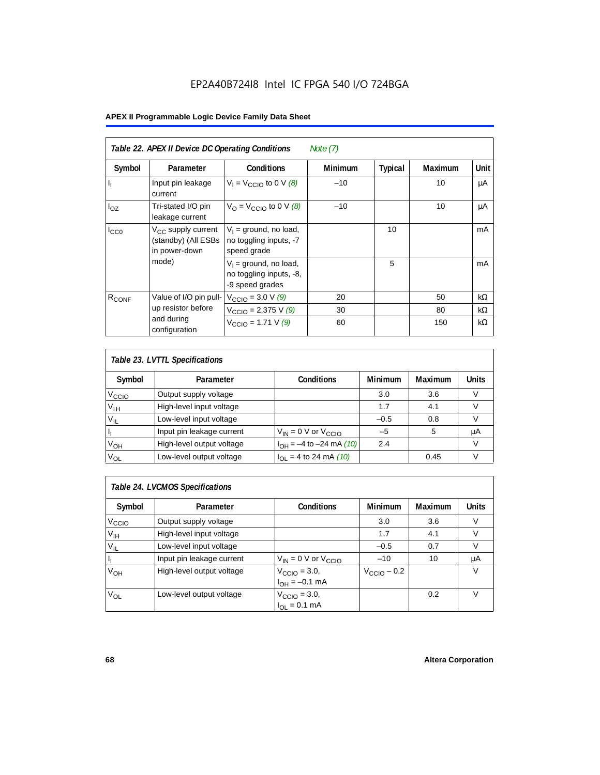# EP2A40B724I8 Intel IC FPGA 540 I/O 724BGA

# **APEX II Programmable Logic Device Family Data Sheet**

| Table 22. APEX II Device DC Operating Conditions<br>Note $(7)$ |                                                                        |                                                                        |                |                |                |             |
|----------------------------------------------------------------|------------------------------------------------------------------------|------------------------------------------------------------------------|----------------|----------------|----------------|-------------|
| Symbol                                                         | Parameter                                                              | <b>Conditions</b>                                                      | <b>Minimum</b> | <b>Typical</b> | <b>Maximum</b> | <b>Unit</b> |
| $\mathbf{l}_1$                                                 | Input pin leakage<br>current                                           | $V_1 = V_{\text{CCIO}}$ to 0 V (8)                                     | $-10$          |                | 10             | μA          |
| $I_{OZ}$                                                       | Tri-stated I/O pin<br>leakage current                                  | $V_{\Omega}$ = V <sub>CCIO</sub> to 0 V (8)                            | $-10$          |                | 10             | μA          |
| $I_{CC0}$                                                      | V <sub>CC</sub> supply current<br>(standby) (All ESBs<br>in power-down | $V_1$ = ground, no load,<br>no toggling inputs, -7<br>speed grade      |                | 10             |                | mA          |
|                                                                | mode)                                                                  | $V_1$ = ground, no load,<br>no toggling inputs, -8,<br>-9 speed grades |                | 5              |                | mA          |
| $R_{CONF}$                                                     | Value of I/O pin pull-                                                 | $V_{\text{CCIO}} = 3.0 \text{ V } (9)$                                 | 20             |                | 50             | $k\Omega$   |
|                                                                | up resistor before                                                     | $V_{\text{CCIO}} = 2.375 \text{ V } (9)$                               | 30             |                | 80             | $k\Omega$   |
|                                                                | and during<br>configuration                                            | $V_{\text{CCIO}} = 1.71 \text{ V } (9)$                                | 60             |                | 150            | $k\Omega$   |

| Table 23. LVTTL Specifications |                           |                                |                |                |              |  |
|--------------------------------|---------------------------|--------------------------------|----------------|----------------|--------------|--|
| Symbol                         | Parameter                 | <b>Conditions</b>              | <b>Minimum</b> | <b>Maximum</b> | <b>Units</b> |  |
| V <sub>CCIO</sub>              | Output supply voltage     |                                | 3.0            | 3.6            | v            |  |
| $V_{IH}$                       | High-level input voltage  |                                | 1.7            | 4.1            |              |  |
| $V_{IL}$                       | Low-level input voltage   |                                | $-0.5$         | 0.8            |              |  |
| H                              | Input pin leakage current | $V_{IN}$ = 0 V or $V_{CCIO}$   | $-5$           | 5              | μA           |  |
| $V_{OH}$                       | High-level output voltage | $I_{OH} = -4$ to $-24$ mA (10) | 2.4            |                | v            |  |
| $V_{OL}$                       | Low-level output voltage  | $I_{OL}$ = 4 to 24 mA (10)     |                | 0.45           |              |  |

| Table 24. LVCMOS Specifications |                           |                                                               |                         |                |        |  |
|---------------------------------|---------------------------|---------------------------------------------------------------|-------------------------|----------------|--------|--|
| Symbol                          | Parameter                 | <b>Conditions</b>                                             | Minimum                 | <b>Maximum</b> | Units  |  |
| V <sub>CCIO</sub>               | Output supply voltage     |                                                               | 3.0                     | 3.6            | v      |  |
| $V_{\text{IH}}$                 | High-level input voltage  |                                                               | 1.7                     | 4.1            | $\vee$ |  |
| $V_{IL}$                        | Low-level input voltage   |                                                               | $-0.5$                  | 0.7            | V      |  |
| H,                              | Input pin leakage current | $V_{IN}$ = 0 V or $V_{CCIO}$                                  | $-10$                   | 10             | μA     |  |
| $V_{OH}$                        | High-level output voltage | $V_{\text{CCIO}} = 3.0,$<br>$I_{\text{OH}} = -0.1 \text{ mA}$ | $V_{\text{CCIO}} - 0.2$ |                | v      |  |
| $V_{OL}$                        | Low-level output voltage  | $V_{\text{CCIO}} = 3.0,$<br>$I_{OL} = 0.1$ mA                 |                         | 0.2            | V      |  |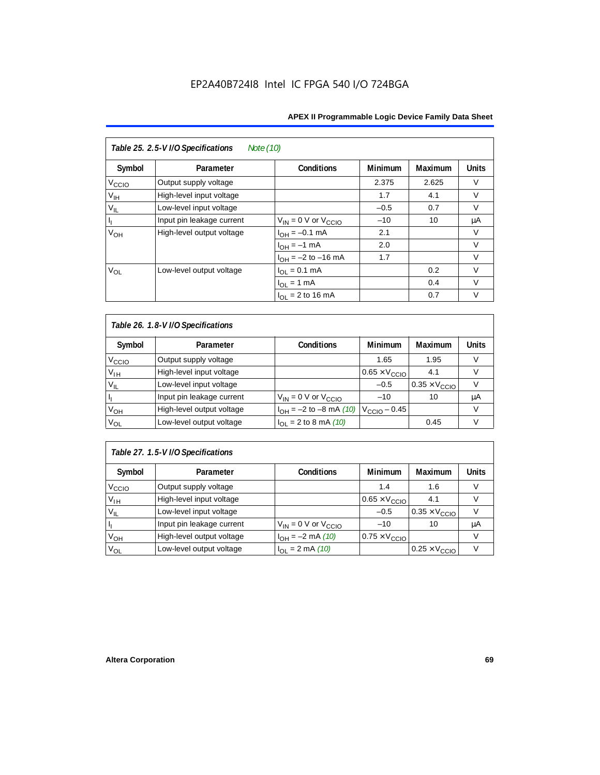| Table 25. 2.5-V I/O Specifications<br>Note (10) |                           |                              |                |                |              |  |
|-------------------------------------------------|---------------------------|------------------------------|----------------|----------------|--------------|--|
| Symbol                                          | Parameter                 | <b>Conditions</b>            | <b>Minimum</b> | <b>Maximum</b> | <b>Units</b> |  |
| V <sub>CCIO</sub>                               | Output supply voltage     |                              | 2.375          | 2.625          | $\vee$       |  |
| $V_{\text{IH}}$                                 | High-level input voltage  |                              | 1.7            | 4.1            | $\vee$       |  |
| $V_{IL}$                                        | Low-level input voltage   |                              | $-0.5$         | 0.7            | $\vee$       |  |
| Пŗ                                              | Input pin leakage current | $V_{IN} = 0$ V or $V_{CCIO}$ | $-10$          | 10             | μA           |  |
| V <sub>OH</sub>                                 | High-level output voltage | $I_{OH} = -0.1$ mA           | 2.1            |                | V            |  |
|                                                 |                           | $I_{OH} = -1$ mA             | 2.0            |                | $\vee$       |  |
|                                                 |                           | $I_{OH} = -2$ to $-16$ mA    | 1.7            |                | $\vee$       |  |
| VOL                                             | Low-level output voltage  | $I_{OL} = 0.1$ mA            |                | 0.2            | $\vee$       |  |
|                                                 |                           | $I_{OL} = 1$ mA              |                | 0.4            | $\vee$       |  |
|                                                 |                           | $I_{OL}$ = 2 to 16 mA        |                | 0.7            | V            |  |

| Table 26. 1.8-V I/O Specifications |                           |                                                 |                               |                               |              |  |
|------------------------------------|---------------------------|-------------------------------------------------|-------------------------------|-------------------------------|--------------|--|
| Symbol                             | Parameter                 | <b>Conditions</b>                               | <b>Minimum</b>                | Maximum                       | <b>Units</b> |  |
| V <sub>ccio</sub>                  | Output supply voltage     |                                                 | 1.65                          | 1.95                          | V            |  |
| $V_{IH}$                           | High-level input voltage  |                                                 | $0.65 \times V_{\text{CCIO}}$ | 4.1                           | V            |  |
| $V_{IL}$                           | Low-level input voltage   |                                                 | $-0.5$                        | $0.35 \times V_{\text{CCIO}}$ |              |  |
| H                                  | Input pin leakage current | $V_{IN} = 0$ V or $V_{CCIO}$                    | $-10$                         | 10                            | μA           |  |
| $V_{OH}$                           | High-level output voltage | $I_{OH} = -2$ to $-8$ mA (10) $V_{CCIO} - 0.45$ |                               |                               | V            |  |
| $V_{OL}$                           | Low-level output voltage  | $I_{OL}$ = 2 to 8 mA (10)                       |                               | 0.45                          | V            |  |

# *Table 27. 1.5-V I/O Specifications*

| Symbol            | Parameter                 | <b>Conditions</b>            | <b>Minimum</b>                | <b>Maximum</b>                | <b>Units</b> |
|-------------------|---------------------------|------------------------------|-------------------------------|-------------------------------|--------------|
| V <sub>CCIO</sub> | Output supply voltage     |                              | 1.4                           | 1.6                           |              |
| $V_{\text{IH}}$   | High-level input voltage  |                              | $0.65 \times V_{\text{CCIO}}$ | 4.1                           |              |
| $V_{IL}$          | Low-level input voltage   |                              | $-0.5$                        | $0.35 \times V_{\text{CCIO}}$ |              |
| П                 | Input pin leakage current | $V_{IN} = 0$ V or $V_{CCIO}$ | $-10$                         | 10                            | μA           |
| V <sub>OH</sub>   | High-level output voltage | $I_{OH} = -2$ mA (10)        | $0.75 \times V_{\text{CCIO}}$ |                               |              |
| $V_{OL}$          | Low-level output voltage  | $I_{OL} = 2 \text{ mA} (10)$ |                               | $0.25 \times V_{\text{CCIO}}$ |              |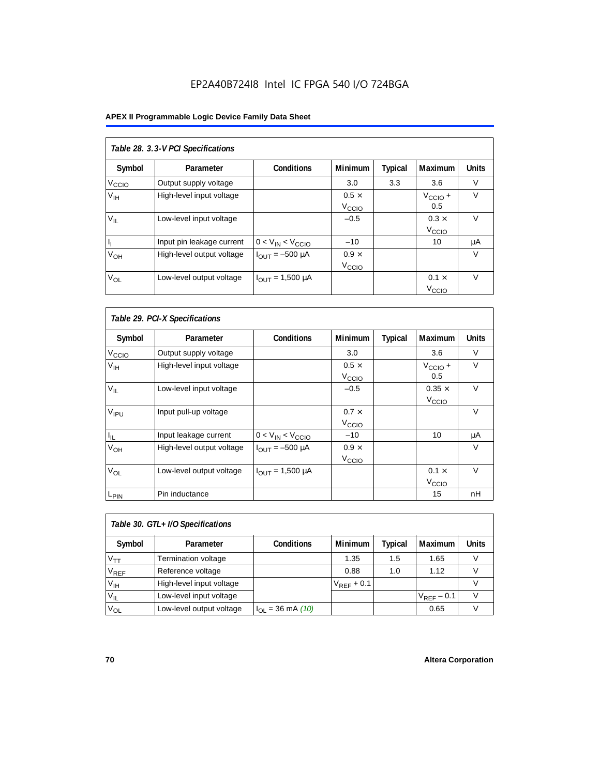# EP2A40B724I8 Intel IC FPGA 540 I/O 724BGA

# **APEX II Programmable Logic Device Family Data Sheet**

| Table 28. 3.3-V PCI Specifications |                           |                         |                                   |         |                                   |              |  |
|------------------------------------|---------------------------|-------------------------|-----------------------------------|---------|-----------------------------------|--------------|--|
| Symbol                             | Parameter                 | <b>Conditions</b>       | <b>Minimum</b>                    | Typical | Maximum                           | <b>Units</b> |  |
| V <sub>ccio</sub>                  | Output supply voltage     |                         | 3.0                               | 3.3     | 3.6                               | $\vee$       |  |
| V <sub>IH</sub>                    | High-level input voltage  |                         | $0.5 \times$<br>V <sub>CCIO</sub> |         | $V_{\text{CCIO}} +$<br>0.5        | $\vee$       |  |
| $V_{\rm II}$                       | Low-level input voltage   |                         | $-0.5$                            |         | $0.3 \times$<br>V <sub>CCIO</sub> | $\vee$       |  |
| h,                                 | Input pin leakage current | $0 < V_{IN} < V_{CCIO}$ | $-10$                             |         | 10                                | μA           |  |
| $V_{OH}$                           | High-level output voltage | $I_{OUIT} = -500 \mu A$ | $0.9 \times$<br>V <sub>CCIO</sub> |         |                                   | V            |  |
| $V_{OL}$                           | Low-level output voltage  | $I_{OUT} = 1,500 \mu A$ |                                   |         | $0.1 \times$<br>V <sub>ccio</sub> | $\vee$       |  |

| Table 29. PCI-X Specifications |                           |                                |                                   |         |                                    |              |  |
|--------------------------------|---------------------------|--------------------------------|-----------------------------------|---------|------------------------------------|--------------|--|
| Symbol                         | Parameter                 | <b>Conditions</b>              | <b>Minimum</b>                    | Typical | Maximum                            | <b>Units</b> |  |
| V <sub>CCIO</sub>              | Output supply voltage     |                                | 3.0                               |         | 3.6                                | $\vee$       |  |
| $V_{\text{IH}}$                | High-level input voltage  |                                | $0.5 \times$<br>V <sub>CCIO</sub> |         | $V_{\text{CCIO}} +$<br>0.5         | $\vee$       |  |
| $V_{IL}$                       | Low-level input voltage   |                                | $-0.5$                            |         | $0.35 \times$<br>V <sub>CCIO</sub> | $\vee$       |  |
| V <sub>IPU</sub>               | Input pull-up voltage     |                                | $0.7 \times$<br>V <sub>CCIO</sub> |         |                                    | $\vee$       |  |
| $I_{\rm IL}$                   | Input leakage current     | $0 < V_{IN} < V_{CCIO}$        | $-10$                             |         | 10                                 | μA           |  |
| $V_{OH}$                       | High-level output voltage | $I_{\text{OUT}} = -500 \mu A$  | $0.9 \times$<br>V <sub>CCIO</sub> |         |                                    | $\vee$       |  |
| $V_{OL}$                       | Low-level output voltage  | $I_{\text{OUT}} = 1,500 \mu A$ |                                   |         | $0.1 \times$<br>V <sub>CCIO</sub>  | $\vee$       |  |
| L <sub>PIN</sub>               | Pin inductance            |                                |                                   |         | 15                                 | nH           |  |

| Table 30. GTL+ I/O Specifications |                            |                       |                 |         |                 |              |
|-----------------------------------|----------------------------|-----------------------|-----------------|---------|-----------------|--------------|
| Symbol                            | Parameter                  | <b>Conditions</b>     | <b>Minimum</b>  | Typical | <b>Maximum</b>  | <b>Units</b> |
| $V_{TT}$                          | <b>Termination voltage</b> |                       | 1.35            | 1.5     | 1.65            |              |
| $V_{REF}$                         | Reference voltage          |                       | 0.88            | 1.0     | 1.12            |              |
| V <sub>IH</sub>                   | High-level input voltage   |                       | $V_{REF}$ + 0.1 |         |                 |              |
| $V_{IL}$                          | Low-level input voltage    |                       |                 |         | $V_{RFF}$ – 0.1 |              |
| $V_{OL}$                          | Low-level output voltage   | $I_{OL}$ = 36 mA (10) |                 |         | 0.65            |              |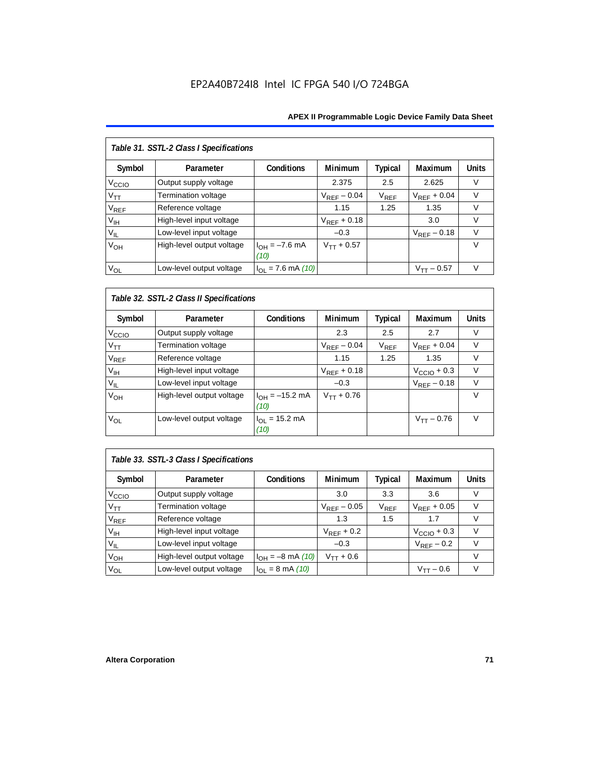# EP2A40B724I8 Intel IC FPGA 540 I/O 724BGA

#### **APEX II Programmable Logic Device Family Data Sheet**

| Table 31. SSTL-2 Class I Specifications |                           |                            |                  |                |                  |              |  |  |
|-----------------------------------------|---------------------------|----------------------------|------------------|----------------|------------------|--------------|--|--|
| Symbol                                  | Parameter                 | <b>Conditions</b>          | <b>Minimum</b>   | <b>Typical</b> | Maximum          | <b>Units</b> |  |  |
| V <sub>CCIO</sub>                       | Output supply voltage     |                            | 2.375            | 2.5            | 2.625            | $\vee$       |  |  |
| $V_{TT}$                                | Termination voltage       |                            | $V_{RFF}$ – 0.04 | $V_{REF}$      | $V_{RFF}$ + 0.04 | $\vee$       |  |  |
| <b>V<sub>REF</sub></b>                  | Reference voltage         |                            | 1.15             | 1.25           | 1.35             | V            |  |  |
| V <sub>IH</sub>                         | High-level input voltage  |                            | $V_{REF}$ + 0.18 |                | 3.0              | $\vee$       |  |  |
| $V_{IL}$                                | Low-level input voltage   |                            | $-0.3$           |                | $V_{RFF}$ – 0.18 | $\vee$       |  |  |
| V <sub>OH</sub>                         | High-level output voltage | $I_{OH} = -7.6$ mA<br>(10) | $V_{TT} + 0.57$  |                |                  | $\vee$       |  |  |
| $V_{OL}$                                | Low-level output voltage  | $I_{OL}$ = 7.6 mA (10)     |                  |                | $V_{TT}$ – 0.57  | $\vee$       |  |  |

# *Table 32. SSTL-2 Class II Specifications*

| Symbol            | Parameter                 | <b>Conditions</b>                  | <b>Minimum</b>   | Typical   | <b>Maximum</b>          | <b>Units</b> |
|-------------------|---------------------------|------------------------------------|------------------|-----------|-------------------------|--------------|
| V <sub>CCIO</sub> | Output supply voltage     |                                    | 2.3              | 2.5       | 2.7                     | V            |
| $V_{TT}$          | Termination voltage       |                                    | $V_{RFF}$ – 0.04 | $V_{REF}$ | $V_{RFF}$ + 0.04        | $\vee$       |
| $V_{REF}$         | Reference voltage         |                                    | 1.15             | 1.25      | 1.35                    | V            |
| V <sub>IH</sub>   | High-level input voltage  |                                    | $V_{REF}$ + 0.18 |           | $V_{\text{CCIO}} + 0.3$ | $\vee$       |
| $V_{IL}$          | Low-level input voltage   |                                    | $-0.3$           |           | $V_{REF} - 0.18$        | $\vee$       |
| V <sub>OH</sub>   | High-level output voltage | $I_{OH} = -15.2$ mA<br>(10)        | $V_{TT} + 0.76$  |           |                         | v            |
| V <sub>OL</sub>   | Low-level output voltage  | $I_{OL} = 15.2 \text{ mA}$<br>(10) |                  |           | $V_{TT} - 0.76$         | $\vee$       |

# *Table 33. SSTL-3 Class I Specifications*

| Symbol            | Parameter                  | <b>Conditions</b>            | <b>Minimum</b>   | Typical                     | Maximum                 | <b>Units</b> |
|-------------------|----------------------------|------------------------------|------------------|-----------------------------|-------------------------|--------------|
| V <sub>CCIO</sub> | Output supply voltage      |                              | 3.0              | 3.3                         | 3.6                     |              |
| $V_{TT}$          | <b>Termination voltage</b> |                              | $V_{REF}$ – 0.05 | $\mathsf{V}_{\mathsf{REF}}$ | $V_{RFF}$ + 0.05        | V            |
| $V_{REF}$         | Reference voltage          |                              | 1.3              | 1.5                         | 1.7                     |              |
| V <sub>IH</sub>   | High-level input voltage   |                              | $V_{RFF}$ + 0.2  |                             | $V_{\text{CCIO}} + 0.3$ |              |
| $V_{IL}$          | Low-level input voltage    |                              | $-0.3$           |                             | $V_{RFF}$ – 0.2         |              |
| $V_{OH}$          | High-level output voltage  | $I_{OH} = -8$ mA (10)        | $V_{TT} + 0.6$   |                             |                         |              |
| $V_{OL}$          | Low-level output voltage   | $I_{OL} = 8 \text{ mA} (10)$ |                  |                             | $V_{TT}$ – 0.6          |              |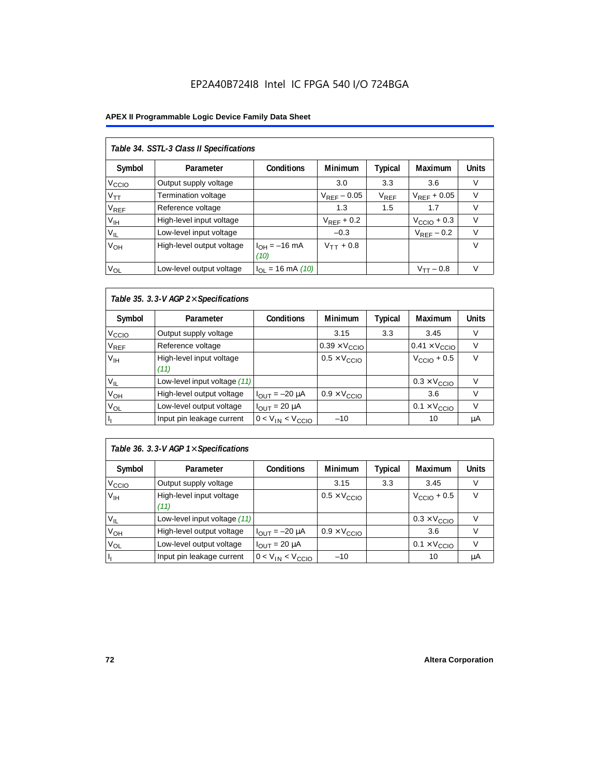#### **APEX II Programmable Logic Device Family Data Sheet**

| Table 34. SSTL-3 Class II Specifications |                           |                           |                  |           |                         |              |  |  |  |
|------------------------------------------|---------------------------|---------------------------|------------------|-----------|-------------------------|--------------|--|--|--|
| Symbol                                   | Parameter                 | <b>Conditions</b>         | <b>Minimum</b>   | Typical   | Maximum                 | <b>Units</b> |  |  |  |
| V <sub>CCIO</sub>                        | Output supply voltage     |                           | 3.0              | 3.3       | 3.6                     | V            |  |  |  |
| $V_{\mathsf{TT}}$                        | Termination voltage       |                           | $V_{REF}$ – 0.05 | $V_{REF}$ | $V_{RFF}$ + 0.05        | V            |  |  |  |
| <b>V<sub>REF</sub></b>                   | Reference voltage         |                           | 1.3              | 1.5       | 1.7                     | V            |  |  |  |
| V <sub>IH</sub>                          | High-level input voltage  |                           | $V_{RFF}$ + 0.2  |           | $V_{\text{CCIO}} + 0.3$ | $\vee$       |  |  |  |
| $V_{IL}$                                 | Low-level input voltage   |                           | $-0.3$           |           | $V_{RFF}$ – 0.2         | $\vee$       |  |  |  |
| V <sub>OH</sub>                          | High-level output voltage | $I_{OH} = -16$ mA<br>(10) | $V_{TT}$ + 0.8   |           |                         | $\vee$       |  |  |  |
| $V_{OL}$                                 | Low-level output voltage  | $I_{OL}$ = 16 mA (10)     |                  |           | $V_{TT} - 0.8$          | $\vee$       |  |  |  |

## *Table 35. 3.3-V AGP 2*× *Specifications*

| Symbol            | Parameter                        | <b>Conditions</b>       | <b>Minimum</b>                | <b>Typical</b> | <b>Maximum</b>                | <b>Units</b> |
|-------------------|----------------------------------|-------------------------|-------------------------------|----------------|-------------------------------|--------------|
| V <sub>CCIO</sub> | Output supply voltage            |                         | 3.15                          | 3.3            | 3.45                          | V            |
| $\rm V_{REF}$     | Reference voltage                |                         | $0.39 \times V_{\text{CCIO}}$ |                | $0.41 \times V_{\text{CCIO}}$ |              |
| V <sub>IH</sub>   | High-level input voltage<br>(11) |                         | $0.5 \times V_{\text{CCIO}}$  |                | $V_{\text{CCIO}} + 0.5$       | $\vee$       |
| $V_{IL}$          | Low-level input voltage (11)     |                         |                               |                | $0.3 \times V_{\text{CCIO}}$  | v            |
| V <sub>OH</sub>   | High-level output voltage        | $I_{OUT} = -20 \mu A$   | $0.9 \times V_{\text{CCIO}}$  |                | 3.6                           | V            |
| V <sub>OL</sub>   | Low-level output voltage         | $I_{OUIT}$ = 20 µA      |                               |                | $0.1 \times V_{\text{CCIO}}$  | V            |
|                   | Input pin leakage current        | $0 < V_{IN} < V_{CCIO}$ | $-10$                         |                | 10                            | μA           |

## *Table 36. 3.3-V AGP 1*× *Specifications*

| Symbol            | Parameter                        | <b>Conditions</b>       | <b>Minimum</b>               | <b>Typical</b> | Maximum                      | <b>Units</b> |
|-------------------|----------------------------------|-------------------------|------------------------------|----------------|------------------------------|--------------|
| V <sub>CCIO</sub> | Output supply voltage            |                         | 3.15                         | 3.3            | 3.45                         | V            |
| V <sub>IH</sub>   | High-level input voltage<br>(11) |                         | $0.5 \times V_{\text{CCIO}}$ |                | $VCCIO + 0.5$                | v            |
| $V_{IL}$          | Low-level input voltage (11)     |                         |                              |                | $0.3 \times V_{\text{CCIO}}$ |              |
| V <sub>OH</sub>   | High-level output voltage        | $I_{OUT} = -20 \mu A$   | $0.9 \times V_{\text{CCIO}}$ |                | 3.6                          |              |
| $V_{OL}$          | Low-level output voltage         | $I_{OUT}$ = 20 $\mu$ A  |                              |                | $0.1 \times V_{\text{CCIO}}$ |              |
|                   | Input pin leakage current        | $0 < V_{IN} < V_{CCIO}$ | $-10$                        |                | 10                           | μA           |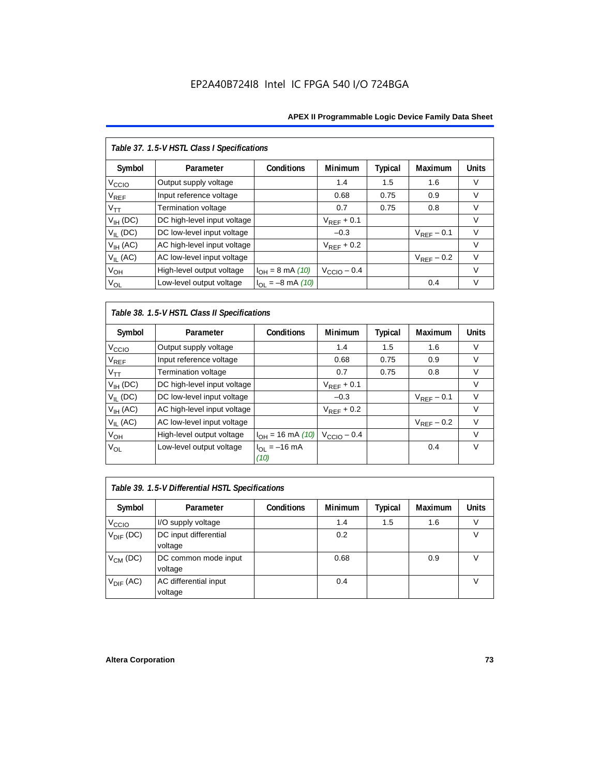| Table 37. 1.5-V HSTL Class I Specifications |                             |                       |                         |                |                        |              |  |  |  |
|---------------------------------------------|-----------------------------|-----------------------|-------------------------|----------------|------------------------|--------------|--|--|--|
| Symbol                                      | Parameter                   | Conditions            | Minimum                 | <b>Typical</b> | Maximum                | <b>Units</b> |  |  |  |
| V <sub>CCIO</sub>                           | Output supply voltage       |                       | 1.4                     | 1.5            | 1.6                    | V            |  |  |  |
| $\mathsf{V}_{\mathsf{REF}}$                 | Input reference voltage     |                       | 0.68                    | 0.75           | 0.9                    | $\vee$       |  |  |  |
| $V_{TT}$                                    | <b>Termination voltage</b>  |                       | 0.7                     | 0.75           | 0.8                    | $\vee$       |  |  |  |
| $V_{IH}$ (DC)                               | DC high-level input voltage |                       | $V_{REF}$ + 0.1         |                |                        | $\vee$       |  |  |  |
| $V_{IL}$ (DC)                               | DC low-level input voltage  |                       | $-0.3$                  |                | $V_{RFF}$ – 0.1        | $\vee$       |  |  |  |
| $V_{IH}$ (AC)                               | AC high-level input voltage |                       | $V_{RFF}$ + 0.2         |                |                        | $\vee$       |  |  |  |
| $V_{II}$ (AC)                               | AC low-level input voltage  |                       |                         |                | $V_{\text{REF}}$ – 0.2 | $\vee$       |  |  |  |
| V <sub>OH</sub>                             | High-level output voltage   | $I_{OH} = 8$ mA (10)  | $V_{\text{CCIO}} - 0.4$ |                |                        | $\vee$       |  |  |  |
| $V_{OL}$                                    | Low-level output voltage    | $I_{OL} = -8$ mA (10) |                         |                | 0.4                    | $\vee$       |  |  |  |

*Table 38. 1.5-V HSTL Class II Specifications*

| Symbol                      | Parameter                   | Conditions                | <b>Minimum</b>          | Typical | Maximum         | <b>Units</b> |
|-----------------------------|-----------------------------|---------------------------|-------------------------|---------|-----------------|--------------|
| V <sub>CCIO</sub>           | Output supply voltage       |                           | 1.4                     | 1.5     | 1.6             | V            |
| $\mathsf{V}_{\mathsf{REF}}$ | Input reference voltage     |                           | 0.68                    | 0.75    | 0.9             | V            |
| $V_{TT}$                    | Termination voltage         |                           | 0.7                     | 0.75    | 0.8             | $\vee$       |
| $V_{IH}$ (DC)               | DC high-level input voltage |                           | $V_{REF}$ + 0.1         |         |                 | V            |
| $V_{IL}$ (DC)               | DC low-level input voltage  |                           | $-0.3$                  |         | $V_{RFF}$ – 0.1 | $\vee$       |
| $V_{IH}$ (AC)               | AC high-level input voltage |                           | $V_{REF}$ + 0.2         |         |                 | V            |
| $V_{II}$ (AC)               | AC low-level input voltage  |                           |                         |         | $V_{RFF}$ – 0.2 | $\vee$       |
| $V_{OH}$                    | High-level output voltage   | $I_{OH} = 16$ mA (10)     | $V_{\text{CCIO}} - 0.4$ |         |                 | $\vee$       |
| V <sub>OL</sub>             | Low-level output voltage    | $I_{OL} = -16$ mA<br>(10) |                         |         | 0.4             | $\vee$       |

| Table 39. 1.5-V Differential HSTL Specifications |                                  |                   |                |         |                |              |  |  |  |
|--------------------------------------------------|----------------------------------|-------------------|----------------|---------|----------------|--------------|--|--|--|
| Symbol                                           | Parameter                        | <b>Conditions</b> | <b>Minimum</b> | Typical | <b>Maximum</b> | <b>Units</b> |  |  |  |
| V <sub>CCIO</sub>                                | I/O supply voltage               |                   | 1.4            | 1.5     | 1.6            |              |  |  |  |
| $V_{\text{DIF}}$ (DC)                            | DC input differential<br>voltage |                   | 0.2            |         |                | V            |  |  |  |
| $V_{CM}$ (DC)                                    | DC common mode input<br>voltage  |                   | 0.68           |         | 0.9            |              |  |  |  |
| $V_{\text{DIF}}$ (AC)                            | AC differential input<br>voltage |                   | 0.4            |         |                |              |  |  |  |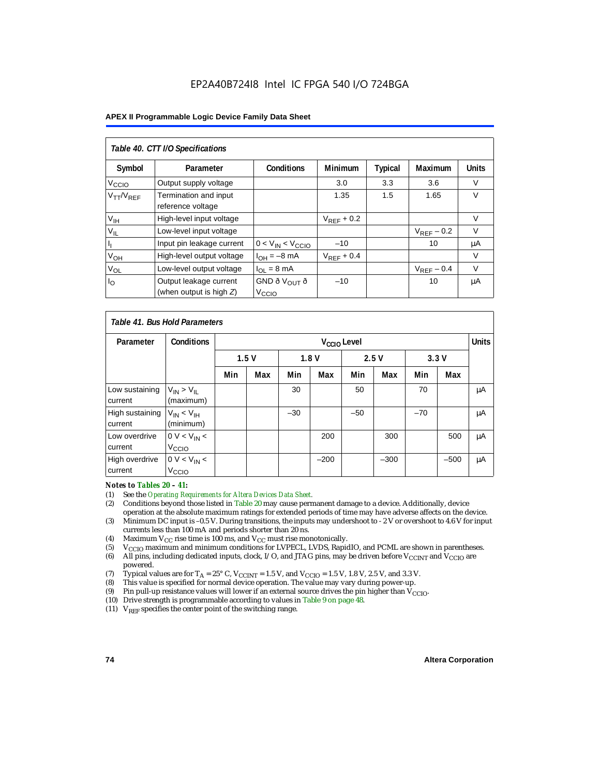#### **APEX II Programmable Logic Device Family Data Sheet**

| Table 40. CTT I/O Specifications |                                            |                          |                 |                |                 |              |  |  |
|----------------------------------|--------------------------------------------|--------------------------|-----------------|----------------|-----------------|--------------|--|--|
| Symbol                           | Parameter                                  | <b>Conditions</b>        | <b>Minimum</b>  | <b>Typical</b> | Maximum         | <b>Units</b> |  |  |
| V <sub>CCIO</sub>                | Output supply voltage                      |                          | 3.0             | 3.3            | 3.6             | V            |  |  |
| $V_{TT}/V_{REF}$                 | Termination and input<br>reference voltage |                          | 1.35            | 1.5            | 1.65            | $\vee$       |  |  |
| V <sub>IH</sub>                  | High-level input voltage                   |                          | $V_{RFF}$ + 0.2 |                |                 | V            |  |  |
| $V_{IL}$                         | Low-level input voltage                    |                          |                 |                | $V_{RFF}$ – 0.2 | V            |  |  |
|                                  | Input pin leakage current                  | $0 < V_{IN} < V_{CCIO}$  | $-10$           |                | 10              | μA           |  |  |
| $V_{OH}$                         | High-level output voltage                  | $I_{OH} = -8$ mA         | $V_{RFF}$ + 0.4 |                |                 | V            |  |  |
| $V_{OL}$                         | Low-level output voltage                   | $I_{OL} = 8 \text{ mA}$  |                 |                | $V_{REF}$ – 0.4 | V            |  |  |
| $I_{\rm O}$                      | Output leakage current                     | GND ð V <sub>OUT</sub> ð | $-10$           |                | 10              | μA           |  |  |
|                                  | (when output is high $Z$ )                 | V <sub>CCIO</sub>        |                 |                |                 |              |  |  |

|                            | Table 41, Bus Hold Parameters       |     |                         |       |              |       |        |       |              |    |
|----------------------------|-------------------------------------|-----|-------------------------|-------|--------------|-------|--------|-------|--------------|----|
| Parameter                  | <b>Conditions</b>                   |     | V <sub>CCIO</sub> Level |       |              |       |        |       | <b>Units</b> |    |
|                            |                                     |     | 1.5V                    |       | 1.8V<br>2.5V |       |        |       | 3.3V         |    |
|                            |                                     | Min | Max                     | Min   | Max          | Min   | Max    | Min   | Max          |    |
| Low sustaining<br>current  | $V_{IN}$ > $V_{II}$<br>(maximum)    |     |                         | 30    |              | 50    |        | 70    |              | μA |
| High sustaining<br>current | $V_{IN}$ < $V_{IH}$<br>(minimum)    |     |                         | $-30$ |              | $-50$ |        | $-70$ |              | μA |
| Low overdrive<br>current   | $0 V < V_{IN}$<br>V <sub>CCIO</sub> |     |                         |       | 200          |       | 300    |       | 500          | μA |
| High overdrive<br>current  | $0 V < V_{IN}$<br>V <sub>CCIO</sub> |     |                         |       | $-200$       |       | $-300$ |       | $-500$       | μA |

# *Notes to Tables 20 – 41:*<br>(1) See the *Operating Res*

- (1) See the *Operating Requirements for Altera Devices Data Sheet.*
- (2) Conditions beyond those listed in Table 20 may cause permanent damage to a device. Additionally, device operation at the absolute maximum ratings for extended periods of time may have adverse affects on the device.
- (3) Minimum DC input is –0.5 V. During transitions, the inputs may undershoot to 2 V or overshoot to 4.6 V for input currents less than 100 mA and periods shorter than 20 ns.
- (4) Maximum  $V_{CC}$  rise time is 100 ms, and  $V_{CC}$  must rise monotonically.<br>(5)  $V_{CC}$  maximum and minimum conditions for LVPECL, LVDS, Rapic
- V<sub>CCIO</sub> maximum and minimum conditions for LVPECL, LVDS, RapidIO, and PCML are shown in parentheses.
- (6) All pins, including dedicated inputs, clock, I/O, and JTAG pins, may be driven before V<sub>CCINT</sub> and V<sub>CCIO</sub> are powered.
- (7) Typical values are for  $T_A = 25^\circ$  C,  $V_{\text{CCINT}} = 1.5$  V, and  $V_{\text{CCIO}} = 1.5$  V, 1.8 V, 2.5 V, and 3.3 V.<br>(8) This value is specified for normal device operation. The value may vary during power-up.
- This value is specified for normal device operation. The value may vary during power-up.
- (9) Pin pull-up resistance values will lower if an external source drives the pin higher than  $V_{\text{CCIO}}$ .
- (10) Drive strength is programmable according to values in Table 9 on page 48.
- (11)  $V_{REF}$  specifies the center point of the switching range.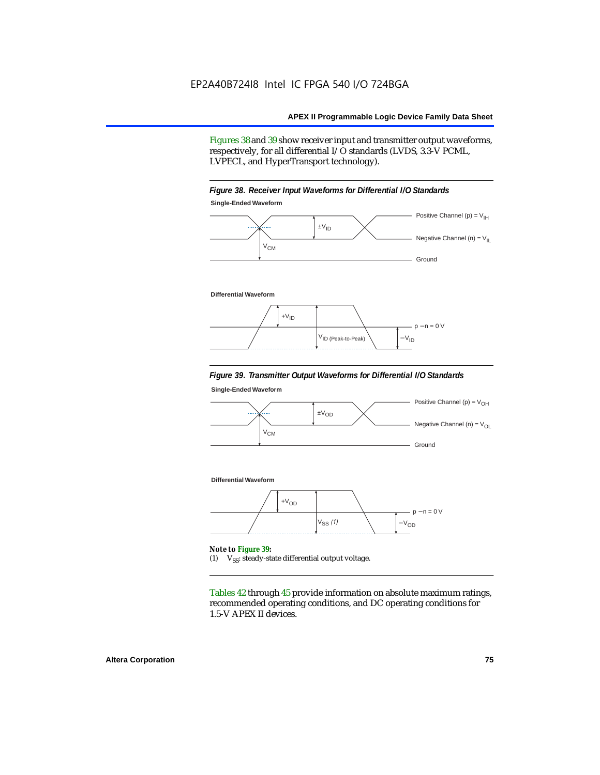Figures 38 and 39 show receiver input and transmitter output waveforms, respectively, for all differential I/O standards (LVDS, 3.3-V PCML, LVPECL, and HyperTransport technology).





#### **Differential Waveform**



#### *Figure 39. Transmitter Output Waveforms for Differential I/O Standards*

**Single-Ended Waveform**



(1)  $V_{SS}$ : steady-state differential output voltage.

Tables 42 through 45 provide information on absolute maximum ratings, recommended operating conditions, and DC operating conditions for 1.5-V APEX II devices.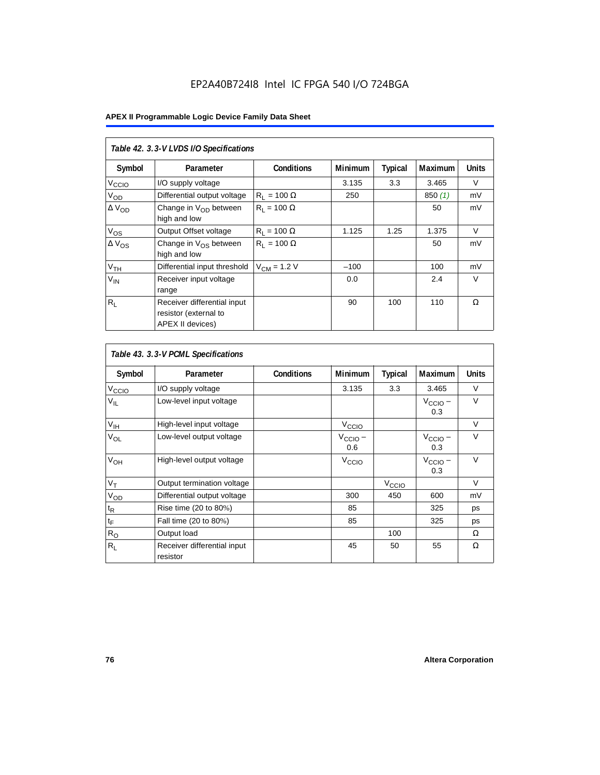|                   | Table 42. 3.3-V LVDS I/O Specifications                                  |                    |         |                |                |              |  |  |  |  |
|-------------------|--------------------------------------------------------------------------|--------------------|---------|----------------|----------------|--------------|--|--|--|--|
| Symbol            | Parameter                                                                | <b>Conditions</b>  | Minimum | <b>Typical</b> | <b>Maximum</b> | <b>Units</b> |  |  |  |  |
| V <sub>CCIO</sub> | I/O supply voltage                                                       |                    | 3.135   | 3.3            | 3.465          | V            |  |  |  |  |
| V <sub>OD</sub>   | Differential output voltage                                              | $R_1 = 100 \Omega$ | 250     |                | 850(1)         | mV           |  |  |  |  |
| $\Delta V_{OD}$   | Change in $V_{OD}$ between<br>high and low                               | $R_1 = 100 \Omega$ |         |                | 50             | mV           |  |  |  |  |
| $V_{OS}$          | Output Offset voltage                                                    | $R_1 = 100 \Omega$ | 1.125   | 1.25           | 1.375          | $\vee$       |  |  |  |  |
| $\Delta V_{OS}$   | Change in $V_{OS}$ between<br>high and low                               | $R_1 = 100 \Omega$ |         |                | 50             | mV           |  |  |  |  |
| V <sub>TH</sub>   | Differential input threshold                                             | $V_{CM}$ = 1.2 V   | $-100$  |                | 100            | mV           |  |  |  |  |
| $V_{IN}$          | Receiver input voltage<br>range                                          |                    | 0.0     |                | 2.4            | $\vee$       |  |  |  |  |
| $R_{\rm L}$       | Receiver differential input<br>resistor (external to<br>APEX II devices) |                    | 90      | 100            | 110            | Ω            |  |  |  |  |

| Table 43. 3.3-V PCML Specifications |                                         |                   |                            |                   |                            |              |  |  |  |  |
|-------------------------------------|-----------------------------------------|-------------------|----------------------------|-------------------|----------------------------|--------------|--|--|--|--|
| Symbol                              | Parameter                               | <b>Conditions</b> | Minimum                    | <b>Typical</b>    | <b>Maximum</b>             | <b>Units</b> |  |  |  |  |
| $V_{\text{CCIO}}$                   | I/O supply voltage                      |                   | 3.135                      | 3.3               | 3.465                      | V            |  |  |  |  |
| $V_{IL}$                            | Low-level input voltage                 |                   |                            |                   | $V_{\text{CCIO}}$ –<br>0.3 | $\vee$       |  |  |  |  |
| $V_{\text{IH}}$                     | High-level input voltage                |                   | $V_{\text{CCI}Q}$          |                   |                            | $\vee$       |  |  |  |  |
| $V_{OL}$                            | Low-level output voltage                |                   | $V_{\text{CCIO}}$ –<br>0.6 |                   | $V_{\text{CCIO}}$ –<br>0.3 | $\vee$       |  |  |  |  |
| V <sub>OH</sub>                     | High-level output voltage               |                   | V <sub>CCIO</sub>          |                   | $V_{\text{CCIO}}$ –<br>0.3 | $\vee$       |  |  |  |  |
| $V_T$                               | Output termination voltage              |                   |                            | V <sub>CCIO</sub> |                            | $\vee$       |  |  |  |  |
| V <sub>OD</sub>                     | Differential output voltage             |                   | 300                        | 450               | 600                        | mV           |  |  |  |  |
| $t_{\mathsf{R}}$                    | Rise time (20 to 80%)                   |                   | 85                         |                   | 325                        | ps           |  |  |  |  |
| $t_{\mathsf{F}}$                    | Fall time (20 to 80%)                   |                   | 85                         |                   | 325                        | ps           |  |  |  |  |
| $R_{\rm O}$                         | Output load                             |                   |                            | 100               |                            | Ω            |  |  |  |  |
| $R_L$                               | Receiver differential input<br>resistor |                   | 45                         | 50                | 55                         | Ω            |  |  |  |  |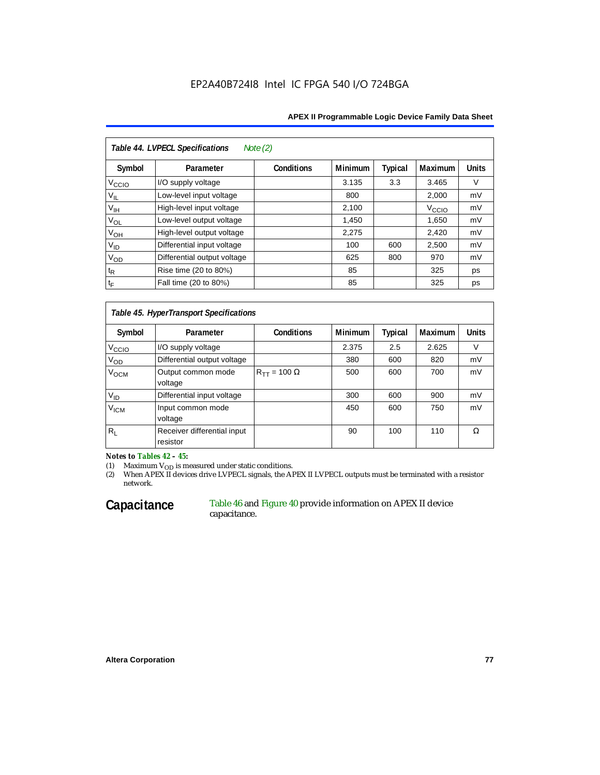#### **APEX II Programmable Logic Device Family Data Sheet**

| Table 44. LVPECL Specifications<br>Note $(2)$ |                             |                   |                |         |                   |              |  |  |  |
|-----------------------------------------------|-----------------------------|-------------------|----------------|---------|-------------------|--------------|--|--|--|
| Symbol                                        | Parameter                   | <b>Conditions</b> | <b>Minimum</b> | Typical | <b>Maximum</b>    | <b>Units</b> |  |  |  |
| V <sub>CCIO</sub>                             | I/O supply voltage          |                   | 3.135          | 3.3     | 3.465             | V            |  |  |  |
| $V_{\parallel L}$                             | Low-level input voltage     |                   | 800            |         | 2,000             | mV           |  |  |  |
| $V_{\text{IH}}$                               | High-level input voltage    |                   | 2,100          |         | V <sub>CCIO</sub> | mV           |  |  |  |
| $V_{OL}$                                      | Low-level output voltage    |                   | 1,450          |         | 1,650             | mV           |  |  |  |
| $V_{OH}$                                      | High-level output voltage   |                   | 2,275          |         | 2,420             | mV           |  |  |  |
| $V_{ID}$                                      | Differential input voltage  |                   | 100            | 600     | 2,500             | mV           |  |  |  |
| $V_{OD}$                                      | Differential output voltage |                   | 625            | 800     | 970               | mV           |  |  |  |
| $t_{\mathsf{R}}$                              | Rise time (20 to 80%)       |                   | 85             |         | 325               | ps           |  |  |  |
| $t_{\mathsf{F}}$                              | Fall time (20 to 80%)       |                   | 85             |         | 325               | ps           |  |  |  |

#### *Table 45. HyperTransport Specifications*

| Symbol             | Parameter                               | <b>Conditions</b>       | <b>Minimum</b> | <b>Typical</b> | <b>Maximum</b> | <b>Units</b> |
|--------------------|-----------------------------------------|-------------------------|----------------|----------------|----------------|--------------|
| V <sub>CCIO</sub>  | I/O supply voltage                      |                         | 2.375          | 2.5            | 2.625          |              |
| Vod                | Differential output voltage             |                         | 380            | 600            | 820            | mV           |
| V <sub>OCM</sub>   | Output common mode<br>voltage           | $R_{TT}$ = 100 $\Omega$ | 500            | 600            | 700            | mV           |
| $V_{ID}$           | Differential input voltage              |                         | 300            | 600            | 900            | mV           |
| $V_{\mathsf{ICM}}$ | Input common mode<br>voltage            |                         | 450            | 600            | 750            | mV           |
| $R_L$              | Receiver differential input<br>resistor |                         | 90             | 100            | 110            | Ω            |

*Notes to Tables 42 – 45:*

(1) Maximum  $V_{OD}$  is measured under static conditions.

(2) When APEX II devices drive LVPECL signals, the APEX II LVPECL outputs must be terminated with a resistor network.

#### Capacitance Table 46 and Figure 40 provide information on APEX II device capacitance.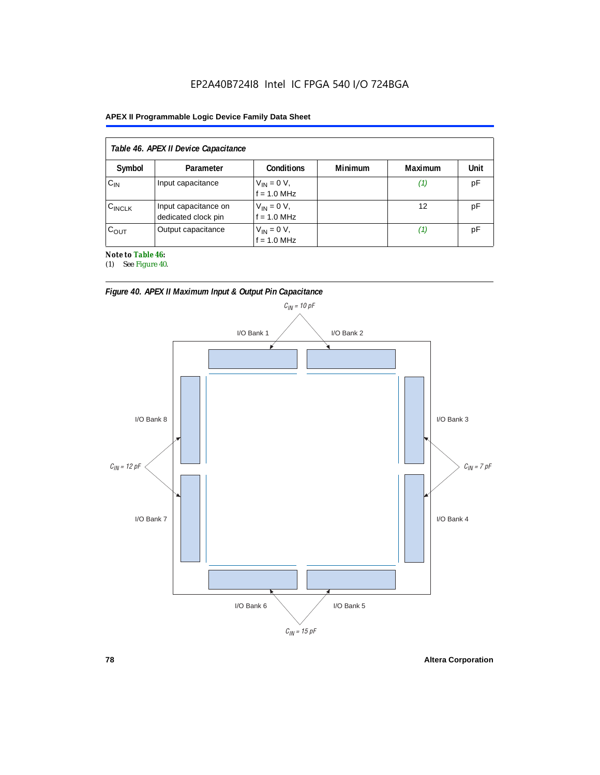#### **APEX II Programmable Logic Device Family Data Sheet**

|                    | Table 46. APEX II Device Capacitance        |                                |                |         |      |
|--------------------|---------------------------------------------|--------------------------------|----------------|---------|------|
| Symbol             | Parameter                                   | <b>Conditions</b>              | <b>Minimum</b> | Maximum | Unit |
| $C_{IN}$           | Input capacitance                           | $V_{IN} = 0 V,$<br>f = 1.0 MHz |                | (1)     | рF   |
| $C_{\text{INCLK}}$ | Input capacitance on<br>dedicated clock pin | $V_{IN} = 0 V,$<br>f = 1.0 MHz |                | 12      | рF   |
| $C_{\text{OUT}}$   | Output capacitance                          | $V_{IN} = 0 V,$<br>f = 1.0 MHz |                | (1)     | рF   |

*Note to Table 46:*

(1) See Figure 40.



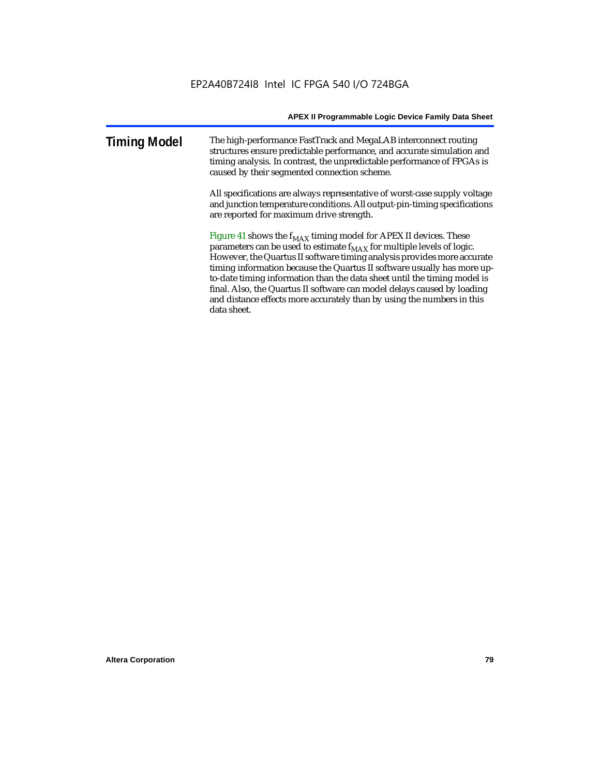| <b>Timing Model</b> | The high-performance FastTrack and MegaLAB interconnect routing         |
|---------------------|-------------------------------------------------------------------------|
|                     | structures ensure predictable performance, and accurate simulation and  |
|                     | timing analysis. In contrast, the unpredictable performance of FPGAs is |
|                     | caused by their segmented connection scheme.                            |

All specifications are always representative of worst-case supply voltage and junction temperature conditions. All output-pin-timing specifications are reported for maximum drive strength.

Figure 41 shows the  $f_{MAX}$  timing model for APEX II devices. These parameters can be used to estimate  $f_{MAX}$  for multiple levels of logic. However, the Quartus II software timing analysis provides more accurate timing information because the Quartus II software usually has more upto-date timing information than the data sheet until the timing model is final. Also, the Quartus II software can model delays caused by loading and distance effects more accurately than by using the numbers in this data sheet.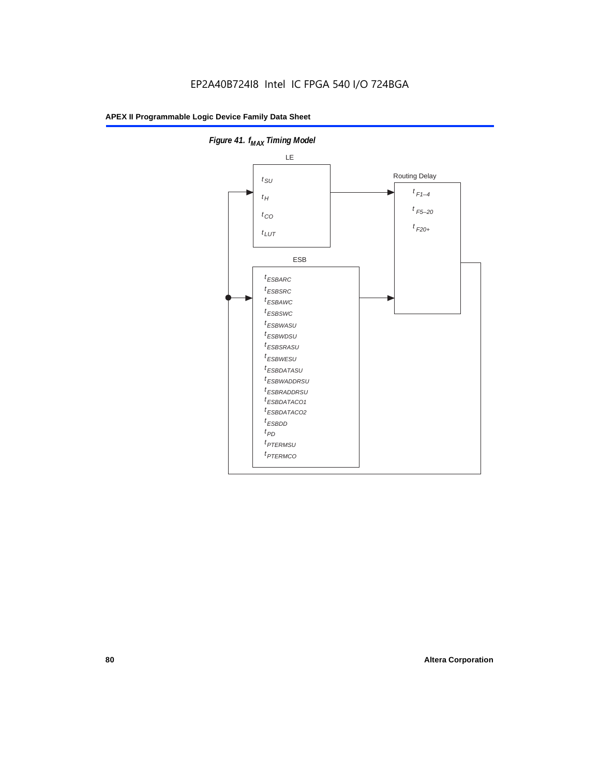

**Figure 41. f**<sub>MAX</sub> Timing Model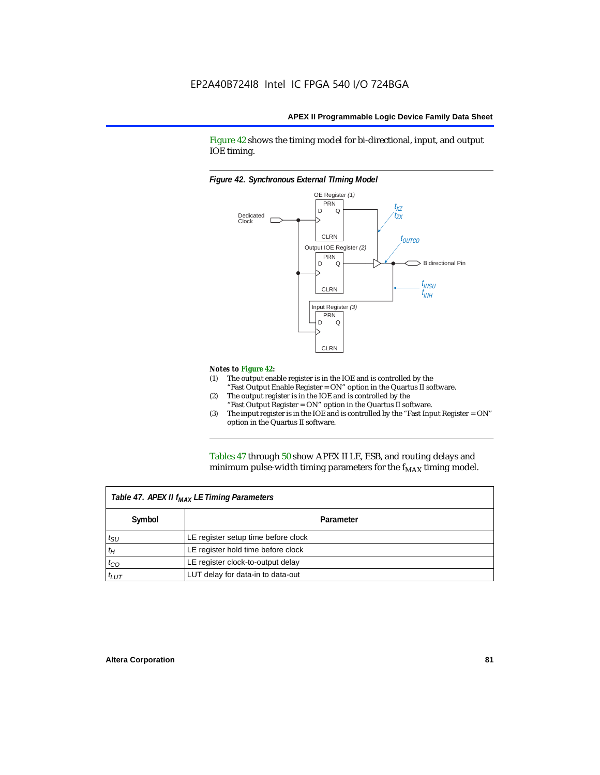Figure 42 shows the timing model for bi-directional, input, and output IOE timing.

#### *Figure 42. Synchronous External TIming Model*



#### *Notes to Figure 42:*

- (1) The output enable register is in the IOE and is controlled by the "Fast Output Enable Register = ON" option in the Quartus II software.
- (2) The output register is in the IOE and is controlled by the "Fast Output Register = ON" option in the Quartus II software.
- (3) The input register is in the IOE and is controlled by the "Fast Input Register = ON" option in the Quartus II software.

Tables 47 through 50 show APEX II LE, ESB, and routing delays and minimum pulse-width timing parameters for the  $f_{MAX}$  timing model.

|              | Table 47. APEX II f <sub>MAX</sub> LE Timing Parameters |
|--------------|---------------------------------------------------------|
| Symbol       | Parameter                                               |
| $t_{\rm SU}$ | LE register setup time before clock                     |
| $t_H$        | LE register hold time before clock                      |
| $t_{CO}$     | LE register clock-to-output delay                       |
| $t_{LUT}$    | LUT delay for data-in to data-out                       |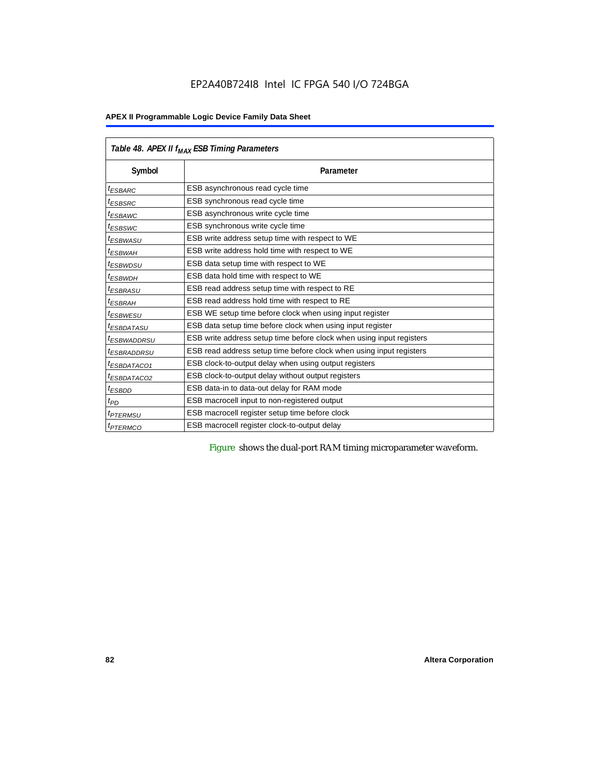#### **APEX II Programmable Logic Device Family Data Sheet**

|                         | Table 48. APEX II f <sub>MAX</sub> ESB Timing Parameters             |
|-------------------------|----------------------------------------------------------------------|
| Symbol                  | Parameter                                                            |
| <sup>t</sup> ESBARC     | ESB asynchronous read cycle time                                     |
| <sup>t</sup> ESBSRC     | ESB synchronous read cycle time                                      |
| <sup>t</sup> ESBAWC     | ESB asynchronous write cycle time                                    |
| <sup>t</sup> ESBSWC     | ESB synchronous write cycle time                                     |
| <sup>t</sup> ESBWASU    | ESB write address setup time with respect to WE                      |
| $t_{ESBWAH}$            | ESB write address hold time with respect to WE                       |
| <sup>t</sup> ESBWDSU    | ESB data setup time with respect to WE                               |
| <sup>t</sup> ESBWDH     | ESB data hold time with respect to WE                                |
| <sup>t</sup> ESBRASU    | ESB read address setup time with respect to RE                       |
| <sup>t</sup> ESBRAH     | ESB read address hold time with respect to RE                        |
| <sup>t</sup> ESBWESU    | ESB WE setup time before clock when using input register             |
| <sup>I</sup> ESBDATASU  | ESB data setup time before clock when using input register           |
| <sup>t</sup> ESBWADDRSU | ESB write address setup time before clock when using input registers |
| <sup>t</sup> ESBRADDRSU | ESB read address setup time before clock when using input registers  |
| <sup>t</sup> ESBDATACO1 | ESB clock-to-output delay when using output registers                |
| <sup>t</sup> ESBDATACO2 | ESB clock-to-output delay without output registers                   |
| <sup>t</sup> ESBDD      | ESB data-in to data-out delay for RAM mode                           |
| $t_{PD}$                | ESB macrocell input to non-registered output                         |
| <i><b>TPTERMSU</b></i>  | ESB macrocell register setup time before clock                       |
| <sup>t</sup> PTERMCO    | ESB macrocell register clock-to-output delay                         |

Figure shows the dual-port RAM timing microparameter waveform.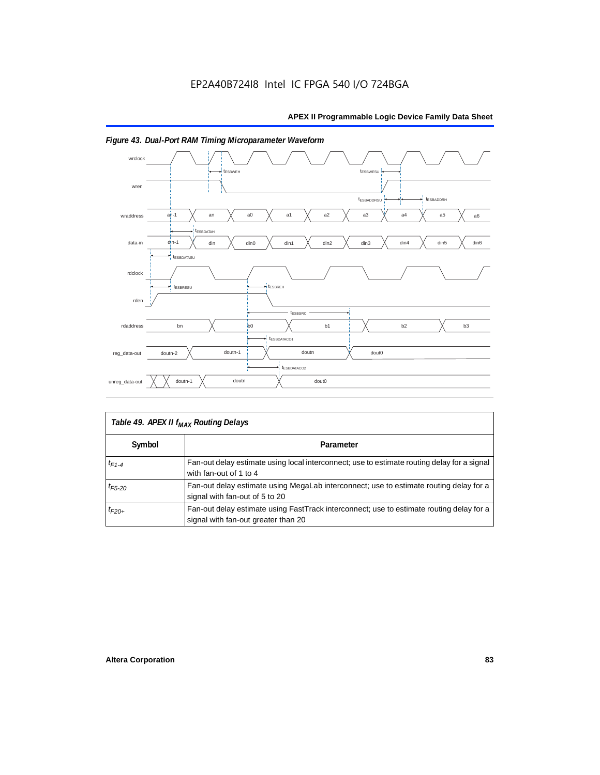

## *Figure 43. Dual-Port RAM Timing Microparameter Waveform*

|             | Table 49. APEX II f <sub>MAX</sub> Routing Delays                                                                               |
|-------------|---------------------------------------------------------------------------------------------------------------------------------|
| Symbol      | Parameter                                                                                                                       |
| $t_{F1-4}$  | Fan-out delay estimate using local interconnect; use to estimate routing delay for a signal<br>with fan-out of 1 to 4           |
| $t_{F5-20}$ | Fan-out delay estimate using MegaLab interconnect; use to estimate routing delay for a<br>signal with fan-out of 5 to 20        |
| $t_{F20+}$  | Fan-out delay estimate using FastTrack interconnect; use to estimate routing delay for a<br>signal with fan-out greater than 20 |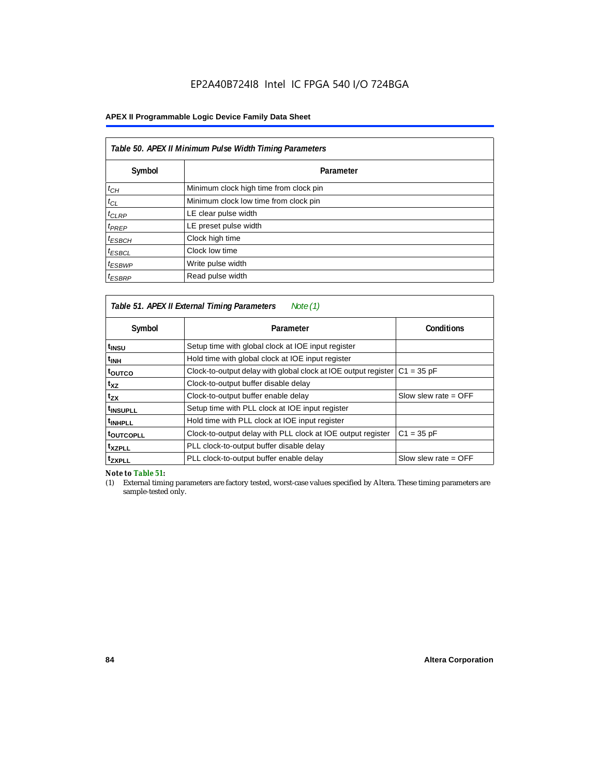#### **APEX II Programmable Logic Device Family Data Sheet**

| Table 50. APEX II Minimum Pulse Width Timing Parameters |                                        |  |  |  |  |  |
|---------------------------------------------------------|----------------------------------------|--|--|--|--|--|
| Symbol                                                  | Parameter                              |  |  |  |  |  |
| $t_{CH}$                                                | Minimum clock high time from clock pin |  |  |  |  |  |
| $t_{CL}$                                                | Minimum clock low time from clock pin  |  |  |  |  |  |
| $t_{CLRP}$                                              | LE clear pulse width                   |  |  |  |  |  |
| $t_{PREF}$                                              | LE preset pulse width                  |  |  |  |  |  |
| $t_{ESBCH}$                                             | Clock high time                        |  |  |  |  |  |
| $t_{ESBCL}$                                             | Clock low time                         |  |  |  |  |  |
| $t_{ESBWP}$                                             | Write pulse width                      |  |  |  |  |  |
| $t_{ESBRP}$                                             | Read pulse width                       |  |  |  |  |  |

|                      | Table 51. APEX II External Timing Parameters<br>Note (1)                     |                        |
|----------------------|------------------------------------------------------------------------------|------------------------|
| Symbol               | Parameter                                                                    | <b>Conditions</b>      |
| t <sub>INSU</sub>    | Setup time with global clock at IOE input register                           |                        |
| <sup>t</sup> inh     | Hold time with global clock at IOE input register                            |                        |
| toutco               | Clock-to-output delay with global clock at IOE output register $ C1 = 35$ pF |                        |
| t <sub>XZ</sub>      | Clock-to-output buffer disable delay                                         |                        |
| t <sub>zx</sub>      | Clock-to-output buffer enable delay                                          | Slow slew rate $=$ OFF |
| t <sub>INSUPLL</sub> | Setup time with PLL clock at IOE input register                              |                        |
| <sup>t</sup> INHPLL  | Hold time with PLL clock at IOE input register                               |                        |
| <b>toutcopll</b>     | Clock-to-output delay with PLL clock at IOE output register                  | $C1 = 35 pF$           |
| txzpll               | PLL clock-to-output buffer disable delay                                     |                        |
| <sup>t</sup> zxpll   | PLL clock-to-output buffer enable delay                                      | Slow slew rate $=$ OFF |

*Note to Table 51:*

(1) External timing parameters are factory tested, worst-case values specified by Altera. These timing parameters are sample-tested only.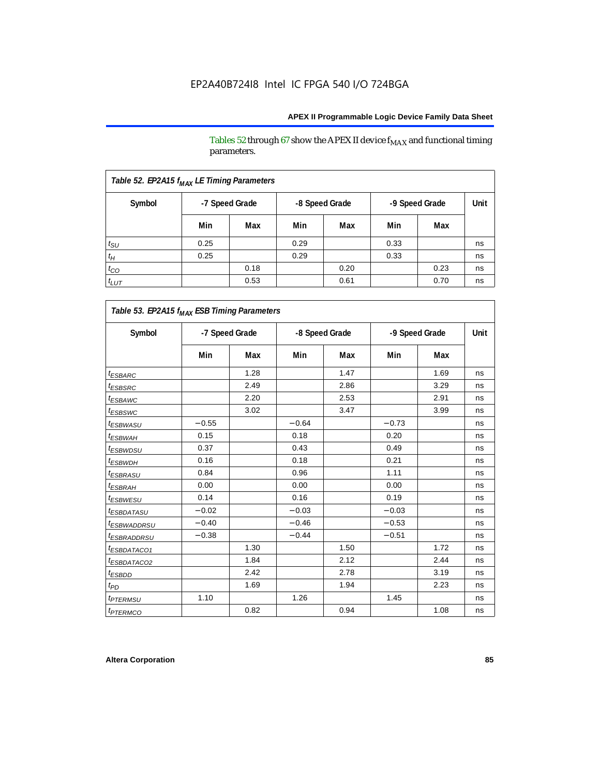Tables 52 through 67 show the APEX II device  $\rm f_{MAX}$  and functional timing parameters.

| Table 52. EP2A15 f <sub>MAX</sub> LE Timing Parameters |      |                |      |                |                |      |      |
|--------------------------------------------------------|------|----------------|------|----------------|----------------|------|------|
| Symbol                                                 |      | -7 Speed Grade |      | -8 Speed Grade | -9 Speed Grade |      | Unit |
|                                                        | Min  | Max            | Min  | Max            | Min            | Max  |      |
| $t_{\text{SU}}$                                        | 0.25 |                | 0.29 |                | 0.33           |      | ns   |
| $t_H$                                                  | 0.25 |                | 0.29 |                | 0.33           |      | ns   |
| $t_{CO}$                                               |      | 0.18           |      | 0.20           |                | 0.23 | ns   |
| $t_{LUT}$                                              |      | 0.53           |      | 0.61           |                | 0.70 | ns   |

| Table 53. EP2A15 f <sub>MAX</sub> ESB Timing Parameters |         |                |         |                |                |      |             |  |
|---------------------------------------------------------|---------|----------------|---------|----------------|----------------|------|-------------|--|
| Symbol                                                  |         | -7 Speed Grade |         | -8 Speed Grade | -9 Speed Grade |      | <b>Unit</b> |  |
|                                                         | Min     | Max            | Min     | Max            | Min            | Max  |             |  |
| <sup>t</sup> ESBARC                                     |         | 1.28           |         | 1.47           |                | 1.69 | ns          |  |
| t <sub>ESB<u>SRC</u></sub>                              |         | 2.49           |         | 2.86           |                | 3.29 | ns          |  |
| <sup>t</sup> ESBAWC                                     |         | 2.20           |         | 2.53           |                | 2.91 | ns          |  |
| <sup>t</sup> ESBSWC                                     |         | 3.02           |         | 3.47           |                | 3.99 | ns          |  |
| <i>t<sub>ESBWASU</sub></i>                              | $-0.55$ |                | $-0.64$ |                | $-0.73$        |      | ns          |  |
| <sup>t</sup> ESBWAH                                     | 0.15    |                | 0.18    |                | 0.20           |      | ns          |  |
| <sup>t</sup> ESBWDSU                                    | 0.37    |                | 0.43    |                | 0.49           |      | ns          |  |
| <sup>t</sup> ESBWDH                                     | 0.16    |                | 0.18    |                | 0.21           |      | ns          |  |
| <sup>t</sup> ESBRASU                                    | 0.84    |                | 0.96    |                | 1.11           |      | ns          |  |
| <sup>t</sup> ESBRAH                                     | 0.00    |                | 0.00    |                | 0.00           |      | ns          |  |
| <sup>t</sup> ESBWESU                                    | 0.14    |                | 0.16    |                | 0.19           |      | ns          |  |
| <sup>t</sup> ESBDATASU                                  | $-0.02$ |                | $-0.03$ |                | $-0.03$        |      | ns          |  |
| <sup>t</sup> ESBWADDRSU                                 | $-0.40$ |                | $-0.46$ |                | $-0.53$        |      | ns          |  |
| <sup>t</sup> ESBRADDRSU                                 | $-0.38$ |                | $-0.44$ |                | $-0.51$        |      | ns          |  |
| ESBDATACO1                                              |         | 1.30           |         | 1.50           |                | 1.72 | ns          |  |
| <i>ESBDATACO2</i>                                       |         | 1.84           |         | 2.12           |                | 2.44 | ns          |  |
| <sup>t</sup> ESBDD                                      |         | 2.42           |         | 2.78           |                | 3.19 | ns          |  |
| t <sub>PD</sub>                                         |         | 1.69           |         | 1.94           |                | 2.23 | ns          |  |
| <i><b><i>EPTERMSU</i></b></i>                           | 1.10    |                | 1.26    |                | 1.45           |      | ns          |  |
| <i><b>IPTERMCO</b></i>                                  |         | 0.82           |         | 0.94           |                | 1.08 | ns          |  |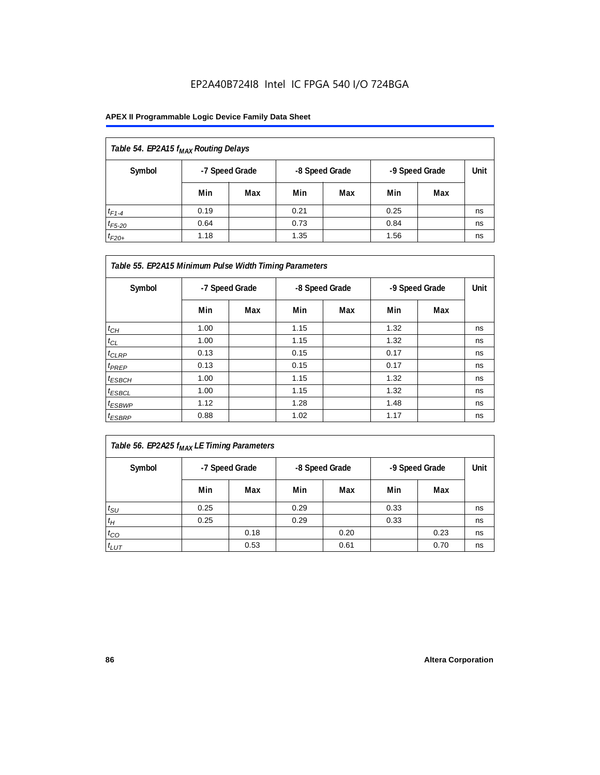| Table 54. EP2A15 f <sub>MAX</sub> Routing Delays |      |                |      |                |                |     |      |
|--------------------------------------------------|------|----------------|------|----------------|----------------|-----|------|
| Symbol                                           |      | -7 Speed Grade |      | -8 Speed Grade | -9 Speed Grade |     | Unit |
|                                                  | Min  | Max            | Min  | Max            | Min            | Max |      |
| $t_{F1-4}$                                       | 0.19 |                | 0.21 |                | 0.25           |     | ns   |
| $t_{F5-20}$                                      | 0.64 |                | 0.73 |                | 0.84           |     | ns   |
| $t_{F20+}$                                       | 1.18 |                | 1.35 |                | 1.56           |     | ns   |

| Table 55. EP2A15 Minimum Pulse Width Timing Parameters |                |     |                |     |                |     |      |
|--------------------------------------------------------|----------------|-----|----------------|-----|----------------|-----|------|
| Symbol                                                 | -7 Speed Grade |     | -8 Speed Grade |     | -9 Speed Grade |     | Unit |
|                                                        | Min            | Max | Min            | Max | Min            | Max |      |
| $t_{CH}$                                               | 1.00           |     | 1.15           |     | 1.32           |     | ns   |
| $t_{CL}$                                               | 1.00           |     | 1.15           |     | 1.32           |     | ns   |
| $t_{CLRP}$                                             | 0.13           |     | 0.15           |     | 0.17           |     | ns   |
| $t_{PREF}$                                             | 0.13           |     | 0.15           |     | 0.17           |     | ns   |
| $t_{ESBCH}$                                            | 1.00           |     | 1.15           |     | 1.32           |     | ns   |
| $t_{ESBCL}$                                            | 1.00           |     | 1.15           |     | 1.32           |     | ns   |
| <sup>t</sup> ESBWP                                     | 1.12           |     | 1.28           |     | 1.48           |     | ns   |
| $t_{ESBRP}$                                            | 0.88           |     | 1.02           |     | 1.17           |     | ns   |

| $\vert$ Table 56. EP2A25 $f_{MAX}$ LE Timing Parameters |
|---------------------------------------------------------|
|---------------------------------------------------------|

| Symbol          | -7 Speed Grade |      | -8 Speed Grade |      | -9 Speed Grade |      | Unit |
|-----------------|----------------|------|----------------|------|----------------|------|------|
|                 | Min            | Max  | Min            | Max  | Min            | Max  |      |
| $t_{\text{SU}}$ | 0.25           |      | 0.29           |      | 0.33           |      | ns   |
| $t_H$           | 0.25           |      | 0.29           |      | 0.33           |      | ns   |
| $t_{CO}$        |                | 0.18 |                | 0.20 |                | 0.23 | ns   |
| $t_{LUT}$       |                | 0.53 |                | 0.61 |                | 0.70 | ns   |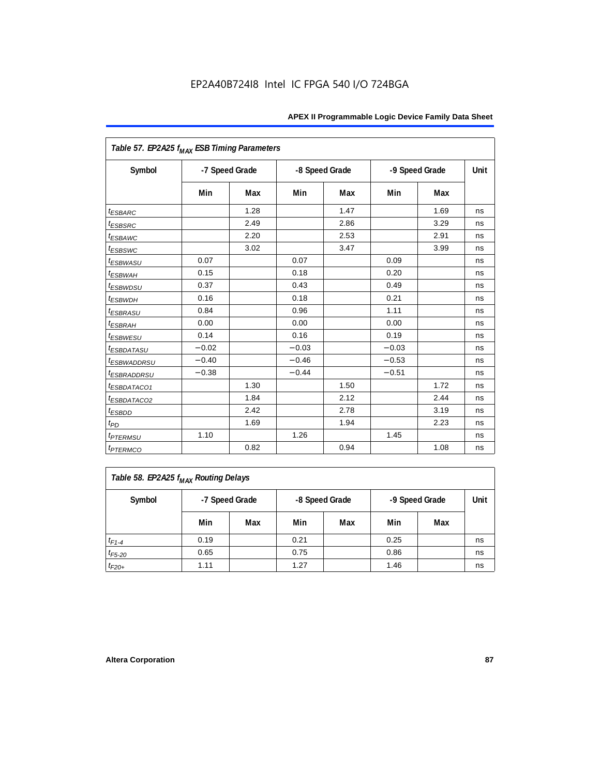| Table 57. EP2A25 f <sub>MAX</sub> ESB Timing Parameters |                |      |         |                |         |                |      |
|---------------------------------------------------------|----------------|------|---------|----------------|---------|----------------|------|
| Symbol                                                  | -7 Speed Grade |      |         | -8 Speed Grade |         | -9 Speed Grade | Unit |
|                                                         | Min            | Max  | Min     | Max            | Min     | <b>Max</b>     |      |
| <i><b>ESBARC</b></i>                                    |                | 1.28 |         | 1.47           |         | 1.69           | ns   |
| <i><b>ESBSRC</b></i>                                    |                | 2.49 |         | 2.86           |         | 3.29           | ns   |
| <i>ESBAWC</i>                                           |                | 2.20 |         | 2.53           |         | 2.91           | ns   |
| t <sub>ESBSWC</sub>                                     |                | 3.02 |         | 3.47           |         | 3.99           | ns   |
| <sup>t</sup> ESBWASU                                    | 0.07           |      | 0.07    |                | 0.09    |                | ns   |
| <sup>t</sup> ESBWAH                                     | 0.15           |      | 0.18    |                | 0.20    |                | ns   |
| <i>t<sub>ESBWDSU</sub></i>                              | 0.37           |      | 0.43    |                | 0.49    |                | ns   |
| <sup>t</sup> ESBWDH                                     | 0.16           |      | 0.18    |                | 0.21    |                | ns   |
| <i><b>ESBRASU</b></i>                                   | 0.84           |      | 0.96    |                | 1.11    |                | ns   |
| <sup>t</sup> ESBRAH                                     | 0.00           |      | 0.00    |                | 0.00    |                | ns   |
| $t_{ESBWESU}$                                           | 0.14           |      | 0.16    |                | 0.19    |                | ns   |
| <i>ESBDATASU</i>                                        | $-0.02$        |      | $-0.03$ |                | $-0.03$ |                | ns   |
| <sup>t</sup> ESBWADDRSU                                 | $-0.40$        |      | $-0.46$ |                | $-0.53$ |                | ns   |
| <sup>t</sup> ESBRADDRSU                                 | $-0.38$        |      | $-0.44$ |                | $-0.51$ |                | ns   |
| ESBDATACO1                                              |                | 1.30 |         | 1.50           |         | 1.72           | ns   |
| <sup>t</sup> ESBDATACO2                                 |                | 1.84 |         | 2.12           |         | 2.44           | ns   |
| <sup>t</sup> ESBDD                                      |                | 2.42 |         | 2.78           |         | 3.19           | ns   |
| t <sub>PD</sub>                                         |                | 1.69 |         | 1.94           |         | 2.23           | ns   |
| <i>t<sub>PTERMSU</sub></i>                              | 1.10           |      | 1.26    |                | 1.45    |                | ns   |
| <i><b>t</b>PTERMCO</i>                                  |                | 0.82 |         | 0.94           |         | 1.08           | ns   |

| Table 58. EP2A25 f <sub>MAX</sub> Routing Delays |      |                |      |                |                |      |    |  |  |
|--------------------------------------------------|------|----------------|------|----------------|----------------|------|----|--|--|
| Symbol                                           |      | -7 Speed Grade |      | -8 Speed Grade | -9 Speed Grade | Unit |    |  |  |
|                                                  | Min  | Max            | Min  | Max            | Min            | Max  |    |  |  |
| $t_{F1-4}$                                       | 0.19 |                | 0.21 |                | 0.25           |      | ns |  |  |
| $t_{F5-20}$                                      | 0.65 |                | 0.75 |                | 0.86           |      | ns |  |  |
| $t_{F20+}$                                       | 1.11 |                | 1.27 |                | 1.46           |      | ns |  |  |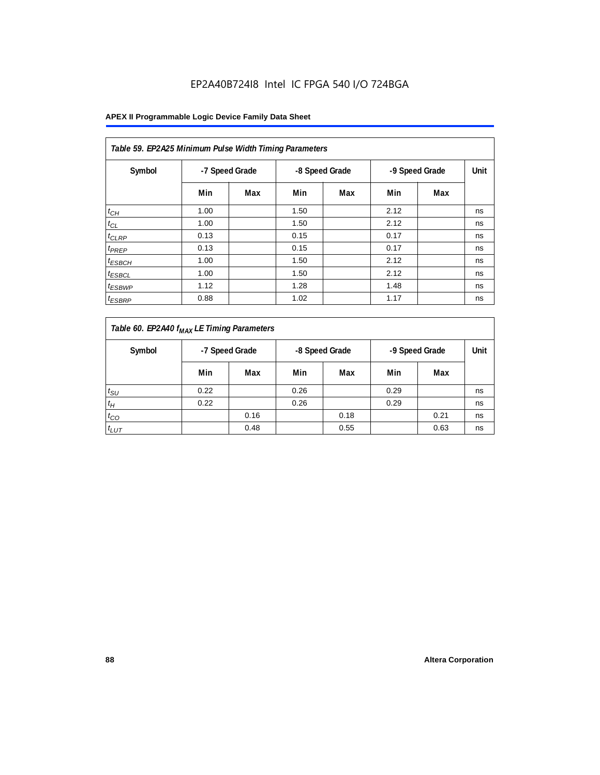| Table 59. EP2A25 Minimum Pulse Width Timing Parameters |      |                |      |                |      |                |      |  |  |  |
|--------------------------------------------------------|------|----------------|------|----------------|------|----------------|------|--|--|--|
| Symbol                                                 |      | -7 Speed Grade |      | -8 Speed Grade |      | -9 Speed Grade | Unit |  |  |  |
|                                                        | Min  | Max            | Min  | Max            | Min  | Max            |      |  |  |  |
| $t_{CH}$                                               | 1.00 |                | 1.50 |                | 2.12 |                | ns   |  |  |  |
| $t_{CL}$                                               | 1.00 |                | 1.50 |                | 2.12 |                | ns   |  |  |  |
| $t_{CLRP}$                                             | 0.13 |                | 0.15 |                | 0.17 |                | ns   |  |  |  |
| t <sub>PREP</sub>                                      | 0.13 |                | 0.15 |                | 0.17 |                | ns   |  |  |  |
| $t_{ESBCH}$                                            | 1.00 |                | 1.50 |                | 2.12 |                | ns   |  |  |  |
| <sup>t</sup> ESBCL                                     | 1.00 |                | 1.50 |                | 2.12 |                | ns   |  |  |  |
| <sup>t</sup> ESBWP                                     | 1.12 |                | 1.28 |                | 1.48 |                | ns   |  |  |  |
| <sup>t</sup> ESBRP                                     | 0.88 |                | 1.02 |                | 1.17 |                | ns   |  |  |  |

| Table 60. EP2A40 f <sub>MAX</sub> LE Timing Parameters |      |                |      |                |      |                |    |  |  |
|--------------------------------------------------------|------|----------------|------|----------------|------|----------------|----|--|--|
| Symbol                                                 |      | -7 Speed Grade |      | -8 Speed Grade |      | -9 Speed Grade |    |  |  |
|                                                        | Min  | Max            | Min  | Max            | Min  | Max            |    |  |  |
| $t_{\text{SU}}$                                        | 0.22 |                | 0.26 |                | 0.29 |                | ns |  |  |
| $t_H$                                                  | 0.22 |                | 0.26 |                | 0.29 |                | ns |  |  |
| $t_{CO}$                                               |      | 0.16           |      | 0.18           |      | 0.21           | ns |  |  |
| $t_{LUT}$                                              |      | 0.48           |      | 0.55           |      | 0.63           | ns |  |  |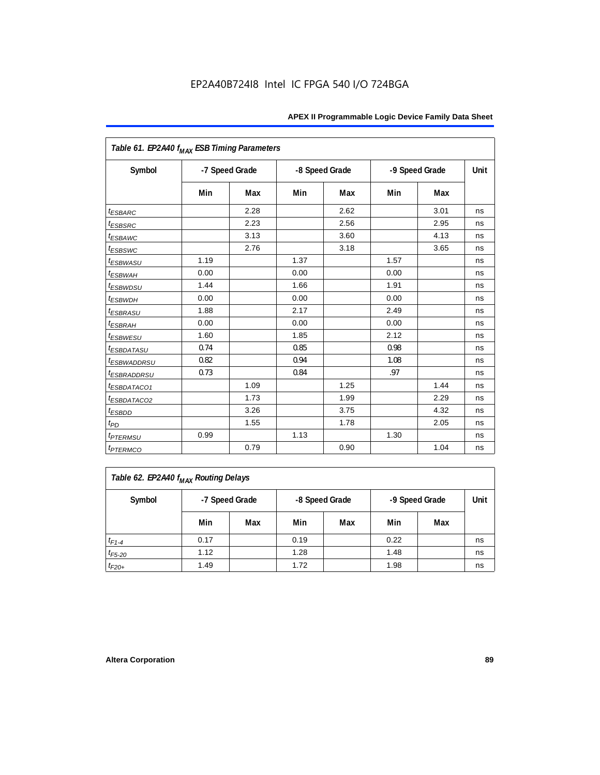| Table 61. EP2A40 f <sub>MAX</sub> ESB Timing Parameters |      |                |      |                |      |                |      |
|---------------------------------------------------------|------|----------------|------|----------------|------|----------------|------|
| Symbol                                                  |      | -7 Speed Grade |      | -8 Speed Grade |      | -9 Speed Grade | Unit |
|                                                         | Min  | Max            | Min  | Max            | Min  | Max            |      |
| <i><b>ESBARC</b></i>                                    |      | 2.28           |      | 2.62           |      | 3.01           | ns   |
| <i>t</i> <sub>ESBSRC</sub>                              |      | 2.23           |      | 2.56           |      | 2.95           | ns   |
| <sup>t</sup> ESBAWC                                     |      | 3.13           |      | 3.60           |      | 4.13           | ns   |
| t <sub>ESBSWC</sub>                                     |      | 2.76           |      | 3.18           |      | 3.65           | ns   |
| <sup>t</sup> ESBWASU                                    | 1.19 |                | 1.37 |                | 1.57 |                | ns   |
| <sup>t</sup> ESBWAH                                     | 0.00 |                | 0.00 |                | 0.00 |                | ns   |
| <i>t<sub>ESBWDSU</sub></i>                              | 1.44 |                | 1.66 |                | 1.91 |                | ns   |
| <sup>t</sup> ESBWDH                                     | 0.00 |                | 0.00 |                | 0.00 |                | ns   |
| <sup>t</sup> ESBRASU                                    | 1.88 |                | 2.17 |                | 2.49 |                | ns   |
| <sup>t</sup> ESBRAH                                     | 0.00 |                | 0.00 |                | 0.00 |                | ns   |
| <sup>t</sup> ESBWESU                                    | 1.60 |                | 1.85 |                | 2.12 |                | ns   |
| <i>ESBDATASU</i>                                        | 0.74 |                | 0.85 |                | 0.98 |                | ns   |
| <sup>t</sup> ESBWADDRSU                                 | 0.82 |                | 0.94 |                | 1.08 |                | ns   |
| <sup>t</sup> ESBRADDRSU                                 | 0.73 |                | 0.84 |                | .97  |                | ns   |
| <i>ESBDATACO1</i>                                       |      | 1.09           |      | 1.25           |      | 1.44           | ns   |
| <i>ESBDATACO2</i>                                       |      | 1.73           |      | 1.99           |      | 2.29           | ns   |
| <sup>t</sup> ESBDD                                      |      | 3.26           |      | 3.75           |      | 4.32           | ns   |
| $t_{PD}$                                                |      | 1.55           |      | 1.78           |      | 2.05           | ns   |
| <i><b><i>EPTERMSU</i></b></i>                           | 0.99 |                | 1.13 |                | 1.30 |                | ns   |
| <i><b>t</b>PTERMCO</i>                                  |      | 0.79           |      | 0.90           |      | 1.04           | ns   |

| Table 62. EP2A40 f <sub>MAX</sub> Routing Delays |      |                |      |                |                |      |    |  |  |
|--------------------------------------------------|------|----------------|------|----------------|----------------|------|----|--|--|
| Symbol                                           |      | -7 Speed Grade |      | -8 Speed Grade | -9 Speed Grade | Unit |    |  |  |
|                                                  | Min  | Max            | Min  | Max            | Min            | Max  |    |  |  |
| $t_{F1-4}$                                       | 0.17 |                | 0.19 |                | 0.22           |      | ns |  |  |
| $t_{F5-20}$                                      | 1.12 |                | 1.28 |                | 1.48           |      | ns |  |  |
| $t_{F20+}$                                       | 1.49 |                | 1.72 |                | 1.98           |      | ns |  |  |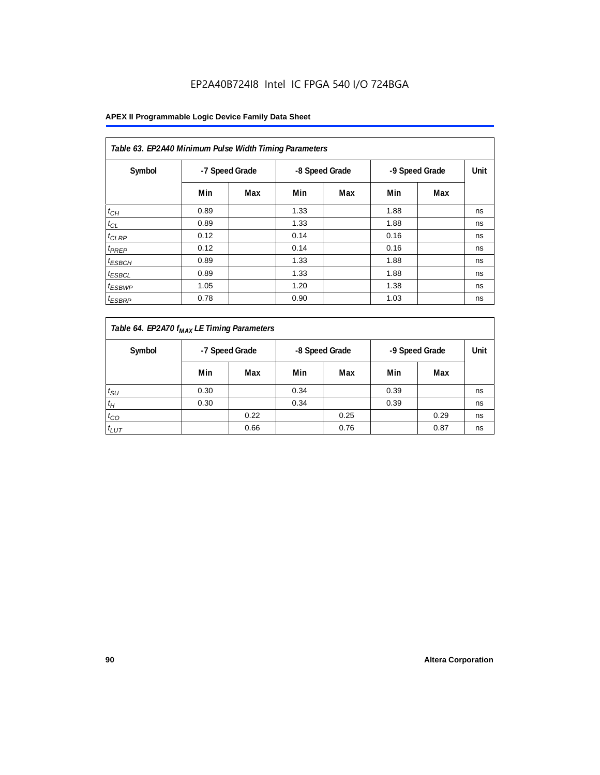| Table 63. EP2A40 Minimum Pulse Width Timing Parameters |                |     |      |                |      |                |      |  |  |  |  |
|--------------------------------------------------------|----------------|-----|------|----------------|------|----------------|------|--|--|--|--|
| Symbol                                                 | -7 Speed Grade |     |      | -8 Speed Grade |      | -9 Speed Grade | Unit |  |  |  |  |
|                                                        | Min            | Max | Min  | Max            | Min  | Max            |      |  |  |  |  |
| $t_{CH}$                                               | 0.89           |     | 1.33 |                | 1.88 |                | ns   |  |  |  |  |
| $t_{CL}$                                               | 0.89           |     | 1.33 |                | 1.88 |                | ns   |  |  |  |  |
| $t_{CLRP}$                                             | 0.12           |     | 0.14 |                | 0.16 |                | ns   |  |  |  |  |
| t <sub>PREP</sub>                                      | 0.12           |     | 0.14 |                | 0.16 |                | ns   |  |  |  |  |
| $t_{ESBCH}$                                            | 0.89           |     | 1.33 |                | 1.88 |                | ns   |  |  |  |  |
| <sup>t</sup> ESBCL                                     | 0.89           |     | 1.33 |                | 1.88 |                | ns   |  |  |  |  |
| <sup>t</sup> ESBWP                                     | 1.05           |     | 1.20 |                | 1.38 |                | ns   |  |  |  |  |
| <sup>t</sup> ESBRP                                     | 0.78           |     | 0.90 |                | 1.03 |                | ns   |  |  |  |  |

| Table 64. EP2A70 f <sub>MAX</sub> LE Timing Parameters |                                  |      |      |      |      |      |    |  |                |  |      |
|--------------------------------------------------------|----------------------------------|------|------|------|------|------|----|--|----------------|--|------|
| Symbol                                                 | -7 Speed Grade<br>-8 Speed Grade |      |      |      |      |      |    |  | -9 Speed Grade |  | Unit |
|                                                        | Min                              | Max  | Min  | Max  | Min  | Max  |    |  |                |  |      |
| $t_{\rm SU}$                                           | 0.30                             |      | 0.34 |      | 0.39 |      | ns |  |                |  |      |
| $t_H$                                                  | 0.30                             |      | 0.34 |      | 0.39 |      | ns |  |                |  |      |
| $t_{CO}$                                               |                                  | 0.22 |      | 0.25 |      | 0.29 | ns |  |                |  |      |
| $t_{LUT}$                                              |                                  | 0.66 |      | 0.76 |      | 0.87 | ns |  |                |  |      |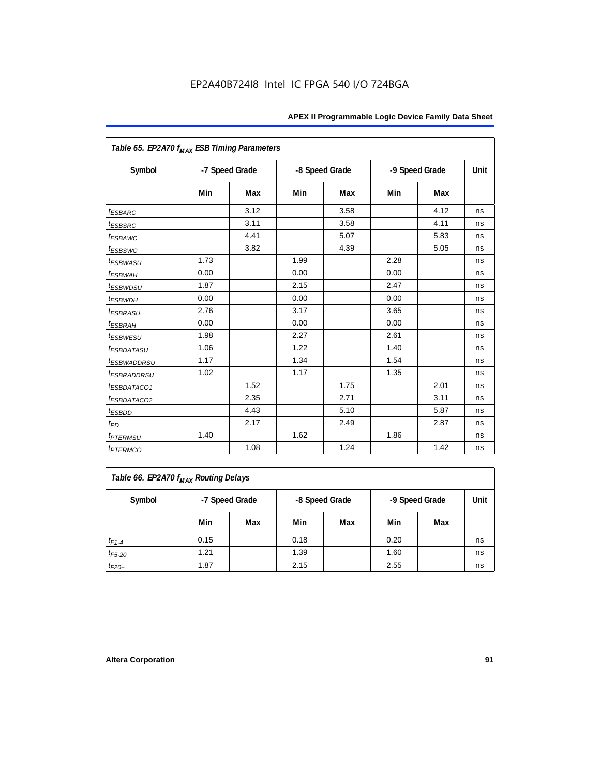| Table 65. EP2A70 f <sub>MAX</sub> ESB Timing Parameters |      |                |      |                |      |                |      |
|---------------------------------------------------------|------|----------------|------|----------------|------|----------------|------|
| Symbol                                                  |      | -7 Speed Grade |      | -8 Speed Grade |      | -9 Speed Grade | Unit |
|                                                         | Min  | Max            | Min  | Max            | Min  | Max            |      |
| <i><b>ESBARC</b></i>                                    |      | 3.12           |      | 3.58           |      | 4.12           | ns   |
| <i>t</i> <sub>ESBSRC</sub>                              |      | 3.11           |      | 3.58           |      | 4.11           | ns   |
| <sup>t</sup> ESBAWC                                     |      | 4.41           |      | 5.07           |      | 5.83           | ns   |
| t <sub>ESBSWC</sub>                                     |      | 3.82           |      | 4.39           |      | 5.05           | ns   |
| <sup>t</sup> ESBWASU                                    | 1.73 |                | 1.99 |                | 2.28 |                | ns   |
| <sup>t</sup> ESBWAH                                     | 0.00 |                | 0.00 |                | 0.00 |                | ns   |
| <i>t<sub>ESBWDSU</sub></i>                              | 1.87 |                | 2.15 |                | 2.47 |                | ns   |
| <sup>t</sup> ESBWDH                                     | 0.00 |                | 0.00 |                | 0.00 |                | ns   |
| <sup>t</sup> ESBRASU                                    | 2.76 |                | 3.17 |                | 3.65 |                | ns   |
| <sup>t</sup> ESBRAH                                     | 0.00 |                | 0.00 |                | 0.00 |                | ns   |
| <sup>t</sup> ESBWESU                                    | 1.98 |                | 2.27 |                | 2.61 |                | ns   |
| <i>ESBDATASU</i>                                        | 1.06 |                | 1.22 |                | 1.40 |                | ns   |
| <sup>t</sup> ESBWADDRSU                                 | 1.17 |                | 1.34 |                | 1.54 |                | ns   |
| <sup>t</sup> ESBRADDRSU                                 | 1.02 |                | 1.17 |                | 1.35 |                | ns   |
| <i>ESBDATACO1</i>                                       |      | 1.52           |      | 1.75           |      | 2.01           | ns   |
| <i>ESBDATACO2</i>                                       |      | 2.35           |      | 2.71           |      | 3.11           | ns   |
| <sup>t</sup> ESBDD                                      |      | 4.43           |      | 5.10           |      | 5.87           | ns   |
| $t_{PD}$                                                |      | 2.17           |      | 2.49           |      | 2.87           | ns   |
| <i>t<sub>PTERMSU</sub></i>                              | 1.40 |                | 1.62 |                | 1.86 |                | ns   |
| <i><b>t</b>PTERMCO</i>                                  |      | 1.08           |      | 1.24           |      | 1.42           | ns   |

| Table 66. EP2A70 f <sub>MAX</sub> Routing Delays |      |                |      |                |                |      |    |  |  |
|--------------------------------------------------|------|----------------|------|----------------|----------------|------|----|--|--|
| Symbol                                           |      | -7 Speed Grade |      | -8 Speed Grade | -9 Speed Grade | Unit |    |  |  |
|                                                  | Min  | Max            | Min  | Max            | Min            | Max  |    |  |  |
| $t_{F1-4}$                                       | 0.15 |                | 0.18 |                | 0.20           |      | ns |  |  |
| $t_{F5-20}$                                      | 1.21 |                | 1.39 |                | 1.60           |      | ns |  |  |
| $t_{F20+}$                                       | 1.87 |                | 2.15 |                | 2.55           |      | ns |  |  |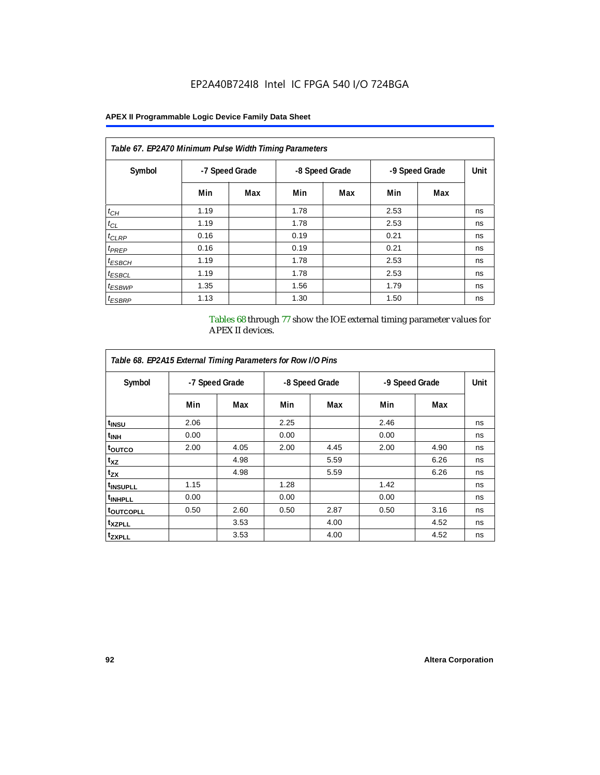#### **APEX II Programmable Logic Device Family Data Sheet**

| Table 67. EP2A70 Minimum Pulse Width Timing Parameters |                |     |      |                |      |                |    |  |  |  |
|--------------------------------------------------------|----------------|-----|------|----------------|------|----------------|----|--|--|--|
| Symbol                                                 | -7 Speed Grade |     |      | -8 Speed Grade |      | -9 Speed Grade |    |  |  |  |
|                                                        | Min            | Max | Min  | Max            | Min  | Max            |    |  |  |  |
| $t_{CH}$                                               | 1.19           |     | 1.78 |                | 2.53 |                | ns |  |  |  |
| $t_{CL}$                                               | 1.19           |     | 1.78 |                | 2.53 |                | ns |  |  |  |
| $t_{CLRP}$                                             | 0.16           |     | 0.19 |                | 0.21 |                | ns |  |  |  |
| t <sub>PREP</sub>                                      | 0.16           |     | 0.19 |                | 0.21 |                | ns |  |  |  |
| $t_{ESBCH}$                                            | 1.19           |     | 1.78 |                | 2.53 |                | ns |  |  |  |
| <sup>t</sup> ESBCL                                     | 1.19           |     | 1.78 |                | 2.53 |                | ns |  |  |  |
| <sup>t</sup> ESBWP                                     | 1.35           |     | 1.56 |                | 1.79 |                | ns |  |  |  |
| <sup>t</sup> ESBRP                                     | 1.13           |     | 1.30 |                | 1.50 |                | ns |  |  |  |

Tables 68 through 77 show the IOE external timing parameter values for APEX II devices.

| Table 68. EP2A15 External Timing Parameters for Row I/O Pins |                |      |      |                |      |                |    |
|--------------------------------------------------------------|----------------|------|------|----------------|------|----------------|----|
| Symbol                                                       | -7 Speed Grade |      |      | -8 Speed Grade |      | -9 Speed Grade |    |
|                                                              | Min            | Max  | Min  | Max            | Min  | Max            |    |
| t <sub>INSU</sub>                                            | 2.06           |      | 2.25 |                | 2.46 |                | ns |
| <sup>t</sup> inh                                             | 0.00           |      | 0.00 |                | 0.00 |                | ns |
| <sup>t</sup> outco                                           | 2.00           | 4.05 | 2.00 | 4.45           | 2.00 | 4.90           | ns |
| $t_{XZ}$                                                     |                | 4.98 |      | 5.59           |      | 6.26           | ns |
| $t_{ZX}$                                                     |                | 4.98 |      | 5.59           |      | 6.26           | ns |
| <sup>t</sup> INSUPLL                                         | 1.15           |      | 1.28 |                | 1.42 |                | ns |
| <sup>t</sup> INHPLL                                          | 0.00           |      | 0.00 |                | 0.00 |                | ns |
| <sup>t</sup> OUTCOPLL                                        | 0.50           | 2.60 | 0.50 | 2.87           | 0.50 | 3.16           | ns |
| <sup>t</sup> XZPLL                                           |                | 3.53 |      | 4.00           |      | 4.52           | ns |
| <sup>t</sup> zxpll                                           |                | 3.53 |      | 4.00           |      | 4.52           | ns |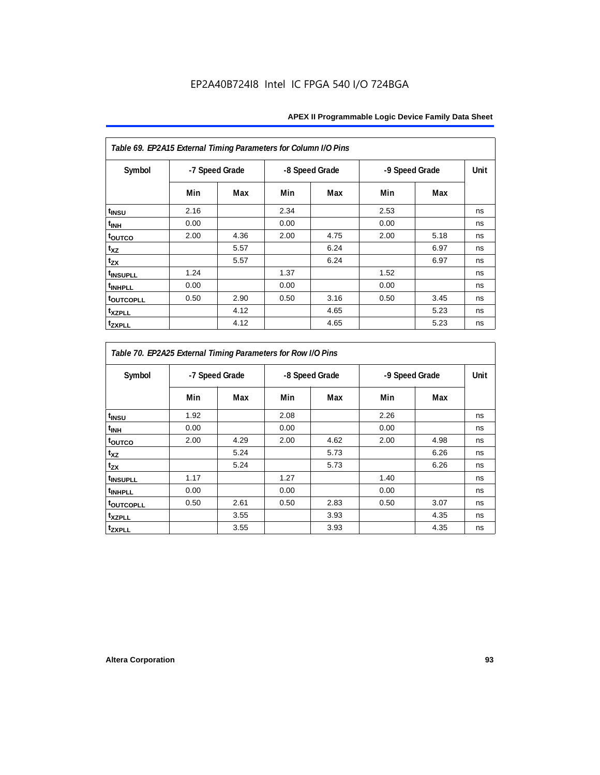| Table 69. EP2A15 External Timing Parameters for Column I/O Pins |                |      |      |                |      |                |    |
|-----------------------------------------------------------------|----------------|------|------|----------------|------|----------------|----|
| Symbol                                                          | -7 Speed Grade |      |      | -8 Speed Grade |      | -9 Speed Grade |    |
|                                                                 | Min            | Max  | Min  | Max            | Min  | Max            |    |
| t <sub>INSU</sub>                                               | 2.16           |      | 2.34 |                | 2.53 |                | ns |
| t <sub>INH</sub>                                                | 0.00           |      | 0.00 |                | 0.00 |                | ns |
| toutco                                                          | 2.00           | 4.36 | 2.00 | 4.75           | 2.00 | 5.18           | ns |
| t <sub>XZ</sub>                                                 |                | 5.57 |      | 6.24           |      | 6.97           | ns |
| $t_{ZX}$                                                        |                | 5.57 |      | 6.24           |      | 6.97           | ns |
| t <sub>INSUPLL</sub>                                            | 1.24           |      | 1.37 |                | 1.52 |                | ns |
| <sup>t</sup> INHPLL                                             | 0.00           |      | 0.00 |                | 0.00 |                | ns |
| <b>toutcopll</b>                                                | 0.50           | 2.90 | 0.50 | 3.16           | 0.50 | 3.45           | ns |
| <sup>t</sup> xzpll                                              |                | 4.12 |      | 4.65           |      | 5.23           | ns |
| tzxpll                                                          |                | 4.12 |      | 4.65           |      | 5.23           | ns |

| Table 70. EP2A25 External Timing Parameters for Row I/O Pins |                |      |      |                                  |      |      |      |
|--------------------------------------------------------------|----------------|------|------|----------------------------------|------|------|------|
| Symbol                                                       | -7 Speed Grade |      |      | -9 Speed Grade<br>-8 Speed Grade |      |      | Unit |
|                                                              | Min            | Max  | Min  | Max                              | Min  | Max  |      |
| t <sub>INSU</sub>                                            | 1.92           |      | 2.08 |                                  | 2.26 |      | ns   |
| <sup>t</sup> INH                                             | 0.00           |      | 0.00 |                                  | 0.00 |      | ns   |
| toutco                                                       | 2.00           | 4.29 | 2.00 | 4.62                             | 2.00 | 4.98 | ns   |
| $t_{XZ}$                                                     |                | 5.24 |      | 5.73                             |      | 6.26 | ns   |
| t <sub>zx</sub>                                              |                | 5.24 |      | 5.73                             |      | 6.26 | ns   |
| <sup>t</sup> INSUPLL                                         | 1.17           |      | 1.27 |                                  | 1.40 |      | ns   |
| <sup>t</sup> INHPLL                                          | 0.00           |      | 0.00 |                                  | 0.00 |      | ns   |
| <b>toutcopll</b>                                             | 0.50           | 2.61 | 0.50 | 2.83                             | 0.50 | 3.07 | ns   |
| <sup>t</sup> xzpll                                           |                | 3.55 |      | 3.93                             |      | 4.35 | ns   |
| tzxpll                                                       |                | 3.55 |      | 3.93                             |      | 4.35 | ns   |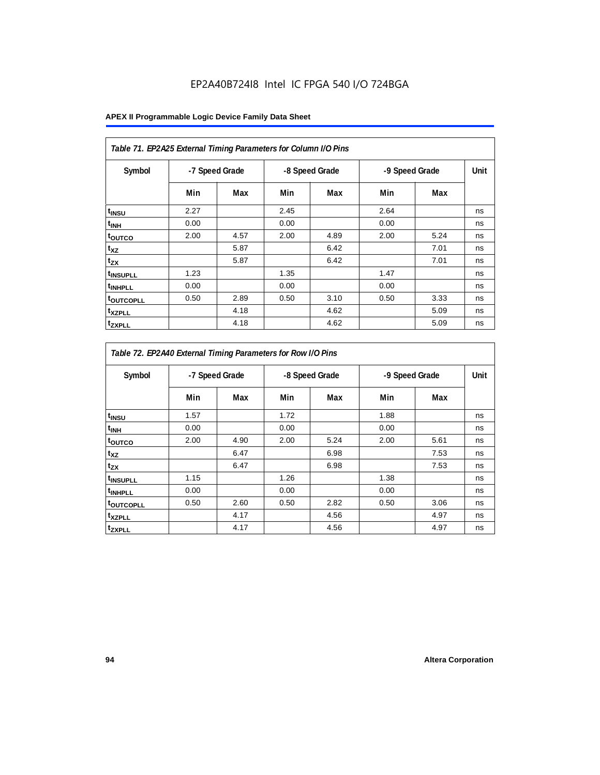| Table 71. EP2A25 External Timing Parameters for Column I/O Pins |                |      |      |                |      |                |    |
|-----------------------------------------------------------------|----------------|------|------|----------------|------|----------------|----|
| Symbol                                                          | -7 Speed Grade |      |      | -8 Speed Grade |      | -9 Speed Grade |    |
|                                                                 | Min            | Max  | Min  | Max            | Min  | Max            |    |
| t <sub>INSU</sub>                                               | 2.27           |      | 2.45 |                | 2.64 |                | ns |
| t <sub>INH</sub>                                                | 0.00           |      | 0.00 |                | 0.00 |                | ns |
| toutco                                                          | 2.00           | 4.57 | 2.00 | 4.89           | 2.00 | 5.24           | ns |
| t <sub>XZ</sub>                                                 |                | 5.87 |      | 6.42           |      | 7.01           | ns |
| $t_{ZX}$                                                        |                | 5.87 |      | 6.42           |      | 7.01           | ns |
| <sup>t</sup> INSUPLL                                            | 1.23           |      | 1.35 |                | 1.47 |                | ns |
| t <sub>INHPLL</sub>                                             | 0.00           |      | 0.00 |                | 0.00 |                | ns |
| <b>toutcopll</b>                                                | 0.50           | 2.89 | 0.50 | 3.10           | 0.50 | 3.33           | ns |
| t <sub>XZPLL</sub>                                              |                | 4.18 |      | 4.62           |      | 5.09           | ns |
| <sup>t</sup> zxpll                                              |                | 4.18 |      | 4.62           |      | 5.09           | ns |

| Table 72. EP2A40 External Timing Parameters for Row I/O Pins |                |      |      |                |                |      |      |
|--------------------------------------------------------------|----------------|------|------|----------------|----------------|------|------|
| Symbol                                                       | -7 Speed Grade |      |      | -8 Speed Grade | -9 Speed Grade |      | Unit |
|                                                              | Min            | Max  | Min  | Max            | Min            | Max  |      |
| t <sub>INSU</sub>                                            | 1.57           |      | 1.72 |                | 1.88           |      | ns   |
| $t_{\mathsf{INH}}$                                           | 0.00           |      | 0.00 |                | 0.00           |      | ns   |
| toutco                                                       | 2.00           | 4.90 | 2.00 | 5.24           | 2.00           | 5.61 | ns   |
| $t_{XZ}$                                                     |                | 6.47 |      | 6.98           |                | 7.53 | ns   |
| tzx                                                          |                | 6.47 |      | 6.98           |                | 7.53 | ns   |
| t <sub>INSUPLL</sub>                                         | 1.15           |      | 1.26 |                | 1.38           |      | ns   |
| t <sub>INHPLL</sub>                                          | 0.00           |      | 0.00 |                | 0.00           |      | ns   |
| toutcopLL                                                    | 0.50           | 2.60 | 0.50 | 2.82           | 0.50           | 3.06 | ns   |
| t <sub>XZPLL</sub>                                           |                | 4.17 |      | 4.56           |                | 4.97 | ns   |
| tzxpLL                                                       |                | 4.17 |      | 4.56           |                | 4.97 | ns   |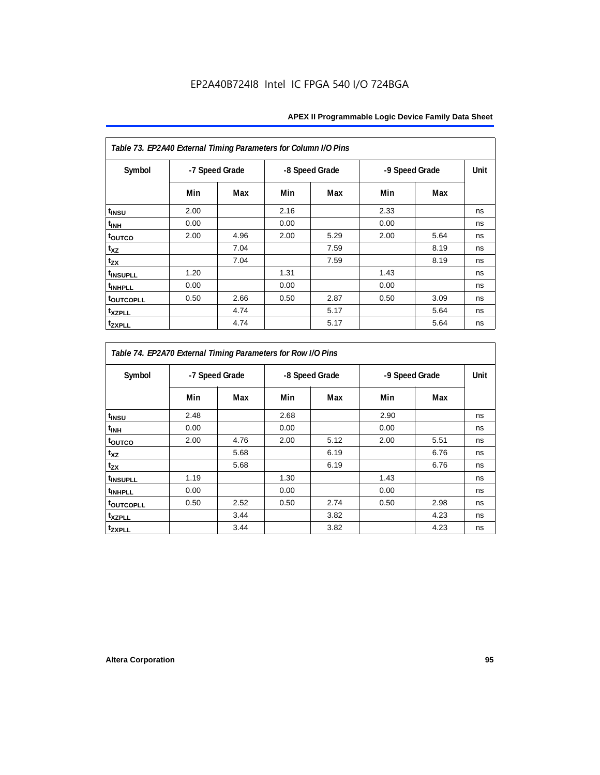| Table 73. EP2A40 External Timing Parameters for Column I/O Pins |                |      |      |                |      |                |      |
|-----------------------------------------------------------------|----------------|------|------|----------------|------|----------------|------|
| Symbol                                                          | -7 Speed Grade |      |      | -8 Speed Grade |      | -9 Speed Grade | Unit |
|                                                                 | Min            | Max  | Min  | Max            | Min  | Max            |      |
| t <sub>INSU</sub>                                               | 2.00           |      | 2.16 |                | 2.33 |                | ns   |
| t <sub>INH</sub>                                                | 0.00           |      | 0.00 |                | 0.00 |                | ns   |
| toutco                                                          | 2.00           | 4.96 | 2.00 | 5.29           | 2.00 | 5.64           | ns   |
| t <sub>XZ</sub>                                                 |                | 7.04 |      | 7.59           |      | 8.19           | ns   |
| $t_{ZX}$                                                        |                | 7.04 |      | 7.59           |      | 8.19           | ns   |
| t <sub>INSUPLL</sub>                                            | 1.20           |      | 1.31 |                | 1.43 |                | ns   |
| <sup>t</sup> INHPLL                                             | 0.00           |      | 0.00 |                | 0.00 |                | ns   |
| <b>toutcopll</b>                                                | 0.50           | 2.66 | 0.50 | 2.87           | 0.50 | 3.09           | ns   |
| <sup>t</sup> xzpll                                              |                | 4.74 |      | 5.17           |      | 5.64           | ns   |
| <b>tzxpll</b>                                                   |                | 4.74 |      | 5.17           |      | 5.64           | ns   |

| Table 74. EP2A70 External Timing Parameters for Row I/O Pins |                |      |      |                |      |                |    |
|--------------------------------------------------------------|----------------|------|------|----------------|------|----------------|----|
| Symbol                                                       | -7 Speed Grade |      |      | -8 Speed Grade |      | -9 Speed Grade |    |
|                                                              | Min            | Max  | Min  | Max            | Min  | Max            |    |
| t <sub>INSU</sub>                                            | 2.48           |      | 2.68 |                | 2.90 |                | ns |
| <sup>t</sup> INH                                             | 0.00           |      | 0.00 |                | 0.00 |                | ns |
| toutco                                                       | 2.00           | 4.76 | 2.00 | 5.12           | 2.00 | 5.51           | ns |
| $t_{XZ}$                                                     |                | 5.68 |      | 6.19           |      | 6.76           | ns |
| t <sub>zx</sub>                                              |                | 5.68 |      | 6.19           |      | 6.76           | ns |
| <sup>t</sup> INSUPLL                                         | 1.19           |      | 1.30 |                | 1.43 |                | ns |
| <sup>t</sup> INHPLL                                          | 0.00           |      | 0.00 |                | 0.00 |                | ns |
| t <sub>outcopll</sub>                                        | 0.50           | 2.52 | 0.50 | 2.74           | 0.50 | 2.98           | ns |
| <sup>t</sup> xzpll                                           |                | 3.44 |      | 3.82           |      | 4.23           | ns |
| tzxpll                                                       |                | 3.44 |      | 3.82           |      | 4.23           | ns |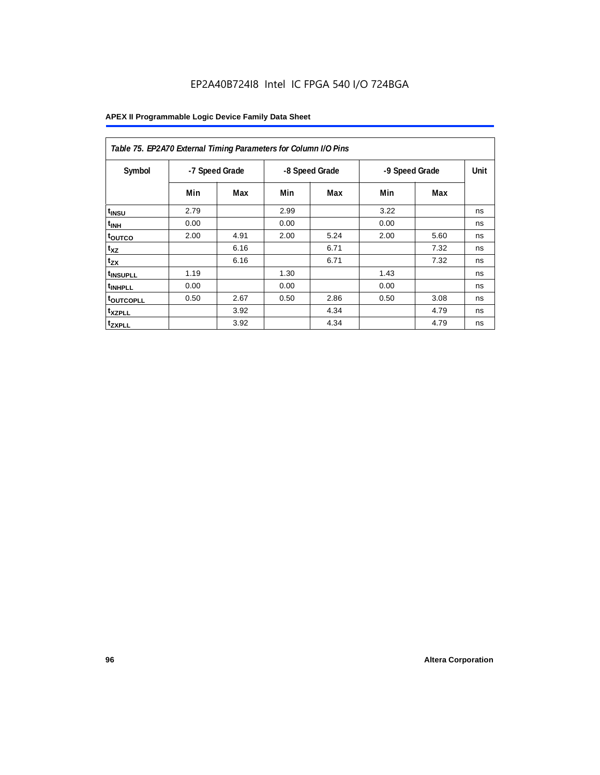| Table 75. EP2A70 External Timing Parameters for Column I/O Pins |                |      |      |                |      |                |    |
|-----------------------------------------------------------------|----------------|------|------|----------------|------|----------------|----|
| Symbol                                                          | -7 Speed Grade |      |      | -8 Speed Grade |      | -9 Speed Grade |    |
|                                                                 | Min            | Max  | Min  | Max            | Min  | Max            |    |
| t <sub>INSU</sub>                                               | 2.79           |      | 2.99 |                | 3.22 |                | ns |
| <sup>t</sup> INH                                                | 0.00           |      | 0.00 |                | 0.00 |                | ns |
| toutco                                                          | 2.00           | 4.91 | 2.00 | 5.24           | 2.00 | 5.60           | ns |
| t <sub>XZ</sub>                                                 |                | 6.16 |      | 6.71           |      | 7.32           | ns |
| $t_{ZX}$                                                        |                | 6.16 |      | 6.71           |      | 7.32           | ns |
| <sup>t</sup> INSUPLL                                            | 1.19           |      | 1.30 |                | 1.43 |                | ns |
| <sup>t</sup> INHPLL                                             | 0.00           |      | 0.00 |                | 0.00 |                | ns |
| <b>toutcopll</b>                                                | 0.50           | 2.67 | 0.50 | 2.86           | 0.50 | 3.08           | ns |
| <sup>t</sup> xzpll                                              |                | 3.92 |      | 4.34           |      | 4.79           | ns |
| <sup>t</sup> zxpll                                              |                | 3.92 |      | 4.34           |      | 4.79           | ns |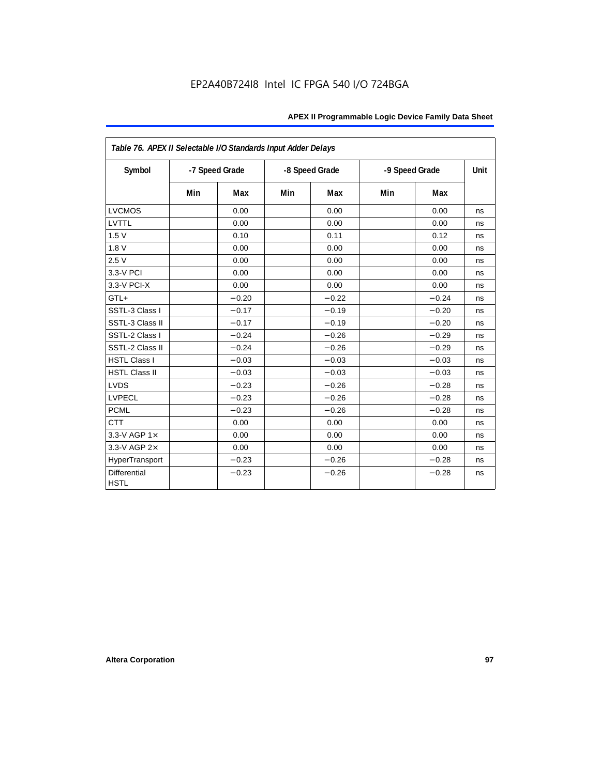| Table 76. APEX II Selectable I/O Standards Input Adder Delays |                |         |     |                |     |                |    |
|---------------------------------------------------------------|----------------|---------|-----|----------------|-----|----------------|----|
| Symbol                                                        | -7 Speed Grade |         |     | -8 Speed Grade |     | -9 Speed Grade |    |
|                                                               | Min            | Max     | Min | Max            | Min | Max            |    |
| <b>LVCMOS</b>                                                 |                | 0.00    |     | 0.00           |     | 0.00           | ns |
| LVTTL                                                         |                | 0.00    |     | 0.00           |     | 0.00           | ns |
| 1.5V                                                          |                | 0.10    |     | 0.11           |     | 0.12           | ns |
| 1.8V                                                          |                | 0.00    |     | 0.00           |     | 0.00           | ns |
| 2.5V                                                          |                | 0.00    |     | 0.00           |     | 0.00           | ns |
| 3.3-V PCI                                                     |                | 0.00    |     | 0.00           |     | 0.00           | ns |
| 3.3-V PCI-X                                                   |                | 0.00    |     | 0.00           |     | 0.00           | ns |
| GTL+                                                          |                | $-0.20$ |     | $-0.22$        |     | $-0.24$        | ns |
| SSTL-3 Class I                                                |                | $-0.17$ |     | $-0.19$        |     | $-0.20$        | ns |
| SSTL-3 Class II                                               |                | $-0.17$ |     | $-0.19$        |     | $-0.20$        | ns |
| SSTL-2 Class I                                                |                | $-0.24$ |     | $-0.26$        |     | $-0.29$        | ns |
| SSTL-2 Class II                                               |                | $-0.24$ |     | $-0.26$        |     | $-0.29$        | ns |
| <b>HSTL Class I</b>                                           |                | $-0.03$ |     | $-0.03$        |     | $-0.03$        | ns |
| <b>HSTL Class II</b>                                          |                | $-0.03$ |     | $-0.03$        |     | $-0.03$        | ns |
| <b>LVDS</b>                                                   |                | $-0.23$ |     | $-0.26$        |     | $-0.28$        | ns |
| LVPECL                                                        |                | $-0.23$ |     | $-0.26$        |     | $-0.28$        | ns |
| <b>PCML</b>                                                   |                | $-0.23$ |     | $-0.26$        |     | $-0.28$        | ns |
| <b>CTT</b>                                                    |                | 0.00    |     | 0.00           |     | 0.00           | ns |
| 3.3-V AGP $1\times$                                           |                | 0.00    |     | 0.00           |     | 0.00           | ns |
| 3.3-V AGP 2×                                                  |                | 0.00    |     | 0.00           |     | 0.00           | ns |
| HyperTransport                                                |                | $-0.23$ |     | $-0.26$        |     | $-0.28$        | ns |
| <b>Differential</b><br><b>HSTL</b>                            |                | $-0.23$ |     | $-0.26$        |     | $-0.28$        | ns |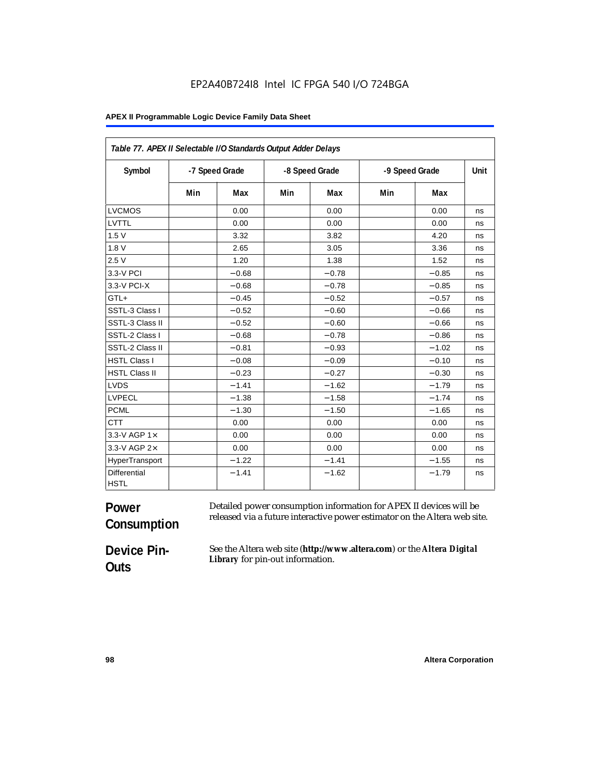#### **APEX II Programmable Logic Device Family Data Sheet**

| Table 77. APEX II Selectable I/O Standards Output Adder Delays |     |                |     |                |     |                |      |
|----------------------------------------------------------------|-----|----------------|-----|----------------|-----|----------------|------|
| Symbol                                                         |     | -7 Speed Grade |     | -8 Speed Grade |     | -9 Speed Grade | Unit |
|                                                                | Min | Max            | Min | Max            | Min | Max            |      |
| <b>LVCMOS</b>                                                  |     | 0.00           |     | 0.00           |     | 0.00           | ns   |
| LVTTL                                                          |     | 0.00           |     | 0.00           |     | 0.00           | ns   |
| 1.5V                                                           |     | 3.32           |     | 3.82           |     | 4.20           | ns   |
| 1.8V                                                           |     | 2.65           |     | 3.05           |     | 3.36           | ns   |
| 2.5V                                                           |     | 1.20           |     | 1.38           |     | 1.52           | ns   |
| 3.3-V PCI                                                      |     | $-0.68$        |     | $-0.78$        |     | $-0.85$        | ns   |
| 3.3-V PCI-X                                                    |     | $-0.68$        |     | $-0.78$        |     | $\!-0.85\!$    | ns   |
| GTL+                                                           |     | $-0.45$        |     | $-0.52$        |     | $-0.57$        | ns   |
| SSTL-3 Class I                                                 |     | $-0.52$        |     | $-0.60$        |     | $-0.66$        | ns   |
| SSTL-3 Class II                                                |     | $-0.52$        |     | $-0.60$        |     | $-0.66$        | ns   |
| SSTL-2 Class I                                                 |     | $-0.68$        |     | $-0.78$        |     | $-0.86$        | ns   |
| SSTL-2 Class II                                                |     | $-0.81$        |     | $-0.93$        |     | $-1.02$        | ns   |
| <b>HSTL Class I</b>                                            |     | $-0.08$        |     | $-0.09$        |     | $-0.10$        | ns   |
| <b>HSTL Class II</b>                                           |     | $-0.23$        |     | $-0.27$        |     | $-0.30$        | ns   |
| <b>LVDS</b>                                                    |     | $-1.41$        |     | $-1.62$        |     | $-1.79$        | ns   |
| <b>LVPECL</b>                                                  |     | $-1.38$        |     | $-1.58$        |     | $-1.74$        | ns   |
| <b>PCML</b>                                                    |     | $-1.30$        |     | $-1.50$        |     | $-1.65$        | ns   |
| <b>CTT</b>                                                     |     | 0.00           |     | 0.00           |     | 0.00           | ns   |
| 3.3-V AGP 1×                                                   |     | 0.00           |     | 0.00           |     | 0.00           | ns   |
| 3.3-V AGP 2×                                                   |     | 0.00           |     | 0.00           |     | 0.00           | ns   |
| HyperTransport                                                 |     | $-1.22$        |     | $-1.41$        |     | $-1.55$        | ns   |
| Differential<br><b>HSTL</b>                                    |     | $-1.41$        |     | $-1.62$        |     | $-1.79$        | ns   |

#### **Power Consumption** Detailed power consumption information for APEX II devices will be released via a future interactive power estimator on the Altera web site.

**Device Pin-Outs**

See the Altera web site (**http://www.altera.com**) or the *Altera Digital Library* for pin-out information.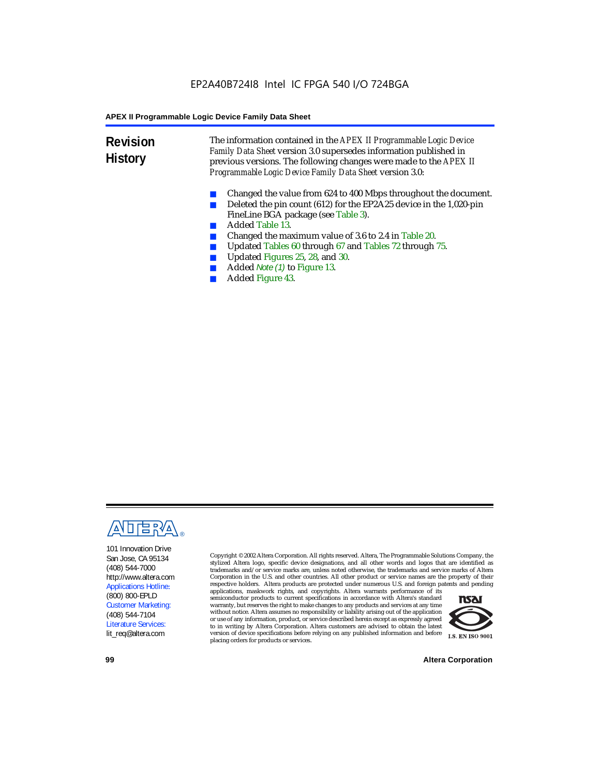**Revision History** The information contained in the *APEX II Programmable Logic Device Family Data Sheet* version 3.0 supersedes information published in previous versions. The following changes were made to the *APEX II Programmable Logic Device Family Data Sheet* version 3.0:

- Changed the value from 624 to 400 Mbps throughout the document.
- Deleted the pin count (612) for the EP2A25 device in the 1,020-pin FineLine BGA package (see Table 3).
- Added Table 13.
- Changed the maximum value of 3.6 to 2.4 in Table 20.
- Updated Tables 60 through 67 and Tables 72 through 75.<br>■ Updated Figures 25, 28, and 30
- Updated Figures 25, 28, and 30.
- Added *Note (1)* to Figure 13.
- Added Figure 43.



101 Innovation Drive San Jose, CA 95134 (408) 544-7000 http://www.altera.com Applications Hotline: (800) 800-EPLD Customer Marketing: (408) 544-7104 Literature Services: lit\_req@altera.com

Copyright © 2002 Altera Corporation. All rights reserved. Altera, The Programmable Solutions Company, the stylized Altera logo, specific device designations, and all other words and logos that are identified as trademarks and/or service marks are, unless noted otherwise, the trademarks and service marks of Altera Corporation in the U.S. and other countries. All other product or service names are the property of their respective holders. Altera products are protected under numerous U.S. and foreign patents and pending

applications, maskwork rights, and copyrights. Altera warrants performance of its semiconductor products to current specifications in accordance with Altera's standard warranty, but reserves the right to make changes to any products and services at any time without notice. Altera assumes no responsibility or liability arising out of the application or use of any information, product, or service described herein except as expressly agreed to in writing by Altera Corporation. Altera customers are advised to obtain the latest version of device specifications before relying on any published information and before placing orders for products or services.



**99 Altera Corporation**